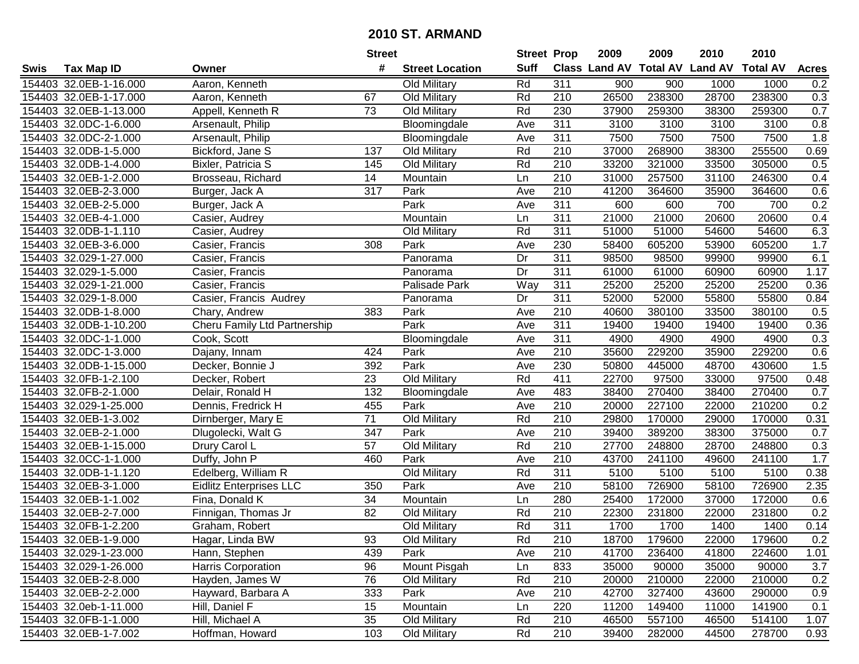|      |                        |                                | <b>Street</b>   |                        | <b>Street Prop</b> |                  | 2009                          | 2009   | 2010           | 2010            |              |
|------|------------------------|--------------------------------|-----------------|------------------------|--------------------|------------------|-------------------------------|--------|----------------|-----------------|--------------|
| Swis | <b>Tax Map ID</b>      | Owner                          | #               | <b>Street Location</b> | <b>Suff</b>        |                  | <b>Class Land AV Total AV</b> |        | <b>Land AV</b> | <b>Total AV</b> | <b>Acres</b> |
|      | 154403 32.0EB-1-16.000 | Aaron, Kenneth                 |                 | Old Military           | Rd                 | $\overline{311}$ | 900                           | 900    | 1000           | 1000            | 0.2          |
|      | 154403 32.0EB-1-17.000 | Aaron, Kenneth                 | 67              | Old Military           | Rd                 | 210              | 26500                         | 238300 | 28700          | 238300          | 0.3          |
|      | 154403 32.0EB-1-13.000 | Appell, Kenneth R              | 73              | Old Military           | Rd                 | 230              | 37900                         | 259300 | 38300          | 259300          | 0.7          |
|      | 154403 32.0DC-1-6.000  | Arsenault, Philip              |                 | Bloomingdale           | Ave                | 311              | 3100                          | 3100   | 3100           | 3100            | 0.8          |
|      | 154403 32.0DC-2-1.000  | Arsenault, Philip              |                 | Bloomingdale           | Ave                | 311              | 7500                          | 7500   | 7500           | 7500            | 1.8          |
|      | 154403 32.0DB-1-5.000  | Bickford, Jane S               | 137             | Old Military           | Rd                 | 210              | 37000                         | 268900 | 38300          | 255500          | 0.69         |
|      | 154403 32.0DB-1-4.000  | Bixler, Patricia S             | 145             | Old Military           | Rd                 | 210              | 33200                         | 321000 | 33500          | 305000          | 0.5          |
|      | 154403 32.0EB-1-2.000  | Brosseau, Richard              | 14              | Mountain               | Ln                 | 210              | 31000                         | 257500 | 31100          | 246300          | 0.4          |
|      | 154403 32.0EB-2-3.000  | Burger, Jack A                 | 317             | Park                   | Ave                | $\overline{210}$ | 41200                         | 364600 | 35900          | 364600          | 0.6          |
|      | 154403 32.0EB-2-5.000  | Burger, Jack A                 |                 | Park                   | Ave                | 311              | 600                           | 600    | 700            | 700             | 0.2          |
|      | 154403 32.0EB-4-1.000  | Casier, Audrey                 |                 | Mountain               | Ln                 | 311              | 21000                         | 21000  | 20600          | 20600           | 0.4          |
|      | 154403 32.0DB-1-1.110  | Casier, Audrey                 |                 | Old Military           | Rd                 | 311              | 51000                         | 51000  | 54600          | 54600           | 6.3          |
|      | 154403 32.0EB-3-6.000  | Casier, Francis                | 308             | Park                   | Ave                | 230              | 58400                         | 605200 | 53900          | 605200          | 1.7          |
|      | 154403 32.029-1-27.000 | Casier, Francis                |                 | Panorama               | Dr                 | $\overline{311}$ | 98500                         | 98500  | 99900          | 99900           | 6.1          |
|      | 154403 32.029-1-5.000  | Casier, Francis                |                 | Panorama               | $\overline{Dr}$    | 311              | 61000                         | 61000  | 60900          | 60900           | 1.17         |
|      | 154403 32.029-1-21.000 | Casier, Francis                |                 | Palisade Park          | Way                | 311              | 25200                         | 25200  | 25200          | 25200           | 0.36         |
|      | 154403 32.029-1-8.000  | Casier, Francis Audrey         |                 | Panorama               | Dr                 | 311              | 52000                         | 52000  | 55800          | 55800           | 0.84         |
|      | 154403 32.0DB-1-8.000  | Chary, Andrew                  | 383             | Park                   | Ave                | $\overline{210}$ | 40600                         | 380100 | 33500          | 380100          | 0.5          |
|      | 154403 32.0DB-1-10.200 | Cheru Family Ltd Partnership   |                 | Park                   | Ave                | $\overline{311}$ | 19400                         | 19400  | 19400          | 19400           | 0.36         |
|      | 154403 32.0DC-1-1.000  | Cook, Scott                    |                 | Bloomingdale           | Ave                | 311              | 4900                          | 4900   | 4900           | 4900            | 0.3          |
|      | 154403 32.0DC-1-3.000  | Dajany, Innam                  | 424             | Park                   | Ave                | 210              | 35600                         | 229200 | 35900          | 229200          | 0.6          |
|      | 154403 32.0DB-1-15.000 | Decker, Bonnie J               | 392             | Park                   | Ave                | 230              | 50800                         | 445000 | 48700          | 430600          | 1.5          |
|      | 154403 32.0FB-1-2.100  | Decker, Robert                 | 23              | Old Military           | Rd                 | 411              | 22700                         | 97500  | 33000          | 97500           | 0.48         |
|      | 154403 32.0FB-2-1.000  | Delair, Ronald H               | 132             | Bloomingdale           | Ave                | 483              | 38400                         | 270400 | 38400          | 270400          | 0.7          |
|      | 154403 32.029-1-25.000 | Dennis, Fredrick H             | 455             | Park                   | Ave                | 210              | 20000                         | 227100 | 22000          | 210200          | 0.2          |
|      | 154403 32.0EB-1-3.002  | Dirnberger, Mary E             | $\overline{71}$ | Old Military           | Rd                 | $\overline{210}$ | 29800                         | 170000 | 29000          | 170000          | 0.31         |
|      | 154403 32.0EB-2-1.000  | Dlugolecki, Walt G             | 347             | Park                   | Ave                | 210              | 39400                         | 389200 | 38300          | 375000          | 0.7          |
|      | 154403 32.0EB-1-15.000 | Drury Carol L                  | 57              | Old Military           | Rd                 | 210              | 27700                         | 248800 | 28700          | 248800          | 0.3          |
|      | 154403 32.0CC-1-1.000  | Duffy, John P                  | 460             | Park                   | Ave                | 210              | 43700                         | 241100 | 49600          | 241100          | 1.7          |
|      | 154403 32.0DB-1-1.120  | Edelberg, William R            |                 | Old Military           | Rd                 | 311              | 5100                          | 5100   | 5100           | 5100            | 0.38         |
|      | 154403 32.0EB-3-1.000  | <b>Eidlitz Enterprises LLC</b> | 350             | Park                   | Ave                | 210              | 58100                         | 726900 | 58100          | 726900          | 2.35         |
|      | 154403 32.0EB-1-1.002  | Fina, Donald K                 | 34              | Mountain               | Ln                 | 280              | 25400                         | 172000 | 37000          | 172000          | 0.6          |
|      | 154403 32.0EB-2-7.000  | Finnigan, Thomas Jr            | 82              | Old Military           | Rd                 | 210              | 22300                         | 231800 | 22000          | 231800          | 0.2          |
|      | 154403 32.0FB-1-2.200  | Graham, Robert                 |                 | Old Military           | Rd                 | $\overline{311}$ | 1700                          | 1700   | 1400           | 1400            | 0.14         |
|      | 154403 32.0EB-1-9.000  | Hagar, Linda BW                | 93              | Old Military           | Rd                 | 210              | 18700                         | 179600 | 22000          | 179600          | 0.2          |
|      | 154403 32.029-1-23.000 | Hann, Stephen                  | 439             | Park                   | Ave                | 210              | 41700                         | 236400 | 41800          | 224600          | 1.01         |
|      | 154403 32.029-1-26.000 | Harris Corporation             | 96              | Mount Pisgah           | Ln                 | 833              | 35000                         | 90000  | 35000          | 90000           | 3.7          |
|      | 154403 32.0EB-2-8.000  | Hayden, James W                | 76              | Old Military           | Rd                 | 210              | 20000                         | 210000 | 22000          | 210000          | 0.2          |
|      | 154403 32.0EB-2-2.000  | Hayward, Barbara A             | 333             | Park                   | Ave                | 210              | 42700                         | 327400 | 43600          | 290000          | 0.9          |
|      | 154403 32.0eb-1-11.000 | Hill, Daniel F                 | 15              | Mountain               | Ln                 | 220              | 11200                         | 149400 | 11000          | 141900          | 0.1          |
|      | 154403 32.0FB-1-1.000  | Hill, Michael A                | 35              | Old Military           | Rd                 | 210              | 46500                         | 557100 | 46500          | 514100          | 1.07         |
|      | 154403 32.0EB-1-7.002  | Hoffman, Howard                | 103             | <b>Old Military</b>    | Rd                 | $\overline{210}$ | 39400                         | 282000 | 44500          | 278700          | 0.93         |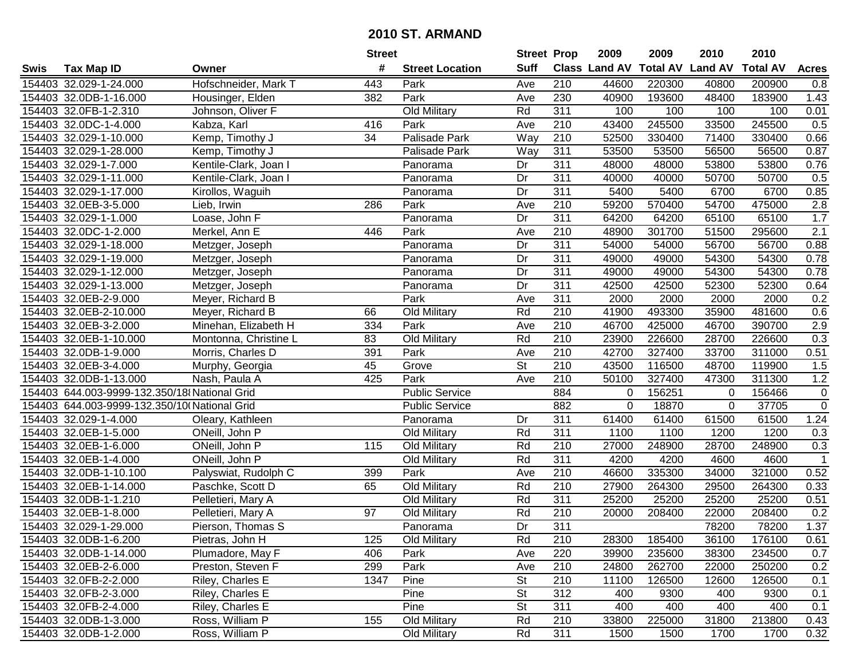|      |                                              |                       | <b>Street</b>   |                        | <b>Street Prop</b> |                  | 2009          | 2009            | 2010           | 2010            |                |
|------|----------------------------------------------|-----------------------|-----------------|------------------------|--------------------|------------------|---------------|-----------------|----------------|-----------------|----------------|
| Swis | <b>Tax Map ID</b>                            | Owner                 | #               | <b>Street Location</b> | <b>Suff</b>        |                  | Class Land AV | <b>Total AV</b> | <b>Land AV</b> | <b>Total AV</b> | <b>Acres</b>   |
|      | 154403 32.029-1-24.000                       | Hofschneider, Mark T  | 443             | Park                   | Ave                | 210              | 44600         | 220300          | 40800          | 200900          | 0.8            |
|      | 154403 32.0DB-1-16.000                       | Housinger, Elden      | 382             | Park                   | Ave                | 230              | 40900         | 193600          | 48400          | 183900          | 1.43           |
|      | 154403 32.0FB-1-2.310                        | Johnson, Oliver F     |                 | Old Military           | Rd                 | 311              | 100           | 100             | 100            | 100             | 0.01           |
|      | 154403 32.0DC-1-4.000                        | Kabza, Karl           | 416             | Park                   | Ave                | 210              | 43400         | 245500          | 33500          | 245500          | 0.5            |
|      | 154403 32.029-1-10.000                       | Kemp, Timothy J       | 34              | <b>Palisade Park</b>   | Way                | 210              | 52500         | 330400          | 71400          | 330400          | 0.66           |
|      | 154403 32.029-1-28.000                       | Kemp, Timothy J       |                 | Palisade Park          | Way                | 311              | 53500         | 53500           | 56500          | 56500           | 0.87           |
|      | 154403 32.029-1-7.000                        | Kentile-Clark, Joan I |                 | Panorama               | Dr                 | 311              | 48000         | 48000           | 53800          | 53800           | 0.76           |
|      | 154403 32.029-1-11.000                       | Kentile-Clark, Joan I |                 | Panorama               | Dr                 | 311              | 40000         | 40000           | 50700          | 50700           | 0.5            |
|      | 154403 32.029-1-17.000                       | Kirollos, Waguih      |                 | Panorama               | Dr                 | 311              | 5400          | 5400            | 6700           | 6700            | 0.85           |
|      | 154403 32.0EB-3-5.000                        | Lieb, Irwin           | 286             | Park                   | Ave                | 210              | 59200         | 570400          | 54700          | 475000          | 2.8            |
|      | 154403 32.029-1-1.000                        | Loase, John F         |                 | Panorama               | Dr                 | 311              | 64200         | 64200           | 65100          | 65100           | 1.7            |
|      | 154403 32.0DC-1-2.000                        | Merkel, Ann E         | 446             | Park                   | Ave                | 210              | 48900         | 301700          | 51500          | 295600          | 2.1            |
|      | 154403 32.029-1-18.000                       | Metzger, Joseph       |                 | Panorama               | Dr                 | 311              | 54000         | 54000           | 56700          | 56700           | 0.88           |
|      | 154403 32.029-1-19.000                       | Metzger, Joseph       |                 | Panorama               | Dr                 | 311              | 49000         | 49000           | 54300          | 54300           | 0.78           |
|      | 154403 32.029-1-12.000                       | Metzger, Joseph       |                 | Panorama               | Dr                 | 311              | 49000         | 49000           | 54300          | 54300           | 0.78           |
|      | 154403 32.029-1-13.000                       | Metzger, Joseph       |                 | Panorama               | Dr                 | 311              | 42500         | 42500           | 52300          | 52300           | 0.64           |
|      | 154403 32.0EB-2-9.000                        | Meyer, Richard B      |                 | Park                   | Ave                | 311              | 2000          | 2000            | 2000           | 2000            | 0.2            |
|      | 154403 32.0EB-2-10.000                       | Meyer, Richard B      | 66              | Old Military           | Rd                 | 210              | 41900         | 493300          | 35900          | 481600          | 0.6            |
|      | 154403 32.0EB-3-2.000                        | Minehan, Elizabeth H  | 334             | Park                   | Ave                | 210              | 46700         | 425000          | 46700          | 390700          | 2.9            |
|      | 154403 32.0EB-1-10.000                       | Montonna, Christine L | 83              | Old Military           | Rd                 | 210              | 23900         | 226600          | 28700          | 226600          | 0.3            |
|      | 154403 32.0DB-1-9.000                        | Morris, Charles D     | 391             | Park                   | Ave                | 210              | 42700         | 327400          | 33700          | 311000          | 0.51           |
|      | 154403 32.0EB-3-4.000                        | Murphy, Georgia       | 45              | Grove                  | <b>St</b>          | 210              | 43500         | 116500          | 48700          | 119900          | 1.5            |
|      | 154403 32.0DB-1-13.000                       | Nash, Paula A         | 425             | Park                   | Ave                | 210              | 50100         | 327400          | 47300          | 311300          | 1.2            |
|      | 154403 644.003-9999-132.350/18 National Grid |                       |                 | <b>Public Service</b>  |                    | 884              | 0             | 156251          | 0              | 156466          | 0              |
|      | 154403 644.003-9999-132.350/10 National Grid |                       |                 | <b>Public Service</b>  |                    | 882              | $\mathbf 0$   | 18870           | $\mathbf 0$    | 37705           | $\overline{0}$ |
|      | 154403 32.029-1-4.000                        | Oleary, Kathleen      |                 | Panorama               | Dr                 | 311              | 61400         | 61400           | 61500          | 61500           | 1.24           |
|      | 154403 32.0EB-1-5.000                        | ONeill, John P        |                 | Old Military           | Rd                 | 311              | 1100          | 1100            | 1200           | 1200            | 0.3            |
|      | 154403 32.0EB-1-6.000                        | ONeill, John P        | 115             | Old Military           | Rd                 | 210              | 27000         | 248900          | 28700          | 248900          | 0.3            |
|      | 154403 32.0EB-1-4.000                        | ONeill, John P        |                 | Old Military           | Rd                 | $\overline{311}$ | 4200          | 4200            | 4600           | 4600            | $\overline{1}$ |
|      | 154403 32.0DB-1-10.100                       | Palyswiat, Rudolph C  | 399             | Park                   | Ave                | $\overline{210}$ | 46600         | 335300          | 34000          | 321000          | 0.52           |
|      | 154403 32.0EB-1-14.000                       | Paschke, Scott D      | 65              | <b>Old Military</b>    | Rd                 | $\overline{210}$ | 27900         | 264300          | 29500          | 264300          | 0.33           |
|      | 154403 32.0DB-1-1.210                        | Pelletieri, Mary A    |                 | Old Military           | Rd                 | $\overline{311}$ | 25200         | 25200           | 25200          | 25200           | 0.51           |
|      | 154403 32.0EB-1-8.000                        | Pelletieri, Mary A    | $\overline{97}$ | <b>Old Military</b>    | Rd                 | $\overline{210}$ | 20000         | 208400          | 22000          | 208400          | 0.2            |
|      | 154403 32.029-1-29.000                       | Pierson, Thomas S     |                 | Panorama               | $\overline{Dr}$    | 311              |               |                 | 78200          | 78200           | 1.37           |
|      | 154403 32.0DB-1-6.200                        | Pietras, John H       | 125             | <b>Old Military</b>    | Rd                 | 210              | 28300         | 185400          | 36100          | 176100          | 0.61           |
|      | 154403 32.0DB-1-14.000                       | Plumadore, May F      | 406             | Park                   | Ave                | 220              | 39900         | 235600          | 38300          | 234500          | 0.7            |
|      | 154403 32.0EB-2-6.000                        | Preston, Steven F     | 299             | Park                   | Ave                | 210              | 24800         | 262700          | 22000          | 250200          | 0.2            |
|      | 154403 32.0FB-2-2.000                        | Riley, Charles E      | 1347            | Pine                   | <b>St</b>          | 210              | 11100         | 126500          | 12600          | 126500          | 0.1            |
|      | 154403 32.0FB-2-3.000                        | Riley, Charles E      |                 | Pine                   | <b>St</b>          | 312              | 400           | 9300            | 400            | 9300            | 0.1            |
|      | 154403 32.0FB-2-4.000                        | Riley, Charles E      |                 | Pine                   | <b>St</b>          | 311              | 400           | 400             | 400            | 400             | 0.1            |
|      | 154403 32.0DB-1-3.000                        | Ross, William P       | 155             | Old Military           | Rd                 | 210              | 33800         | 225000          | 31800          | 213800          | 0.43           |
|      | 154403 32.0DB-1-2.000                        | Ross, William P       |                 | Old Military           | Rd                 | 311              | 1500          | 1500            | 1700           | 1700            | 0.32           |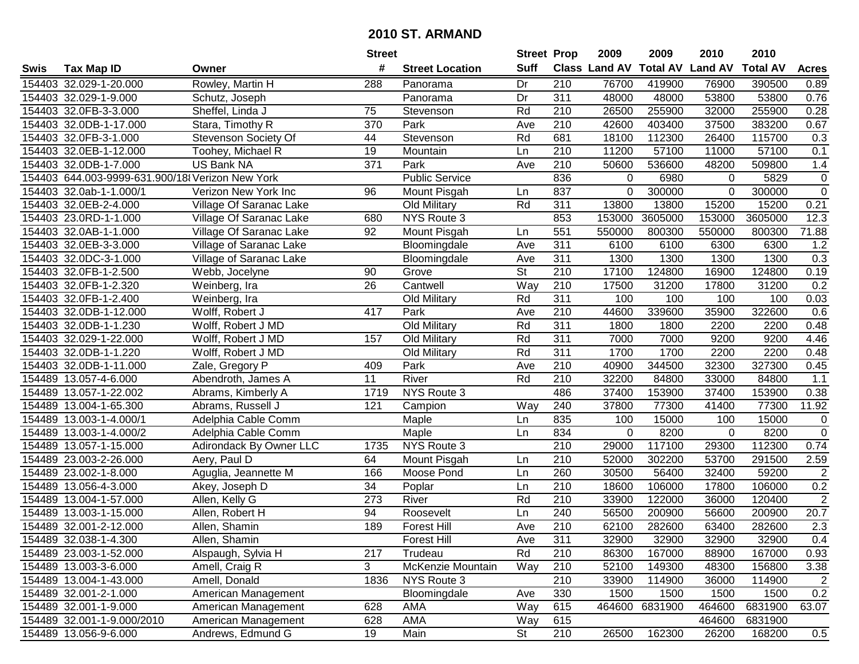|        |                                                 |                         | <b>Street</b>   |                        | <b>Street Prop</b> |                  | 2009          | 2009            | 2010           | 2010            |                  |
|--------|-------------------------------------------------|-------------------------|-----------------|------------------------|--------------------|------------------|---------------|-----------------|----------------|-----------------|------------------|
| Swis   | <b>Tax Map ID</b>                               | Owner                   | #               | <b>Street Location</b> | <b>Suff</b>        |                  | Class Land AV | <b>Total AV</b> | <b>Land AV</b> | <b>Total AV</b> | <b>Acres</b>     |
|        | 154403 32.029-1-20.000                          | Rowley, Martin H        | 288             | Panorama               | Dr                 | 210              | 76700         | 419900          | 76900          | 390500          | 0.89             |
|        | 154403 32.029-1-9.000                           | Schutz, Joseph          |                 | Panorama               | Dr                 | 311              | 48000         | 48000           | 53800          | 53800           | 0.76             |
|        | 154403 32.0FB-3-3.000                           | Sheffel, Linda J        | 75              | Stevenson              | Rd                 | 210              | 26500         | 255900          | 32000          | 255900          | 0.28             |
|        | 154403 32.0DB-1-17.000                          | Stara, Timothy R        | 370             | Park                   | Ave                | 210              | 42600         | 403400          | 37500          | 383200          | 0.67             |
|        | 154403 32.0FB-3-1.000                           | Stevenson Society Of    | 44              | Stevenson              | Rd                 | 681              | 18100         | 112300          | 26400          | 115700          | 0.3              |
|        | 154403 32.0EB-1-12.000                          | Toohey, Michael R       | 19              | Mountain               | Ln                 | 210              | 11200         | 57100           | 11000          | 57100           | 0.1              |
|        | 154403 32.0DB-1-7.000                           | US Bank NA              | 371             | Park                   | Ave                | 210              | 50600         | 536600          | 48200          | 509800          | 1.4              |
|        | 154403 644.003-9999-631.900/18 Verizon New York |                         |                 | <b>Public Service</b>  |                    | 836              | 0             | 6980            | 0              | 5829            | $\pmb{0}$        |
|        | 154403 32.0ab-1-1.000/1                         | Verizon New York Inc    | 96              | Mount Pisgah           | Ln                 | 837              | 0             | 300000          | $\mathbf 0$    | 300000          | $\overline{0}$   |
|        | 154403 32.0EB-2-4.000                           | Village Of Saranac Lake |                 | Old Military           | Rd                 | 311              | 13800         | 13800           | 15200          | 15200           | 0.21             |
|        | 154403 23.0RD-1-1.000                           | Village Of Saranac Lake | 680             | NYS Route 3            |                    | 853              | 153000        | 3605000         | 153000         | 3605000         | 12.3             |
|        | 154403 32.0AB-1-1.000                           | Village Of Saranac Lake | 92              | Mount Pisgah           | Ln                 | 551              | 550000        | 800300          | 550000         | 800300          | 71.88            |
|        | 154403 32.0EB-3-3.000                           | Village of Saranac Lake |                 | Bloomingdale           | Ave                | 311              | 6100          | 6100            | 6300           | 6300            | 1.2              |
|        | 154403 32.0DC-3-1.000                           | Village of Saranac Lake |                 | Bloomingdale           | Ave                | 311              | 1300          | 1300            | 1300           | 1300            | 0.3              |
|        | 154403 32.0FB-1-2.500                           | Webb, Jocelyne          | 90              | Grove                  | <b>St</b>          | 210              | 17100         | 124800          | 16900          | 124800          | 0.19             |
|        | 154403 32.0FB-1-2.320                           | Weinberg, Ira           | 26              | Cantwell               | Way                | 210              | 17500         | 31200           | 17800          | 31200           | 0.2              |
|        | 154403 32.0FB-1-2.400                           | Weinberg, Ira           |                 | Old Military           | Rd                 | $\overline{311}$ | 100           | 100             | 100            | 100             | 0.03             |
|        | 154403 32.0DB-1-12.000                          | Wolff, Robert J         | 417             | Park                   | Ave                | 210              | 44600         | 339600          | 35900          | 322600          | 0.6              |
|        | 154403 32.0DB-1-1.230                           | Wolff, Robert J MD      |                 | Old Military           | Rd                 | 311              | 1800          | 1800            | 2200           | 2200            | 0.48             |
|        | 154403 32.029-1-22.000                          | Wolff, Robert J MD      | 157             | Old Military           | Rd                 | 311              | 7000          | 7000            | 9200           | 9200            | 4.46             |
|        | 154403 32.0DB-1-1.220                           | Wolff, Robert J MD      |                 | Old Military           | Rd                 | 311              | 1700          | 1700            | 2200           | 2200            | 0.48             |
|        | 154403 32.0DB-1-11.000                          | Zale, Gregory P         | 409             | Park                   | Ave                | 210              | 40900         | 344500          | 32300          | 327300          | 0.45             |
|        | 154489 13.057-4-6.000                           | Abendroth, James A      | 11              | River                  | Rd                 | 210              | 32200         | 84800           | 33000          | 84800           | 1.1              |
| 154489 | 13.057-1-22.002                                 | Abrams, Kimberly A      | 1719            | NYS Route 3            |                    | 486              | 37400         | 153900          | 37400          | 153900          | 0.38             |
| 154489 | 13.004-1-65.300                                 | Abrams, Russell J       | 121             | Campion                | Way                | 240              | 37800         | 77300           | 41400          | 77300           | 11.92            |
|        | 154489 13.003-1-4.000/1                         | Adelphia Cable Comm     |                 | Maple                  | Ln                 | 835              | 100           | 15000           | 100            | 15000           | $\pmb{0}$        |
|        | 154489 13.003-1-4.000/2                         | Adelphia Cable Comm     |                 | Maple                  | Ln                 | 834              | 0             | 8200            | $\mathbf 0$    | 8200            | $\pmb{0}$        |
|        | 154489 13.057-1-15.000                          | Adirondack By Owner LLC | 1735            | NYS Route 3            |                    | 210              | 29000         | 117100          | 29300          | 112300          | 0.74             |
|        | 154489 23.003-2-26.000                          | Aery, Paul D            | 64              | Mount Pisgah           | Ln                 | 210              | 52000         | 302200          | 53700          | 291500          | 2.59             |
|        | 154489 23.002-1-8.000                           | Aguglia, Jeannette M    | 166             | Moose Pond             | Ln                 | 260              | 30500         | 56400           | 32400          | 59200           | $\overline{2}$   |
|        | 154489 13.056-4-3.000                           | Akey, Joseph D          | $\overline{34}$ | Poplar                 | Ln                 | $\overline{210}$ | 18600         | 106000          | 17800          | 106000          | 0.2              |
|        | 154489 13.004-1-57.000                          | Allen, Kelly G          | 273             | River                  | Rd                 | 210              | 33900         | 122000          | 36000          | 120400          | $\overline{2}$   |
|        | 154489 13.003-1-15.000                          | Allen, Robert H         | 94              | Roosevelt              | Ln                 | 240              | 56500         | 200900          | 56600          | 200900          | 20.7             |
|        | 154489 32.001-2-12.000                          | Allen, Shamin           | 189             | <b>Forest Hill</b>     | Ave                | $\overline{210}$ | 62100         | 282600          | 63400          | 282600          | $\overline{2.3}$ |
|        | 154489 32.038-1-4.300                           | Allen, Shamin           |                 | <b>Forest Hill</b>     | Ave                | 311              | 32900         | 32900           | 32900          | 32900           | 0.4              |
|        | 154489 23.003-1-52.000                          | Alspaugh, Sylvia H      | 217             | Trudeau                | Rd                 | 210              | 86300         | 167000          | 88900          | 167000          | 0.93             |
|        | 154489 13.003-3-6.000                           | Amell, Craig R          | 3               | McKenzie Mountain      | Way                | 210              | 52100         | 149300          | 48300          | 156800          | 3.38             |
|        | 154489 13.004-1-43.000                          | Amell, Donald           | 1836            | NYS Route 3            |                    | 210              | 33900         | 114900          | 36000          | 114900          | $\overline{2}$   |
|        | 154489 32.001-2-1.000                           | American Management     |                 | Bloomingdale           | Ave                | 330              | 1500          | 1500            | 1500           | 1500            | 0.2              |
|        | 154489 32.001-1-9.000                           | American Management     | 628             | AMA                    | Way                | 615              | 464600        | 6831900         | 464600         | 6831900         | 63.07            |
|        | 154489 32.001-1-9.000/2010                      | American Management     | 628             | AMA                    | Way                | 615              |               |                 | 464600         | 6831900         |                  |
|        | 154489 13.056-9-6.000                           | Andrews, Edmund G       | 19              | Main                   | St                 | 210              | 26500         | 162300          | 26200          | 168200          | 0.5              |
|        |                                                 |                         |                 |                        |                    |                  |               |                 |                |                 |                  |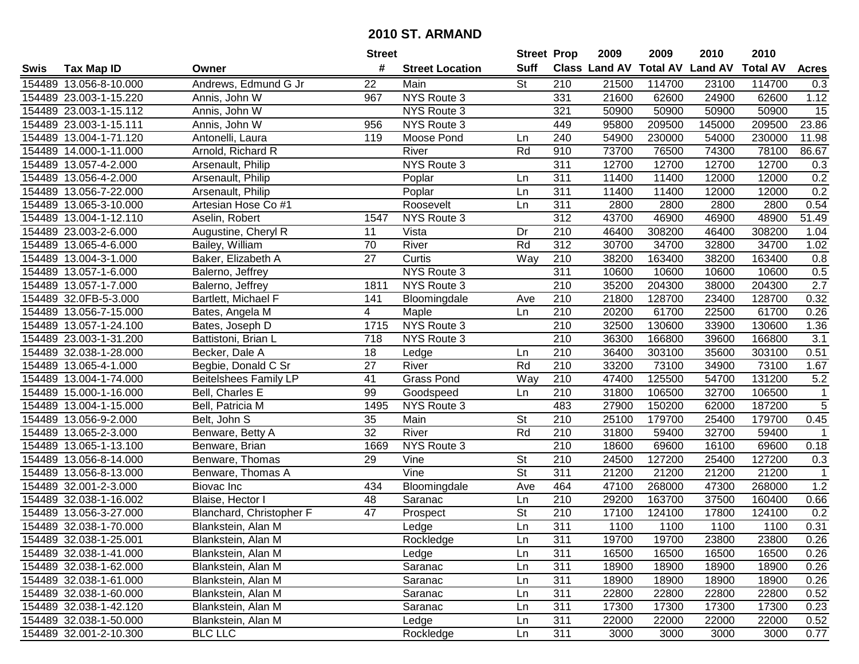|      |                        |                              | <b>Street</b>   |                        | <b>Street Prop</b>       |                  | 2009  | 2009   | 2010                           | 2010            |                |
|------|------------------------|------------------------------|-----------------|------------------------|--------------------------|------------------|-------|--------|--------------------------------|-----------------|----------------|
| Swis | <b>Tax Map ID</b>      | Owner                        | #               | <b>Street Location</b> | <b>Suff</b>              |                  |       |        | Class Land AV Total AV Land AV | <b>Total AV</b> | <b>Acres</b>   |
|      | 154489 13.056-8-10.000 | Andrews, Edmund G Jr         | 22              | Main                   | <b>St</b>                | 210              | 21500 | 114700 | 23100                          | 114700          | 0.3            |
|      | 154489 23.003-1-15.220 | Annis, John W                | 967             | NYS Route 3            |                          | 331              | 21600 | 62600  | 24900                          | 62600           | 1.12           |
|      | 154489 23.003-1-15.112 | Annis, John W                |                 | NYS Route 3            |                          | 321              | 50900 | 50900  | 50900                          | 50900           | 15             |
|      | 154489 23.003-1-15.111 | Annis, John W                | 956             | NYS Route 3            |                          | 449              | 95800 | 209500 | 145000                         | 209500          | 23.86          |
|      | 154489 13.004-1-71.120 | Antonelli, Laura             | 119             | Moose Pond             | Ln                       | 240              | 54900 | 230000 | 54000                          | 230000          | 11.98          |
|      | 154489 14.000-1-11.000 | Arnold, Richard R            |                 | River                  | Rd                       | 910              | 73700 | 76500  | 74300                          | 78100           | 86.67          |
|      | 154489 13.057-4-2.000  | Arsenault, Philip            |                 | NYS Route 3            |                          | 311              | 12700 | 12700  | 12700                          | 12700           | 0.3            |
|      | 154489 13.056-4-2.000  | Arsenault, Philip            |                 | Poplar                 | Ln                       | 311              | 11400 | 11400  | 12000                          | 12000           | 0.2            |
|      | 154489 13.056-7-22.000 | Arsenault, Philip            |                 | Poplar                 | Ln                       | $\overline{311}$ | 11400 | 11400  | 12000                          | 12000           | 0.2            |
|      | 154489 13.065-3-10.000 | Artesian Hose Co #1          |                 | Roosevelt              | Ln                       | 311              | 2800  | 2800   | 2800                           | 2800            | 0.54           |
|      | 154489 13.004-1-12.110 | Aselin, Robert               | 1547            | NYS Route 3            |                          | 312              | 43700 | 46900  | 46900                          | 48900           | 51.49          |
|      | 154489 23.003-2-6.000  | Augustine, Cheryl R          | 11              | Vista                  | Dr                       | 210              | 46400 | 308200 | 46400                          | 308200          | 1.04           |
|      | 154489 13.065-4-6.000  | Bailey, William              | 70              | River                  | Rd                       | $\overline{312}$ | 30700 | 34700  | 32800                          | 34700           | 1.02           |
|      | 154489 13.004-3-1.000  | Baker, Elizabeth A           | 27              | Curtis                 | Way                      | 210              | 38200 | 163400 | 38200                          | 163400          | 0.8            |
|      | 154489 13.057-1-6.000  | Balerno, Jeffrey             |                 | NYS Route 3            |                          | 311              | 10600 | 10600  | 10600                          | 10600           | 0.5            |
|      | 154489 13.057-1-7.000  | Balerno, Jeffrey             | 1811            | NYS Route 3            |                          | 210              | 35200 | 204300 | 38000                          | 204300          | 2.7            |
|      | 154489 32.0FB-5-3.000  | Bartlett, Michael F          | 141             | Bloomingdale           | Ave                      | 210              | 21800 | 128700 | 23400                          | 128700          | 0.32           |
|      | 154489 13.056-7-15.000 | Bates, Angela M              | 4               | Maple                  | Ln                       | 210              | 20200 | 61700  | 22500                          | 61700           | 0.26           |
|      | 154489 13.057-1-24.100 | Bates, Joseph D              | 1715            | NYS Route 3            |                          | 210              | 32500 | 130600 | 33900                          | 130600          | 1.36           |
|      | 154489 23.003-1-31.200 | Battistoni, Brian L          | 718             | NYS Route 3            |                          | 210              | 36300 | 166800 | 39600                          | 166800          | 3.1            |
|      | 154489 32.038-1-28.000 | Becker, Dale A               | 18              | Ledge                  | Ln                       | 210              | 36400 | 303100 | 35600                          | 303100          | 0.51           |
|      | 154489 13.065-4-1.000  | Begbie, Donald C Sr          | 27              | River                  | Rd                       | 210              | 33200 | 73100  | 34900                          | 73100           | 1.67           |
|      | 154489 13.004-1-74.000 | <b>Beitelshees Family LP</b> | 41              | <b>Grass Pond</b>      | Way                      | 210              | 47400 | 125500 | 54700                          | 131200          | 5.2            |
|      | 154489 15.000-1-16.000 | Bell, Charles E              | 99              | Goodspeed              | Ln                       | 210              | 31800 | 106500 | 32700                          | 106500          | $\mathbf{1}$   |
|      | 154489 13.004-1-15.000 | Bell, Patricia M             | 1495            | NYS Route 3            |                          | 483              | 27900 | 150200 | 62000                          | 187200          | $\overline{5}$ |
|      | 154489 13.056-9-2.000  | Belt, John S                 | 35              | Main                   | <b>St</b>                | 210              | 25100 | 179700 | 25400                          | 179700          | 0.45           |
|      | 154489 13.065-2-3.000  | Benware, Betty A             | 32              | River                  | Rd                       | 210              | 31800 | 59400  | 32700                          | 59400           | $\mathbf 1$    |
|      | 154489 13.065-1-13.100 | Benware, Brian               | 1669            | NYS Route 3            |                          | 210              | 18600 | 69600  | 16100                          | 69600           | 0.18           |
|      | 154489 13.056-8-14.000 | Benware, Thomas              | 29              | Vine                   | $\overline{\mathsf{St}}$ | $\overline{210}$ | 24500 | 127200 | 25400                          | 127200          | 0.3            |
|      | 154489 13.056-8-13.000 | Benware, Thomas A            |                 | $\overline{V}$ ine     | $\overline{\mathsf{St}}$ | 311              | 21200 | 21200  | 21200                          | 21200           | $\overline{1}$ |
|      | 154489 32.001-2-3.000  | Biovac Inc                   | 434             | Bloomingdale           | Ave                      | 464              | 47100 | 268000 | 47300                          | 268000          | 1.2            |
|      | 154489 32.038-1-16.002 | Blaise, Hector I             | 48              | Saranac                | Ln                       | 210              | 29200 | 163700 | 37500                          | 160400          | 0.66           |
|      | 154489 13.056-3-27.000 | Blanchard, Christopher F     | $\overline{47}$ | Prospect               | $\overline{\mathsf{St}}$ | $\overline{210}$ | 17100 | 124100 | 17800                          | 124100          | 0.2            |
|      | 154489 32.038-1-70.000 | Blankstein, Alan M           |                 | Ledge                  | Ln                       | 311              | 1100  | 1100   | 1100                           | 1100            | 0.31           |
|      | 154489 32.038-1-25.001 | Blankstein, Alan M           |                 | Rockledge              | Ln                       | 311              | 19700 | 19700  | 23800                          | 23800           | 0.26           |
|      | 154489 32.038-1-41.000 | Blankstein, Alan M           |                 | Ledge                  | Ln                       | 311              | 16500 | 16500  | 16500                          | 16500           | 0.26           |
|      | 154489 32.038-1-62.000 | Blankstein, Alan M           |                 | Saranac                | Ln                       | 311              | 18900 | 18900  | 18900                          | 18900           | 0.26           |
|      | 154489 32.038-1-61.000 | Blankstein, Alan M           |                 | Saranac                | Ln                       | 311              | 18900 | 18900  | 18900                          | 18900           | 0.26           |
|      | 154489 32.038-1-60.000 | Blankstein, Alan M           |                 | Saranac                | Ln                       | 311              | 22800 | 22800  | 22800                          | 22800           | 0.52           |
|      | 154489 32.038-1-42.120 | Blankstein, Alan M           |                 | Saranac                | Ln                       | 311              | 17300 | 17300  | 17300                          | 17300           | 0.23           |
|      | 154489 32.038-1-50.000 | Blankstein, Alan M           |                 | Ledge                  | Ln                       | 311              | 22000 | 22000  | 22000                          | 22000           | 0.52           |
|      | 154489 32.001-2-10.300 | <b>BLC LLC</b>               |                 | Rockledge              | Ln                       | 311              | 3000  | 3000   | 3000                           | 3000            | 0.77           |
|      |                        |                              |                 |                        |                          |                  |       |        |                                |                 |                |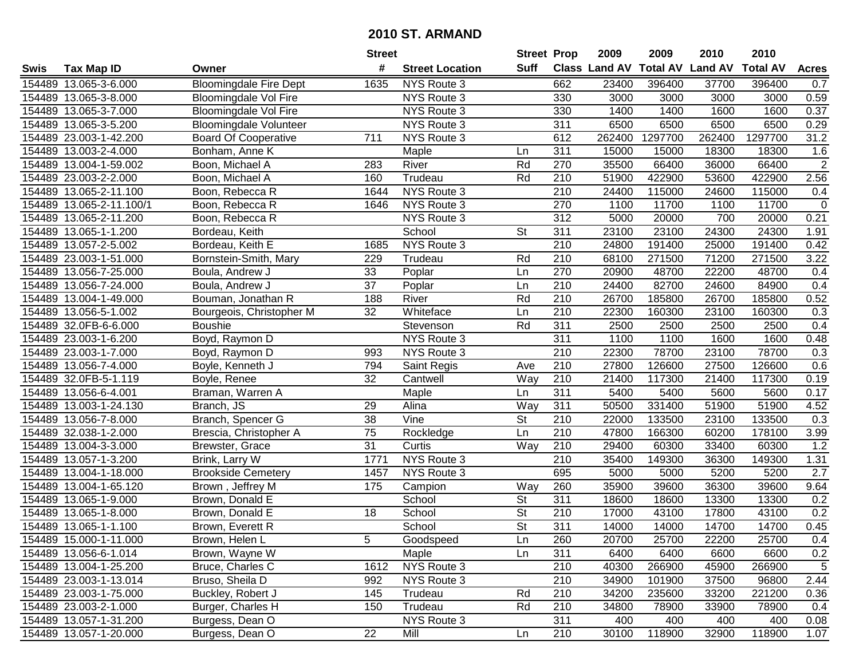|        |                          |                               | <b>Street</b> |                        | <b>Street Prop</b>       |                  | 2009                          | 2009    | 2010           | 2010            |                |
|--------|--------------------------|-------------------------------|---------------|------------------------|--------------------------|------------------|-------------------------------|---------|----------------|-----------------|----------------|
| Swis   | <b>Tax Map ID</b>        | Owner                         | #             | <b>Street Location</b> | Suff                     |                  | <b>Class Land AV Total AV</b> |         | <b>Land AV</b> | <b>Total AV</b> | <b>Acres</b>   |
|        | 154489 13.065-3-6.000    | <b>Bloomingdale Fire Dept</b> | 1635          | NYS Route 3            |                          | 662              | 23400                         | 396400  | 37700          | 396400          | 0.7            |
|        | 154489 13.065-3-8.000    | Bloomingdale Vol Fire         |               | NYS Route 3            |                          | 330              | 3000                          | 3000    | 3000           | 3000            | 0.59           |
|        | 154489 13.065-3-7.000    | <b>Bloomingdale Vol Fire</b>  |               | NYS Route 3            |                          | 330              | 1400                          | 1400    | 1600           | 1600            | 0.37           |
|        | 154489 13.065-3-5.200    | <b>Bloomingdale Volunteer</b> |               | NYS Route 3            |                          | $\overline{311}$ | 6500                          | 6500    | 6500           | 6500            | 0.29           |
|        | 154489 23.003-1-42.200   | <b>Board Of Cooperative</b>   | 711           | NYS Route 3            |                          | 612              | 262400                        | 1297700 | 262400         | 1297700         | 31.2           |
|        | 154489 13.003-2-4.000    | Bonham, Anne K                |               | Maple                  | Ln                       | 311              | 15000                         | 15000   | 18300          | 18300           | 1.6            |
|        | 154489 13.004-1-59.002   | Boon, Michael A               | 283           | River                  | Rd                       | 270              | 35500                         | 66400   | 36000          | 66400           | $\overline{2}$ |
|        | 154489 23.003-2-2.000    | Boon, Michael A               | 160           | Trudeau                | Rd                       | 210              | 51900                         | 422900  | 53600          | 422900          | 2.56           |
|        | 154489 13.065-2-11.100   | Boon, Rebecca R               | 1644          | <b>NYS Route 3</b>     |                          | $\overline{210}$ | 24400                         | 115000  | 24600          | 115000          | 0.4            |
|        | 154489 13.065-2-11.100/1 | Boon, Rebecca R               | 1646          | NYS Route 3            |                          | 270              | 1100                          | 11700   | 1100           | 11700           | $\mathbf 0$    |
|        | 154489 13.065-2-11.200   | Boon, Rebecca R               |               | NYS Route 3            |                          | 312              | 5000                          | 20000   | 700            | 20000           | 0.21           |
|        | 154489 13.065-1-1.200    | Bordeau, Keith                |               | School                 | <b>St</b>                | 311              | 23100                         | 23100   | 24300          | 24300           | 1.91           |
|        | 154489 13.057-2-5.002    | Bordeau, Keith E              | 1685          | NYS Route 3            |                          | $\overline{210}$ | 24800                         | 191400  | 25000          | 191400          | 0.42           |
|        | 154489 23.003-1-51.000   | Bornstein-Smith, Mary         | 229           | Trudeau                | Rd                       | 210              | 68100                         | 271500  | 71200          | 271500          | 3.22           |
|        | 154489 13.056-7-25.000   | Boula, Andrew J               | 33            | Poplar                 | Ln                       | 270              | 20900                         | 48700   | 22200          | 48700           | 0.4            |
|        | 154489 13.056-7-24.000   | Boula, Andrew J               | 37            | Poplar                 | Ln                       | 210              | 24400                         | 82700   | 24600          | 84900           | 0.4            |
|        | 154489 13.004-1-49.000   | Bouman, Jonathan R            | 188           | River                  | Rd                       | $\overline{210}$ | 26700                         | 185800  | 26700          | 185800          | 0.52           |
|        | 154489 13.056-5-1.002    | Bourgeois, Christopher M      | 32            | Whiteface              | Ln                       | 210              | 22300                         | 160300  | 23100          | 160300          | 0.3            |
|        | 154489 32.0FB-6-6.000    | <b>Boushie</b>                |               | Stevenson              | Rd                       | 311              | 2500                          | 2500    | 2500           | 2500            | 0.4            |
|        | 154489 23.003-1-6.200    | Boyd, Raymon D                |               | NYS Route 3            |                          | 311              | 1100                          | 1100    | 1600           | 1600            | 0.48           |
|        | 154489 23.003-1-7.000    | Boyd, Raymon D                | 993           | NYS Route 3            |                          | 210              | 22300                         | 78700   | 23100          | 78700           | 0.3            |
|        | 154489 13.056-7-4.000    | Boyle, Kenneth J              | 794           | Saint Regis            | Ave                      | 210              | 27800                         | 126600  | 27500          | 126600          | 0.6            |
|        | 154489 32.0FB-5-1.119    | Boyle, Renee                  | 32            | Cantwell               | Way                      | 210              | 21400                         | 117300  | 21400          | 117300          | 0.19           |
| 154489 | 13.056-6-4.001           | Braman, Warren A              |               | Maple                  | Ln                       | 311              | 5400                          | 5400    | 5600           | 5600            | 0.17           |
|        | 154489 13.003-1-24.130   | Branch, JS                    | 29            | Alina                  | Way                      | 311              | 50500                         | 331400  | 51900          | 51900           | 4.52           |
|        | 154489 13.056-7-8.000    | Branch, Spencer G             | 38            | Vine                   | $\overline{\mathsf{St}}$ | 210              | 22000                         | 133500  | 23100          | 133500          | 0.3            |
|        | 154489 32.038-1-2.000    | Brescia, Christopher A        | 75            | Rockledge              | Ln                       | 210              | 47800                         | 166300  | 60200          | 178100          | 3.99           |
|        | 154489 13.004-3-3.000    | Brewster, Grace               | 31            | Curtis                 | Way                      | 210              | 29400                         | 60300   | 33400          | 60300           | 1.2            |
|        | 154489 13.057-1-3.200    | Brink, Larry W                | 1771          | NYS Route 3            |                          | $\overline{210}$ | 35400                         | 149300  | 36300          | 149300          | 1.31           |
|        | 154489 13.004-1-18.000   | <b>Brookside Cemetery</b>     | 1457          | NYS Route 3            |                          | 695              | 5000                          | 5000    | 5200           | 5200            | 2.7            |
|        | 154489 13.004-1-65.120   | Brown, Jeffrey M              | 175           | Campion                | Way                      | 260              | 35900                         | 39600   | 36300          | 39600           | 9.64           |
|        | 154489 13.065-1-9.000    | Brown, Donald E               |               | School                 | <b>St</b>                | 311              | 18600                         | 18600   | 13300          | 13300           | 0.2            |
|        | 154489 13.065-1-8.000    | Brown, Donald E               | 18            | School                 | $\overline{\mathsf{St}}$ | $\overline{210}$ | 17000                         | 43100   | 17800          | 43100           | 0.2            |
|        | 154489 13.065-1-1.100    | Brown, Everett R              |               | School                 | $\overline{\mathsf{St}}$ | 311              | 14000                         | 14000   | 14700          | 14700           | 0.45           |
|        | 154489 15.000-1-11.000   | Brown, Helen L                | 5.            | Goodspeed              | Ln                       | 260              | 20700                         | 25700   | 22200          | 25700           | 0.4            |
|        | 154489 13.056-6-1.014    | Brown, Wayne W                |               | Maple                  | Ln                       | 311              | 6400                          | 6400    | 6600           | 6600            | 0.2            |
|        | 154489 13.004-1-25.200   | Bruce, Charles C              | 1612          | NYS Route 3            |                          | 210              | 40300                         | 266900  | 45900          | 266900          | 5              |
|        | 154489 23.003-1-13.014   | Bruso, Sheila D               | 992           | NYS Route 3            |                          | 210              | 34900                         | 101900  | 37500          | 96800           | 2.44           |
|        | 154489 23.003-1-75.000   | Buckley, Robert J             | 145           | Trudeau                | Rd                       | 210              | 34200                         | 235600  | 33200          | 221200          | 0.36           |
|        | 154489 23.003-2-1.000    | Burger, Charles H             | 150           | Trudeau                | Rd                       | 210              | 34800                         | 78900   | 33900          | 78900           | 0.4            |
|        | 154489 13.057-1-31.200   | Burgess, Dean O               |               | NYS Route 3            |                          | 311              | 400                           | 400     | 400            | 400             | 0.08           |
|        | 154489 13.057-1-20.000   | Burgess, Dean O               | 22            | Mill                   | Ln                       | 210              | 30100                         | 118900  | 32900          | 118900          | 1.07           |
|        |                          |                               |               |                        |                          |                  |                               |         |                |                 |                |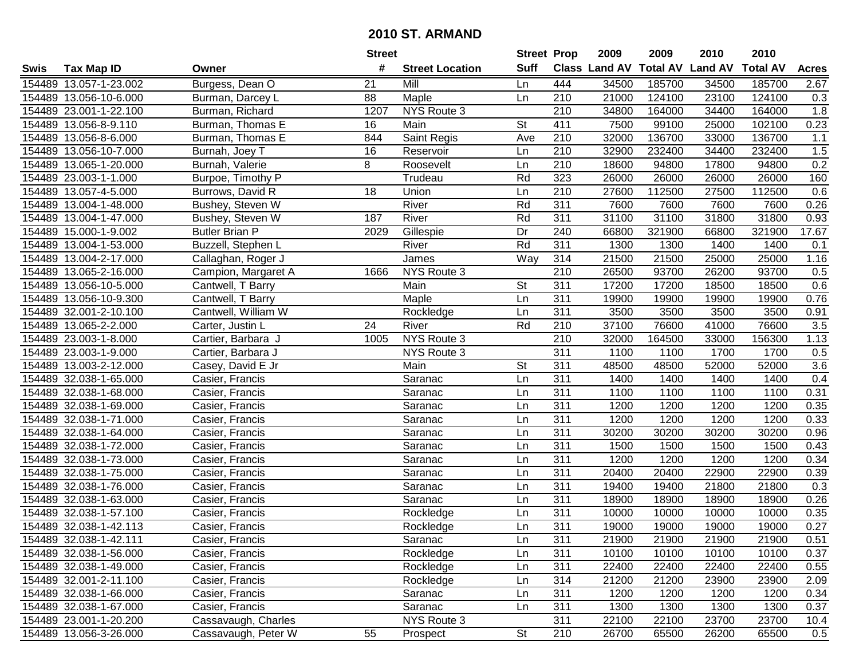|      |                        |                       | <b>Street</b> |                        | <b>Street Prop</b> |                  | 2009          | 2009            | 2010           | 2010            |                  |
|------|------------------------|-----------------------|---------------|------------------------|--------------------|------------------|---------------|-----------------|----------------|-----------------|------------------|
| Swis | <b>Tax Map ID</b>      | Owner                 | #             | <b>Street Location</b> | <b>Suff</b>        |                  | Class Land AV | <b>Total AV</b> | <b>Land AV</b> | <b>Total AV</b> | <b>Acres</b>     |
|      | 154489 13.057-1-23.002 | Burgess, Dean O       | 21            | Mill                   | Ln                 | 444              | 34500         | 185700          | 34500          | 185700          | 2.67             |
|      | 154489 13.056-10-6.000 | Burman, Darcey L      | 88            | Maple                  | Ln                 | 210              | 21000         | 124100          | 23100          | 124100          | 0.3              |
|      | 154489 23.001-1-22.100 | Burman, Richard       | 1207          | NYS Route 3            |                    | 210              | 34800         | 164000          | 34400          | 164000          | 1.8              |
|      | 154489 13.056-8-9.110  | Burman, Thomas E      | 16            | Main                   | St                 | 411              | 7500          | 99100           | 25000          | 102100          | 0.23             |
|      | 154489 13.056-8-6.000  | Burman, Thomas E      | 844           | Saint Regis            | Ave                | 210              | 32000         | 136700          | 33000          | 136700          | 1.1              |
|      | 154489 13.056-10-7.000 | Burnah, Joey T        | 16            | Reservoir              | Ln                 | $\overline{210}$ | 32900         | 232400          | 34400          | 232400          | 1.5              |
|      | 154489 13.065-1-20.000 | Burnah, Valerie       | 8             | Roosevelt              | Ln                 | 210              | 18600         | 94800           | 17800          | 94800           | 0.2              |
|      | 154489 23.003-1-1.000  | Burpoe, Timothy P     |               | Trudeau                | Rd                 | 323              | 26000         | 26000           | 26000          | 26000           | 160              |
|      | 154489 13.057-4-5.000  | Burrows, David R      | 18            | Union                  | Ln                 | $\overline{210}$ | 27600         | 112500          | 27500          | 112500          | 0.6              |
|      | 154489 13.004-1-48.000 | Bushey, Steven W      |               | River                  | Rd                 | 311              | 7600          | 7600            | 7600           | 7600            | 0.26             |
|      | 154489 13.004-1-47.000 | Bushey, Steven W      | 187           | River                  | Rd                 | 311              | 31100         | 31100           | 31800          | 31800           | 0.93             |
|      | 154489 15.000-1-9.002  | <b>Butler Brian P</b> | 2029          | Gillespie              | Dr                 | 240              | 66800         | 321900          | 66800          | 321900          | 17.67            |
|      | 154489 13.004-1-53.000 | Buzzell, Stephen L    |               | River                  | Rd                 | 311              | 1300          | 1300            | 1400           | 1400            | 0.1              |
|      | 154489 13.004-2-17.000 | Callaghan, Roger J    |               | James                  | Way                | 314              | 21500         | 21500           | 25000          | 25000           | 1.16             |
|      | 154489 13.065-2-16.000 | Campion, Margaret A   | 1666          | NYS Route 3            |                    | 210              | 26500         | 93700           | 26200          | 93700           | 0.5              |
|      | 154489 13.056-10-5.000 | Cantwell, T Barry     |               | Main                   | St                 | 311              | 17200         | 17200           | 18500          | 18500           | 0.6              |
|      | 154489 13.056-10-9.300 | Cantwell, T Barry     |               | Maple                  | Ln                 | 311              | 19900         | 19900           | 19900          | 19900           | 0.76             |
|      | 154489 32.001-2-10.100 | Cantwell, William W   |               | Rockledge              | Ln                 | 311              | 3500          | 3500            | 3500           | 3500            | 0.91             |
|      | 154489 13.065-2-2.000  | Carter, Justin L      | 24            | River                  | Rd                 | 210              | 37100         | 76600           | 41000          | 76600           | 3.5              |
|      | 154489 23.003-1-8.000  | Cartier, Barbara J    | 1005          | NYS Route 3            |                    | 210              | 32000         | 164500          | 33000          | 156300          | 1.13             |
|      | 154489 23.003-1-9.000  | Cartier, Barbara J    |               | NYS Route 3            |                    | 311              | 1100          | 1100            | 1700           | 1700            | 0.5              |
|      | 154489 13.003-2-12.000 | Casey, David E Jr     |               | Main                   | St                 | 311              | 48500         | 48500           | 52000          | 52000           | 3.6              |
|      | 154489 32.038-1-65.000 | Casier, Francis       |               | Saranac                | Ln                 | 311              | 1400          | 1400            | 1400           | 1400            | 0.4              |
|      | 154489 32.038-1-68.000 | Casier, Francis       |               | Saranac                | Ln                 | 311              | 1100          | 1100            | 1100           | 1100            | 0.31             |
|      | 154489 32.038-1-69.000 | Casier, Francis       |               | Saranac                | Ln                 | $\overline{311}$ | 1200          | 1200            | 1200           | 1200            | 0.35             |
|      | 154489 32.038-1-71.000 | Casier, Francis       |               | Saranac                | Ln                 | 311              | 1200          | 1200            | 1200           | 1200            | 0.33             |
|      | 154489 32.038-1-64.000 | Casier, Francis       |               | Saranac                | Ln                 | 311              | 30200         | 30200           | 30200          | 30200           | 0.96             |
|      | 154489 32.038-1-72.000 | Casier, Francis       |               | Saranac                | Ln                 | 311              | 1500          | 1500            | 1500           | 1500            | 0.43             |
|      | 154489 32.038-1-73.000 | Casier, Francis       |               | Saranac                | Ln                 | 311              | 1200          | 1200            | 1200           | 1200            | 0.34             |
|      | 154489 32.038-1-75.000 | Casier, Francis       |               | Saranac                | Ln                 | $\overline{311}$ | 20400         | 20400           | 22900          | 22900           | 0.39             |
|      | 154489 32.038-1-76.000 | Casier, Francis       |               | Saranac                | Ln                 | $\overline{311}$ | 19400         | 19400           | 21800          | 21800           | $\overline{0.3}$ |
|      | 154489 32.038-1-63.000 | Casier, Francis       |               | Saranac                | Ln                 | 311              | 18900         | 18900           | 18900          | 18900           | 0.26             |
|      | 154489 32.038-1-57.100 | Casier, Francis       |               | Rockledge              | Ln                 | 311              | 10000         | 10000           | 10000          | 10000           | 0.35             |
|      | 154489 32.038-1-42.113 | Casier, Francis       |               | Rockledge              | Ln                 | 311              | 19000         | 19000           | 19000          | 19000           | 0.27             |
|      | 154489 32.038-1-42.111 | Casier, Francis       |               | Saranac                | Ln                 | 311              | 21900         | 21900           | 21900          | 21900           | 0.51             |
|      | 154489 32.038-1-56.000 | Casier, Francis       |               | Rockledge              | Ln                 | 311              | 10100         | 10100           | 10100          | 10100           | 0.37             |
|      | 154489 32.038-1-49.000 | Casier, Francis       |               | Rockledge              | Ln                 | 311              | 22400         | 22400           | 22400          | 22400           | 0.55             |
|      | 154489 32.001-2-11.100 | Casier, Francis       |               | Rockledge              | Ln                 | 314              | 21200         | 21200           | 23900          | 23900           | 2.09             |
|      | 154489 32.038-1-66.000 | Casier, Francis       |               | Saranac                | Ln                 | 311              | 1200          | 1200            | 1200           | 1200            | 0.34             |
|      | 154489 32.038-1-67.000 | Casier, Francis       |               | Saranac                | Ln                 | 311              | 1300          | 1300            | 1300           | 1300            | 0.37             |
|      | 154489 23.001-1-20.200 | Cassavaugh, Charles   |               | NYS Route 3            |                    | 311              | 22100         | 22100           | 23700          | 23700           | 10.4             |
|      | 154489 13.056-3-26.000 | Cassavaugh, Peter W   | 55            | Prospect               | <b>St</b>          | 210              | 26700         | 65500           | 26200          | 65500           | 0.5              |
|      |                        |                       |               |                        |                    |                  |               |                 |                |                 |                  |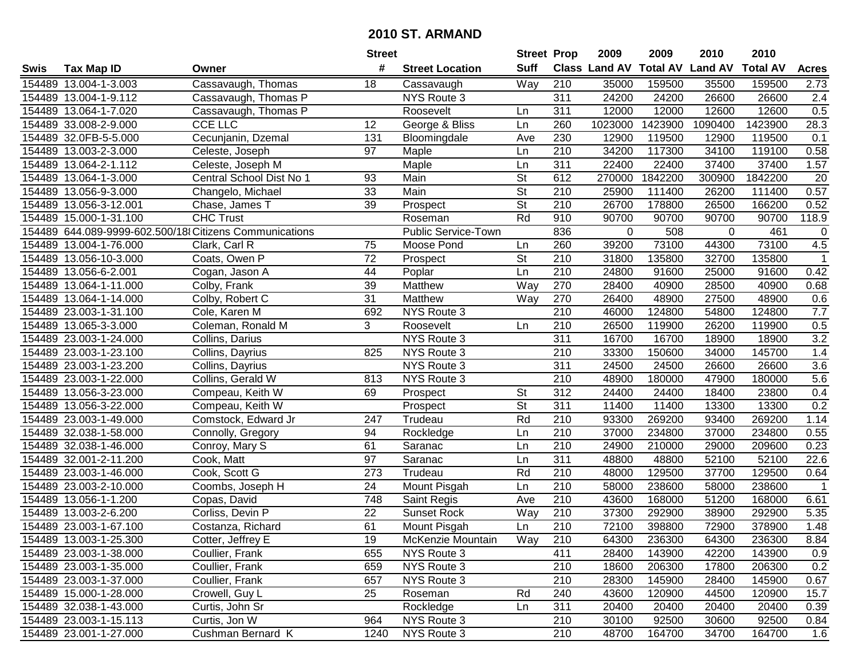|        |                        |                                                        | <b>Street</b>   |                            | <b>Street Prop</b>       |                  | 2009          | 2009    | 2010                    | 2010            |                  |
|--------|------------------------|--------------------------------------------------------|-----------------|----------------------------|--------------------------|------------------|---------------|---------|-------------------------|-----------------|------------------|
| Swis   | <b>Tax Map ID</b>      | Owner                                                  | #               | <b>Street Location</b>     | <b>Suff</b>              |                  | Class Land AV |         | <b>Total AV Land AV</b> | <b>Total AV</b> | <b>Acres</b>     |
|        | 154489 13.004-1-3.003  | Cassavaugh, Thomas                                     | 18              | Cassavaugh                 | Way                      | 210              | 35000         | 159500  | 35500                   | 159500          | 2.73             |
|        | 154489 13.004-1-9.112  | Cassavaugh, Thomas P                                   |                 | NYS Route 3                |                          | 311              | 24200         | 24200   | 26600                   | 26600           | 2.4              |
|        | 154489 13.064-1-7.020  | Cassavaugh, Thomas P                                   |                 | Roosevelt                  | Ln                       | 311              | 12000         | 12000   | 12600                   | 12600           | 0.5              |
|        | 154489 33.008-2-9.000  | <b>CCE LLC</b>                                         | 12              | George & Bliss             | Ln                       | 260              | 1023000       | 1423900 | 1090400                 | 1423900         | 28.3             |
|        | 154489 32.0FB-5-5.000  | Cecunjanin, Dzemal                                     | 131             | Bloomingdale               | Ave                      | 230              | 12900         | 119500  | 12900                   | 119500          | 0.1              |
|        | 154489 13.003-2-3.000  | Celeste, Joseph                                        | 97              | Maple                      | Ln                       | $\overline{210}$ | 34200         | 117300  | 34100                   | 119100          | 0.58             |
|        | 154489 13.064-2-1.112  | Celeste, Joseph M                                      |                 | Maple                      | Ln                       | 311              | 22400         | 22400   | 37400                   | 37400           | 1.57             |
| 154489 | 13.064-1-3.000         | Central School Dist No 1                               | $\overline{93}$ | Main                       | $\overline{\mathsf{St}}$ | 612              | 270000        | 1842200 | 300900                  | 1842200         | $\overline{20}$  |
|        | 154489 13.056-9-3.000  | Changelo, Michael                                      | 33              | Main                       | $\overline{\mathsf{St}}$ | $\overline{210}$ | 25900         | 111400  | 26200                   | 111400          | 0.57             |
|        | 154489 13.056-3-12.001 | Chase, James T                                         | 39              | Prospect                   | $\overline{\mathsf{St}}$ | 210              | 26700         | 178800  | 26500                   | 166200          | 0.52             |
|        | 154489 15.000-1-31.100 | <b>CHC Trust</b>                                       |                 | Roseman                    | Rd                       | 910              | 90700         | 90700   | 90700                   | 90700           | 118.9            |
|        |                        | 154489 644.089-9999-602.500/18 Citizens Communications |                 | <b>Public Service-Town</b> |                          | 836              | 0             | 508     | 0                       | 461             | 0                |
|        | 154489 13.004-1-76.000 | Clark, Carl R                                          | 75              | Moose Pond                 | Ln                       | 260              | 39200         | 73100   | 44300                   | 73100           | 4.5              |
|        | 154489 13.056-10-3.000 | Coats, Owen P                                          | $\overline{72}$ | Prospect                   | <b>St</b>                | 210              | 31800         | 135800  | 32700                   | 135800          | $\overline{1}$   |
|        | 154489 13.056-6-2.001  | Cogan, Jason A                                         | 44              | Poplar                     | Ln                       | 210              | 24800         | 91600   | 25000                   | 91600           | 0.42             |
|        | 154489 13.064-1-11.000 | Colby, Frank                                           | 39              | Matthew                    | Way                      | 270              | 28400         | 40900   | 28500                   | 40900           | 0.68             |
|        | 154489 13.064-1-14.000 | Colby, Robert C                                        | $\overline{31}$ | Matthew                    | Way                      | 270              | 26400         | 48900   | 27500                   | 48900           | 0.6              |
|        | 154489 23.003-1-31.100 | Cole, Karen M                                          | 692             | NYS Route 3                |                          | 210              | 46000         | 124800  | 54800                   | 124800          | 7.7              |
|        | 154489 13.065-3-3.000  | Coleman, Ronald M                                      | 3               | Roosevelt                  | Ln                       | 210              | 26500         | 119900  | 26200                   | 119900          | 0.5              |
|        | 154489 23.003-1-24.000 | Collins, Darius                                        |                 | NYS Route 3                |                          | 311              | 16700         | 16700   | 18900                   | 18900           | $\overline{3.2}$ |
|        | 154489 23.003-1-23.100 | Collins, Dayrius                                       | 825             | NYS Route 3                |                          | 210              | 33300         | 150600  | 34000                   | 145700          | 1.4              |
|        | 154489 23.003-1-23.200 | Collins, Dayrius                                       |                 | NYS Route 3                |                          | 311              | 24500         | 24500   | 26600                   | 26600           | 3.6              |
|        | 154489 23.003-1-22.000 | Collins, Gerald W                                      | 813             | NYS Route 3                |                          | 210              | 48900         | 180000  | 47900                   | 180000          | 5.6              |
| 154489 | 13.056-3-23.000        | Compeau, Keith W                                       | 69              | Prospect                   | St                       | 312              | 24400         | 24400   | 18400                   | 23800           | 0.4              |
|        | 154489 13.056-3-22.000 | Compeau, Keith W                                       |                 | Prospect                   | $\overline{St}$          | 311              | 11400         | 11400   | 13300                   | 13300           | 0.2              |
|        | 154489 23.003-1-49.000 | Comstock, Edward Jr                                    | 247             | Trudeau                    | Rd                       | 210              | 93300         | 269200  | 93400                   | 269200          | 1.14             |
|        | 154489 32.038-1-58.000 | Connolly, Gregory                                      | 94              | Rockledge                  | Ln                       | 210              | 37000         | 234800  | 37000                   | 234800          | 0.55             |
|        | 154489 32.038-1-46.000 | Conroy, Mary S                                         | 61              | Saranac                    | Ln                       | 210              | 24900         | 210000  | 29000                   | 209600          | 0.23             |
|        | 154489 32.001-2-11.200 | Cook, Matt                                             | 97              | Saranac                    | Ln                       | 311              | 48800         | 48800   | 52100                   | 52100           | 22.6             |
|        | 154489 23.003-1-46.000 | Cook, Scott G                                          | 273             | Trudeau                    | Rd                       | $\overline{210}$ | 48000         | 129500  | 37700                   | 129500          | 0.64             |
|        | 154489 23.003-2-10.000 | Coombs, Joseph H                                       | $\overline{24}$ | Mount Pisgah               | Ln                       | 210              | 58000         | 238600  | 58000                   | 238600          | $\overline{1}$   |
|        | 154489 13.056-1-1.200  | Copas, David                                           | 748             | <b>Saint Regis</b>         | Ave                      | $\overline{210}$ | 43600         | 168000  | 51200                   | 168000          | 6.61             |
|        | 154489 13.003-2-6.200  | Corliss, Devin P                                       | $\overline{22}$ | <b>Sunset Rock</b>         | Way                      | $\overline{210}$ | 37300         | 292900  | 38900                   | 292900          | 5.35             |
|        | 154489 23.003-1-67.100 | Costanza, Richard                                      | 61              | Mount Pisgah               | Ln                       | 210              | 72100         | 398800  | 72900                   | 378900          | 1.48             |
|        | 154489 13.003-1-25.300 | Cotter, Jeffrey E                                      | 19              | McKenzie Mountain          | Way                      | 210              | 64300         | 236300  | 64300                   | 236300          | 8.84             |
|        | 154489 23.003-1-38.000 | Coullier, Frank                                        | 655             | NYS Route 3                |                          | 411              | 28400         | 143900  | 42200                   | 143900          | 0.9              |
|        | 154489 23.003-1-35.000 | Coullier, Frank                                        | 659             | NYS Route 3                |                          | 210              | 18600         | 206300  | 17800                   | 206300          | 0.2              |
|        | 154489 23.003-1-37.000 | Coullier, Frank                                        | 657             | NYS Route 3                |                          | 210              | 28300         | 145900  | 28400                   | 145900          | 0.67             |
|        | 154489 15.000-1-28.000 | Crowell, Guy L                                         | 25              | Roseman                    | Rd                       | 240              | 43600         | 120900  | 44500                   | 120900          | 15.7             |
|        | 154489 32.038-1-43.000 | Curtis, John Sr                                        |                 | Rockledge                  | Ln                       | 311              | 20400         | 20400   | 20400                   | 20400           | 0.39             |
|        | 154489 23.003-1-15.113 | Curtis, Jon W                                          | 964             | NYS Route 3                |                          | 210              | 30100         | 92500   | 30600                   | 92500           | 0.84             |
|        | 154489 23.001-1-27.000 | Cushman Bernard K                                      | 1240            | NYS Route 3                |                          | 210              | 48700         | 164700  | 34700                   | 164700          | 1.6              |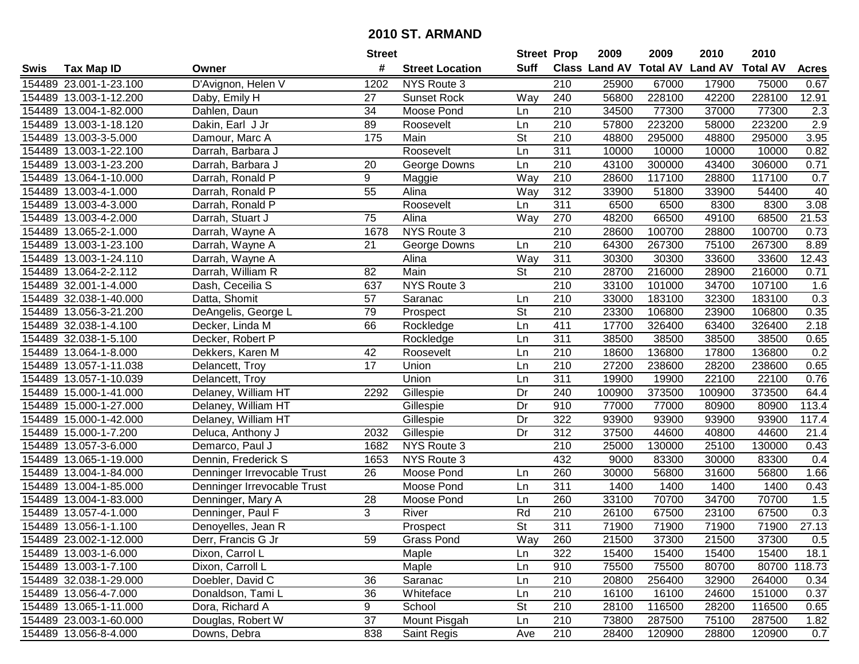|      |                        |                             | <b>Street</b>   |                        | <b>Street Prop</b>       |                  | 2009          | 2009            | 2010           | 2010            |              |
|------|------------------------|-----------------------------|-----------------|------------------------|--------------------------|------------------|---------------|-----------------|----------------|-----------------|--------------|
| Swis | <b>Tax Map ID</b>      | Owner                       | #               | <b>Street Location</b> | Suff                     |                  | Class Land AV | <b>Total AV</b> | <b>Land AV</b> | <b>Total AV</b> | <b>Acres</b> |
|      | 154489 23.001-1-23.100 | D'Avignon, Helen V          | 1202            | NYS Route 3            |                          | 210              | 25900         | 67000           | 17900          | 75000           | 0.67         |
|      | 154489 13.003-1-12.200 | Daby, Emily H               | 27              | <b>Sunset Rock</b>     | Way                      | 240              | 56800         | 228100          | 42200          | 228100          | 12.91        |
|      | 154489 13.004-1-82.000 | Dahlen, Daun                | 34              | Moose Pond             | Ln                       | 210              | 34500         | 77300           | 37000          | 77300           | 2.3          |
|      | 154489 13.003-1-18.120 | Dakin, Earl J Jr            | 89              | Roosevelt              | Ln                       | 210              | 57800         | 223200          | 58000          | 223200          | 2.9          |
|      | 154489 13.003-3-5.000  | Damour, Marc A              | 175             | Main                   | <b>St</b>                | 210              | 48800         | 295000          | 48800          | 295000          | 3.95         |
|      | 154489 13.003-1-22.100 | Darrah, Barbara J           |                 | Roosevelt              | Ln                       | 311              | 10000         | 10000           | 10000          | 10000           | 0.82         |
|      | 154489 13.003-1-23.200 | Darrah, Barbara J           | 20              | George Downs           | Ln                       | 210              | 43100         | 300000          | 43400          | 306000          | 0.71         |
|      | 154489 13.064-1-10.000 | Darrah, Ronald P            | 9               | Maggie                 | Way                      | 210              | 28600         | 117100          | 28800          | 117100          | 0.7          |
|      | 154489 13.003-4-1.000  | Darrah, Ronald P            | $\overline{55}$ | Alina                  | Way                      | 312              | 33900         | 51800           | 33900          | 54400           | 40           |
|      | 154489 13.003-4-3.000  | Darrah, Ronald P            |                 | Roosevelt              | Ln                       | 311              | 6500          | 6500            | 8300           | 8300            | 3.08         |
|      | 154489 13.003-4-2.000  | Darrah, Stuart J            | 75              | Alina                  | Way                      | 270              | 48200         | 66500           | 49100          | 68500           | 21.53        |
|      | 154489 13.065-2-1.000  | Darrah, Wayne A             | 1678            | NYS Route 3            |                          | 210              | 28600         | 100700          | 28800          | 100700          | 0.73         |
|      | 154489 13.003-1-23.100 | Darrah, Wayne A             | 21              | George Downs           | Ln                       | 210              | 64300         | 267300          | 75100          | 267300          | 8.89         |
|      | 154489 13.003-1-24.110 | Darrah, Wayne A             |                 | Alina                  | Way                      | 311              | 30300         | 30300           | 33600          | 33600           | 12.43        |
|      | 154489 13.064-2-2.112  | Darrah, William R           | 82              | Main                   | <b>St</b>                | 210              | 28700         | 216000          | 28900          | 216000          | 0.71         |
|      | 154489 32.001-1-4.000  | Dash, Ceceilia S            | 637             | NYS Route 3            |                          | 210              | 33100         | 101000          | 34700          | 107100          | 1.6          |
|      | 154489 32.038-1-40.000 | Datta, Shomit               | 57              | Saranac                | Ln                       | 210              | 33000         | 183100          | 32300          | 183100          | 0.3          |
|      | 154489 13.056-3-21.200 | DeAngelis, George L         | 79              | Prospect               | $\overline{\mathsf{St}}$ | 210              | 23300         | 106800          | 23900          | 106800          | 0.35         |
|      | 154489 32.038-1-4.100  | Decker, Linda M             | 66              | Rockledge              | Ln                       | 411              | 17700         | 326400          | 63400          | 326400          | 2.18         |
|      | 154489 32.038-1-5.100  | Decker, Robert P            |                 | Rockledge              | Ln                       | 311              | 38500         | 38500           | 38500          | 38500           | 0.65         |
|      | 154489 13.064-1-8.000  | Dekkers, Karen M            | 42              | Roosevelt              | Ln                       | 210              | 18600         | 136800          | 17800          | 136800          | 0.2          |
|      | 154489 13.057-1-11.038 | Delancett, Troy             | 17              | Union                  | Ln                       | 210              | 27200         | 238600          | 28200          | 238600          | 0.65         |
|      | 154489 13.057-1-10.039 | Delancett, Troy             |                 | Union                  | Ln                       | 311              | 19900         | 19900           | 22100          | 22100           | 0.76         |
|      | 154489 15.000-1-41.000 | Delaney, William HT         | 2292            | Gillespie              | Dr                       | 240              | 100900        | 373500          | 100900         | 373500          | 64.4         |
|      | 154489 15.000-1-27.000 | Delaney, William HT         |                 | Gillespie              | Dr                       | 910              | 77000         | 77000           | 80900          | 80900           | 113.4        |
|      | 154489 15.000-1-42.000 | Delaney, William HT         |                 | Gillespie              | Dr                       | 322              | 93900         | 93900           | 93900          | 93900           | 117.4        |
|      | 154489 15.000-1-7.200  | Deluca, Anthony J           | 2032            | Gillespie              | Dr                       | 312              | 37500         | 44600           | 40800          | 44600           | 21.4         |
|      | 154489 13.057-3-6.000  | Demarco, Paul J             | 1682            | NYS Route 3            |                          | 210              | 25000         | 130000          | 25100          | 130000          | 0.43         |
|      | 154489 13.065-1-19.000 | Dennin, Frederick S         | 1653            | NYS Route 3            |                          | 432              | 9000          | 83300           | 30000          | 83300           | 0.4          |
|      | 154489 13.004-1-84.000 | Denninger Irrevocable Trust | 26              | Moose Pond             | Ln                       | 260              | 30000         | 56800           | 31600          | 56800           | 1.66         |
|      | 154489 13.004-1-85.000 | Denninger Irrevocable Trust |                 | Moose Pond             | Ln                       | 311              | 1400          | 1400            | 1400           | 1400            | 0.43         |
|      | 154489 13.004-1-83.000 | Denninger, Mary A           | 28              | Moose Pond             | Ln                       | 260              | 33100         | 70700           | 34700          | 70700           | 1.5          |
|      | 154489 13.057-4-1.000  | Denninger, Paul F           | 3               | River                  | Rd                       | $\overline{210}$ | 26100         | 67500           | 23100          | 67500           | 0.3          |
|      | 154489 13.056-1-1.100  | Denoyelles, Jean R          |                 | Prospect               | $\overline{\mathsf{St}}$ | 311              | 71900         | 71900           | 71900          | 71900           | 27.13        |
|      | 154489 23.002-1-12.000 | Derr, Francis G Jr          | 59              | Grass Pond             | Way                      | 260              | 21500         | 37300           | 21500          | 37300           | 0.5          |
|      | 154489 13.003-1-6.000  | Dixon, Carrol L             |                 | Maple                  | Ln                       | 322              | 15400         | 15400           | 15400          | 15400           | 18.1         |
|      | 154489 13.003-1-7.100  | Dixon, Carroll L            |                 | Maple                  | Ln                       | 910              | 75500         | 75500           | 80700          |                 | 80700 118.73 |
|      | 154489 32.038-1-29.000 | Doebler, David C            | 36              | Saranac                | Ln                       | 210              | 20800         | 256400          | 32900          | 264000          | 0.34         |
|      | 154489 13.056-4-7.000  | Donaldson, Tami L           | 36              | Whiteface              | Ln                       | 210              | 16100         | 16100           | 24600          | 151000          | 0.37         |
|      | 154489 13.065-1-11.000 | Dora, Richard A             | 9               | School                 | <b>St</b>                | 210              | 28100         | 116500          | 28200          | 116500          | 0.65         |
|      | 154489 23.003-1-60.000 | Douglas, Robert W           | 37              | Mount Pisgah           | Ln                       | 210              | 73800         | 287500          | 75100          | 287500          | 1.82         |
|      | 154489 13.056-8-4.000  | Downs, Debra                | 838             | Saint Regis            | Ave                      | 210              | 28400         | 120900          | 28800          | 120900          | 0.7          |
|      |                        |                             |                 |                        |                          |                  |               |                 |                |                 |              |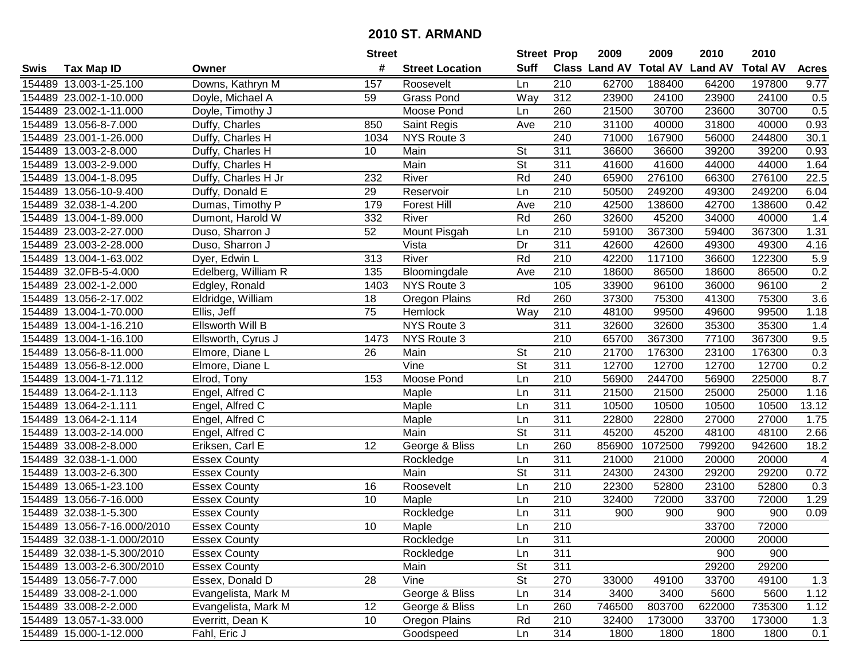|        |                             |                     | <b>Street</b>   |                        | <b>Street Prop</b>       |                  | 2009          | 2009            | 2010           | 2010            |              |
|--------|-----------------------------|---------------------|-----------------|------------------------|--------------------------|------------------|---------------|-----------------|----------------|-----------------|--------------|
| Swis   | <b>Tax Map ID</b>           | Owner               | #               | <b>Street Location</b> | <b>Suff</b>              |                  | Class Land AV | <b>Total AV</b> | <b>Land AV</b> | <b>Total AV</b> | <b>Acres</b> |
|        | 154489 13.003-1-25.100      | Downs, Kathryn M    | 157             | Roosevelt              | Ln                       | 210              | 62700         | 188400          | 64200          | 197800          | 9.77         |
|        | 154489 23.002-1-10.000      | Doyle, Michael A    | 59              | <b>Grass Pond</b>      | Way                      | 312              | 23900         | 24100           | 23900          | 24100           | 0.5          |
|        | 154489 23.002-1-11.000      | Doyle, Timothy J    |                 | Moose Pond             | Ln                       | 260              | 21500         | 30700           | 23600          | 30700           | 0.5          |
|        | 154489 13.056-8-7.000       | Duffy, Charles      | 850             | Saint Regis            | Ave                      | 210              | 31100         | 40000           | 31800          | 40000           | 0.93         |
|        | 154489 23.001-1-26.000      | Duffy, Charles H    | 1034            | NYS Route 3            |                          | 240              | 71000         | 167900          | 56000          | 244800          | 30.1         |
|        | 154489 13.003-2-8.000       | Duffy, Charles H    | 10              | Main                   | $\overline{\mathsf{St}}$ | $\overline{311}$ | 36600         | 36600           | 39200          | 39200           | 0.93         |
|        | 154489 13.003-2-9.000       | Duffy, Charles H    |                 | Main                   | <b>St</b>                | 311              | 41600         | 41600           | 44000          | 44000           | 1.64         |
|        | 154489 13.004-1-8.095       | Duffy, Charles H Jr | 232             | River                  | Rd                       | 240              | 65900         | 276100          | 66300          | 276100          | 22.5         |
|        | 154489 13.056-10-9.400      | Duffy, Donald E     | 29              | Reservoir              | Ln                       | $\overline{210}$ | 50500         | 249200          | 49300          | 249200          | 6.04         |
|        | 154489 32.038-1-4.200       | Dumas, Timothy P    | 179             | <b>Forest Hill</b>     | Ave                      | 210              | 42500         | 138600          | 42700          | 138600          | 0.42         |
|        | 154489 13.004-1-89.000      | Dumont, Harold W    | 332             | River                  | Rd                       | 260              | 32600         | 45200           | 34000          | 40000           | 1.4          |
|        | 154489 23.003-2-27.000      | Duso, Sharron J     | 52              | Mount Pisgah           | Ln                       | 210              | 59100         | 367300          | 59400          | 367300          | 1.31         |
|        | 154489 23.003-2-28.000      | Duso, Sharron J     |                 | Vista                  | Dr                       | 311              | 42600         | 42600           | 49300          | 49300           | 4.16         |
|        | 154489 13.004-1-63.002      | Dyer, Edwin L       | 313             | River                  | Rd                       | 210              | 42200         | 117100          | 36600          | 122300          | 5.9          |
|        | 154489 32.0FB-5-4.000       | Edelberg, William R | 135             | Bloomingdale           | Ave                      | 210              | 18600         | 86500           | 18600          | 86500           | 0.2          |
|        | 154489 23.002-1-2.000       | Edgley, Ronald      | 1403            | NYS Route 3            |                          | 105              | 33900         | 96100           | 36000          | 96100           | $\sqrt{2}$   |
|        | 154489 13.056-2-17.002      | Eldridge, William   | 18              | Oregon Plains          | Rd                       | 260              | 37300         | 75300           | 41300          | 75300           | 3.6          |
|        | 154489 13.004-1-70.000      | Ellis, Jeff         | $\overline{75}$ | Hemlock                | Way                      | 210              | 48100         | 99500           | 49600          | 99500           | 1.18         |
|        | 154489 13.004-1-16.210      | Ellsworth Will B    |                 | NYS Route 3            |                          | 311              | 32600         | 32600           | 35300          | 35300           | 1.4          |
|        | 154489 13.004-1-16.100      | Ellsworth, Cyrus J  | 1473            | NYS Route 3            |                          | 210              | 65700         | 367300          | 77100          | 367300          | 9.5          |
|        | 154489 13.056-8-11.000      | Elmore, Diane L     | 26              | Main                   | <b>St</b>                | 210              | 21700         | 176300          | 23100          | 176300          | 0.3          |
|        | 154489 13.056-8-12.000      | Elmore, Diane L     |                 | Vine                   | St                       | 311              | 12700         | 12700           | 12700          | 12700           | 0.2          |
| 154489 | 13.004-1-71.112             | Elrod, Tony         | 153             | Moose Pond             | Ln                       | 210              | 56900         | 244700          | 56900          | 225000          | 8.7          |
| 154489 | 13.064-2-1.113              | Engel, Alfred C     |                 | Maple                  | Ln                       | 311              | 21500         | 21500           | 25000          | 25000           | 1.16         |
|        | 154489 13.064-2-1.111       | Engel, Alfred C     |                 | Maple                  | Ln                       | 311              | 10500         | 10500           | 10500          | 10500           | 13.12        |
|        | 154489 13.064-2-1.114       | Engel, Alfred C     |                 | Maple                  | Ln                       | 311              | 22800         | 22800           | 27000          | 27000           | 1.75         |
|        | 154489 13.003-2-14.000      | Engel, Alfred C     |                 | Main                   | $\overline{\mathsf{St}}$ | 311              | 45200         | 45200           | 48100          | 48100           | 2.66         |
|        | 154489 33.008-2-8.000       | Eriksen, Carl E     | 12              | George & Bliss         | Ln                       | 260              | 856900        | 1072500         | 799200         | 942600          | 18.2         |
|        | 154489 32.038-1-1.000       | <b>Essex County</b> |                 | Rockledge              | Ln                       | 311              | 21000         | 21000           | 20000          | 20000           | 4            |
|        | 154489 13.003-2-6.300       | <b>Essex County</b> |                 | Main                   | $\overline{\mathsf{St}}$ | $\overline{311}$ | 24300         | 24300           | 29200          | 29200           | 0.72         |
|        | 154489 13.065-1-23.100      | <b>Essex County</b> | 16              | Roosevelt              | Ln                       | $\overline{210}$ | 22300         | 52800           | 23100          | 52800           | 0.3          |
|        | 154489 13.056-7-16.000      | <b>Essex County</b> | 10              | Maple                  | Ln                       | 210              | 32400         | 72000           | 33700          | 72000           | 1.29         |
|        | 154489 32.038-1-5.300       | <b>Essex County</b> |                 | Rockledge              | Ln                       | 311              | 900           | 900             | 900            | 900             | 0.09         |
|        | 154489 13.056-7-16.000/2010 | <b>Essex County</b> | 10              | Maple                  | Ln                       | $\overline{210}$ |               |                 | 33700          | 72000           |              |
|        | 154489 32.038-1-1.000/2010  | <b>Essex County</b> |                 | Rockledge              | Ln                       | 311              |               |                 | 20000          | 20000           |              |
|        | 154489 32.038-1-5.300/2010  | <b>Essex County</b> |                 | Rockledge              | Ln                       | 311              |               |                 | 900            | 900             |              |
|        | 154489 13.003-2-6.300/2010  | <b>Essex County</b> |                 | Main                   | <b>St</b>                | 311              |               |                 | 29200          | 29200           |              |
|        | 154489 13.056-7-7.000       | Essex, Donald D     | 28              | $\overline{V}$ ine     | <b>St</b>                | 270              | 33000         | 49100           | 33700          | 49100           | 1.3          |
|        | 154489 33.008-2-1.000       | Evangelista, Mark M |                 | George & Bliss         | Ln                       | 314              | 3400          | 3400            | 5600           | 5600            | 1.12         |
|        | 154489 33.008-2-2.000       | Evangelista, Mark M | 12              | George & Bliss         | Ln                       | 260              | 746500        | 803700          | 622000         | 735300          | 1.12         |
|        | 154489 13.057-1-33.000      | Everritt, Dean K    | 10              | Oregon Plains          | Rd                       | 210              | 32400         | 173000          | 33700          | 173000          | 1.3          |
|        | 154489 15.000-1-12.000      | Fahl, Eric J        |                 | Goodspeed              | Ln                       | 314              | 1800          | 1800            | 1800           | 1800            | 0.1          |
|        |                             |                     |                 |                        |                          |                  |               |                 |                |                 |              |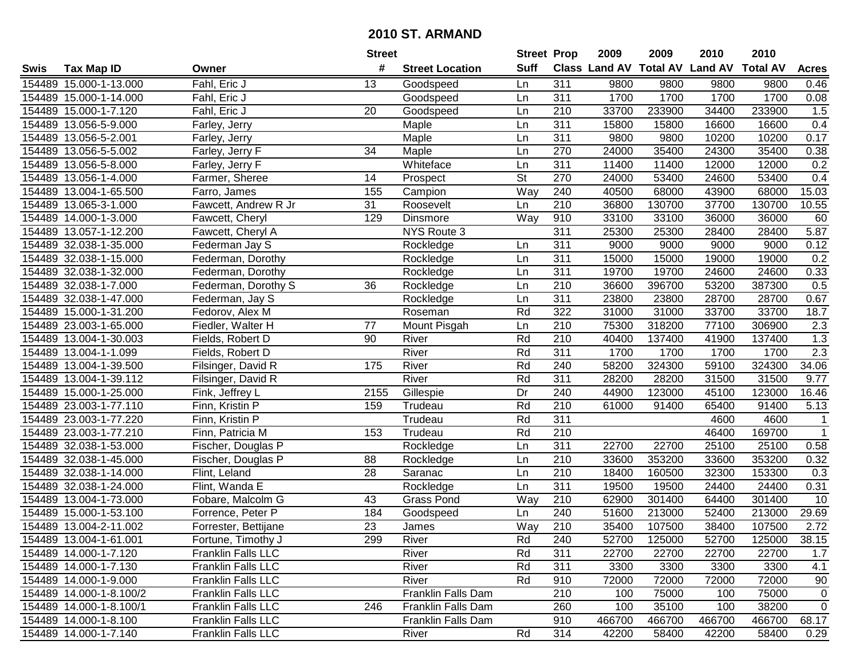|        |                         |                           | <b>Street</b>   |                        | <b>Street Prop</b>       |                  | 2009   | 2009   | 2010                           | 2010            |              |
|--------|-------------------------|---------------------------|-----------------|------------------------|--------------------------|------------------|--------|--------|--------------------------------|-----------------|--------------|
| Swis   | <b>Tax Map ID</b>       | Owner                     | #               | <b>Street Location</b> | <b>Suff</b>              |                  |        |        | Class Land AV Total AV Land AV | <b>Total AV</b> | <b>Acres</b> |
|        | 154489 15.000-1-13.000  | Fahl, Eric J              | 13              | Goodspeed              | Ln                       | 311              | 9800   | 9800   | 9800                           | 9800            | 0.46         |
|        | 154489 15.000-1-14.000  | Fahl, Eric J              |                 | Goodspeed              | Ln                       | 311              | 1700   | 1700   | 1700                           | 1700            | 0.08         |
|        | 154489 15.000-1-7.120   | Fahl, Eric J              | 20              | Goodspeed              | Ln                       | 210              | 33700  | 233900 | 34400                          | 233900          | 1.5          |
|        | 154489 13.056-5-9.000   | Farley, Jerry             |                 | Maple                  | Ln                       | 311              | 15800  | 15800  | 16600                          | 16600           | 0.4          |
|        | 154489 13.056-5-2.001   | Farley, Jerry             |                 | Maple                  | Ln                       | $\overline{311}$ | 9800   | 9800   | 10200                          | 10200           | 0.17         |
|        | 154489 13.056-5-5.002   | Farley, Jerry F           | 34              | Maple                  | Ln                       | 270              | 24000  | 35400  | 24300                          | 35400           | 0.38         |
|        | 154489 13.056-5-8.000   | Farley, Jerry F           |                 | Whiteface              | Ln                       | 311              | 11400  | 11400  | 12000                          | 12000           | 0.2          |
| 154489 | 13.056-1-4.000          | Farmer, Sheree            | 14              | Prospect               | $\overline{\mathsf{St}}$ | 270              | 24000  | 53400  | 24600                          | 53400           | 0.4          |
|        | 154489 13.004-1-65.500  | Farro, James              | 155             | Campion                | Way                      | $\overline{240}$ | 40500  | 68000  | 43900                          | 68000           | 15.03        |
|        | 154489 13.065-3-1.000   | Fawcett, Andrew R Jr      | 31              | Roosevelt              | Ln                       | 210              | 36800  | 130700 | 37700                          | 130700          | 10.55        |
|        | 154489 14.000-1-3.000   | Fawcett, Cheryl           | 129             | Dinsmore               | Way                      | 910              | 33100  | 33100  | 36000                          | 36000           | 60           |
|        | 154489 13.057-1-12.200  | Fawcett, Cheryl A         |                 | NYS Route 3            |                          | 311              | 25300  | 25300  | 28400                          | 28400           | 5.87         |
|        | 154489 32.038-1-35.000  | Federman Jay S            |                 | Rockledge              | Ln                       | 311              | 9000   | 9000   | 9000                           | 9000            | 0.12         |
|        | 154489 32.038-1-15.000  | Federman, Dorothy         |                 | Rockledge              | Ln                       | 311              | 15000  | 15000  | 19000                          | 19000           | 0.2          |
|        | 154489 32.038-1-32.000  | Federman, Dorothy         |                 | Rockledge              | Ln                       | 311              | 19700  | 19700  | 24600                          | 24600           | 0.33         |
|        | 154489 32.038-1-7.000   | Federman, Dorothy S       | 36              | Rockledge              | Ln                       | 210              | 36600  | 396700 | 53200                          | 387300          | 0.5          |
|        | 154489 32.038-1-47.000  | Federman, Jay S           |                 | Rockledge              | Ln                       | $\overline{311}$ | 23800  | 23800  | 28700                          | 28700           | 0.67         |
|        | 154489 15.000-1-31.200  | Fedorov, Alex M           |                 | Roseman                | Rd                       | 322              | 31000  | 31000  | 33700                          | 33700           | 18.7         |
|        | 154489 23.003-1-65.000  | Fiedler, Walter H         | 77              | Mount Pisgah           | Ln                       | 210              | 75300  | 318200 | 77100                          | 306900          | 2.3          |
|        | 154489 13.004-1-30.003  | Fields, Robert D          | 90              | River                  | Rd                       | 210              | 40400  | 137400 | 41900                          | 137400          | 1.3          |
|        | 154489 13.004-1-1.099   | Fields, Robert D          |                 | River                  | Rd                       | 311              | 1700   | 1700   | 1700                           | 1700            | 2.3          |
|        | 154489 13.004-1-39.500  | Filsinger, David R        | 175             | River                  | Rd                       | 240              | 58200  | 324300 | 59100                          | 324300          | 34.06        |
| 154489 | 13.004-1-39.112         | Filsinger, David R        |                 | River                  | Rd                       | 311              | 28200  | 28200  | 31500                          | 31500           | 9.77         |
| 154489 | 15.000-1-25.000         | Fink, Jeffrey L           | 2155            | Gillespie              | Dr                       | 240              | 44900  | 123000 | 45100                          | 123000          | 16.46        |
|        | 154489 23.003-1-77.110  | Finn, Kristin P           | 159             | Trudeau                | Rd                       | 210              | 61000  | 91400  | 65400                          | 91400           | 5.13         |
|        | 154489 23.003-1-77.220  | Finn, Kristin P           |                 | Trudeau                | Rd                       | 311              |        |        | 4600                           | 4600            | $\mathbf{1}$ |
|        | 154489 23.003-1-77.210  | Finn, Patricia M          | 153             | Trudeau                | Rd                       | 210              |        |        | 46400                          | 169700          | $\mathbf{1}$ |
|        | 154489 32.038-1-53.000  | Fischer, Douglas P        |                 | Rockledge              | Ln                       | 311              | 22700  | 22700  | 25100                          | 25100           | 0.58         |
|        | 154489 32.038-1-45.000  | Fischer, Douglas P        | 88              | Rockledge              | Ln                       | $\overline{210}$ | 33600  | 353200 | 33600                          | 353200          | 0.32         |
|        | 154489 32.038-1-14.000  | Flint, Leland             | 28              | Saranac                | Ln                       | $\overline{210}$ | 18400  | 160500 | 32300                          | 153300          | 0.3          |
|        | 154489 32.038-1-24.000  | Flint, Wanda E            |                 | Rockledge              | Ln                       | 311              | 19500  | 19500  | 24400                          | 24400           | 0.31         |
|        | 154489 13.004-1-73.000  | Fobare, Malcolm G         | 43              | Grass Pond             | Way                      | 210              | 62900  | 301400 | 64400                          | 301400          | 10           |
|        | 154489 15.000-1-53.100  | Forrence, Peter P         | 184             | Goodspeed              | Ln                       | 240              | 51600  | 213000 | 52400                          | 213000          | 29.69        |
|        | 154489 13.004-2-11.002  | Forrester, Bettijane      | $\overline{23}$ | James                  | Way                      | 210              | 35400  | 107500 | 38400                          | 107500          | 2.72         |
|        | 154489 13.004-1-61.001  | Fortune, Timothy J        | 299             | River                  | Rd                       | 240              | 52700  | 125000 | 52700                          | 125000          | 38.15        |
|        | 154489 14.000-1-7.120   | Franklin Falls LLC        |                 | River                  | Rd                       | 311              | 22700  | 22700  | 22700                          | 22700           | 1.7          |
|        | 154489 14.000-1-7.130   | <b>Franklin Falls LLC</b> |                 | River                  | Rd                       | 311              | 3300   | 3300   | 3300                           | 3300            | 4.1          |
|        | 154489 14.000-1-9.000   | Franklin Falls LLC        |                 | River                  | Rd                       | 910              | 72000  | 72000  | 72000                          | 72000           | 90           |
|        | 154489 14.000-1-8.100/2 | Franklin Falls LLC        |                 | Franklin Falls Dam     |                          | 210              | 100    | 75000  | 100                            | 75000           | $\mathbf 0$  |
|        | 154489 14.000-1-8.100/1 | Franklin Falls LLC        | 246             | Franklin Falls Dam     |                          | 260              | 100    | 35100  | 100                            | 38200           | $\mathbf 0$  |
|        | 154489 14.000-1-8.100   | Franklin Falls LLC        |                 | Franklin Falls Dam     |                          | 910              | 466700 | 466700 | 466700                         | 466700          | 68.17        |
|        | 154489 14.000-1-7.140   | Franklin Falls LLC        |                 | River                  | Rd                       | 314              | 42200  | 58400  | 42200                          | 58400           | 0.29         |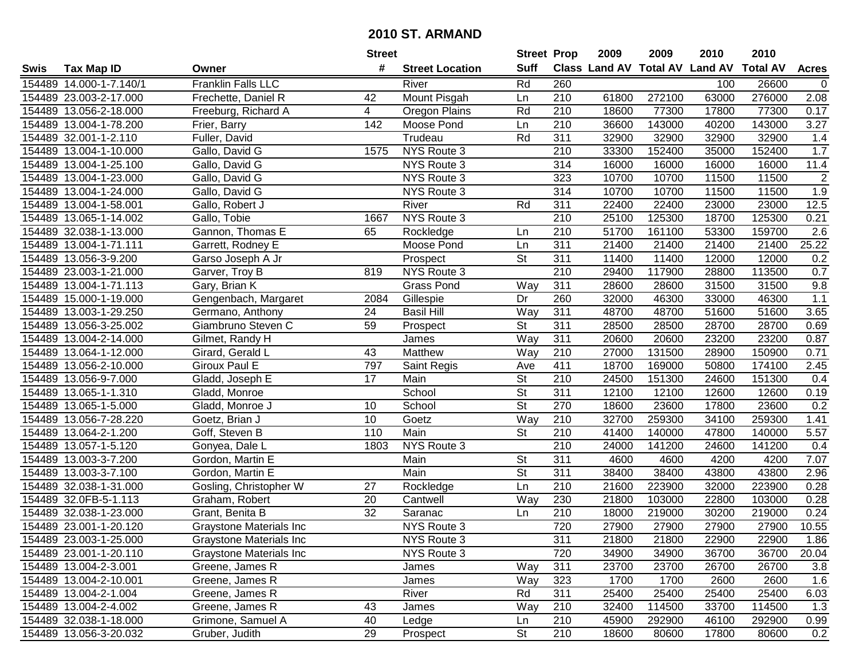|        |                         |                                 | <b>Street</b>   |                        | <b>Street Prop</b>       |                  | 2009  | 2009   | 2010                           | 2010            |                |
|--------|-------------------------|---------------------------------|-----------------|------------------------|--------------------------|------------------|-------|--------|--------------------------------|-----------------|----------------|
| Swis   | <b>Tax Map ID</b>       | Owner                           | #               | <b>Street Location</b> | <b>Suff</b>              |                  |       |        | Class Land AV Total AV Land AV | <b>Total AV</b> | <b>Acres</b>   |
|        | 154489 14.000-1-7.140/1 | Franklin Falls LLC              |                 | River                  | Rd                       | 260              |       |        | 100                            | 26600           | $\mathbf 0$    |
|        | 154489 23.003-2-17.000  | Frechette, Daniel R             | 42              | Mount Pisgah           | Ln                       | 210              | 61800 | 272100 | 63000                          | 276000          | 2.08           |
|        | 154489 13.056-2-18.000  | Freeburg, Richard A             | 4               | Oregon Plains          | Rd                       | 210              | 18600 | 77300  | 17800                          | 77300           | 0.17           |
|        | 154489 13.004-1-78.200  | Frier, Barry                    | 142             | Moose Pond             | Ln                       | 210              | 36600 | 143000 | 40200                          | 143000          | 3.27           |
|        | 154489 32.001-1-2.110   | Fuller, David                   |                 | Trudeau                | Rd                       | 311              | 32900 | 32900  | 32900                          | 32900           | 1.4            |
|        | 154489 13.004-1-10.000  | Gallo, David G                  | 1575            | NYS Route 3            |                          | 210              | 33300 | 152400 | 35000                          | 152400          | 1.7            |
|        | 154489 13.004-1-25.100  | Gallo, David G                  |                 | NYS Route 3            |                          | 314              | 16000 | 16000  | 16000                          | 16000           | 11.4           |
| 154489 | 13.004-1-23.000         | Gallo, David G                  |                 | NYS Route 3            |                          | 323              | 10700 | 10700  | 11500                          | 11500           | $\overline{2}$ |
|        | 154489 13.004-1-24.000  | Gallo, David G                  |                 | NYS Route 3            |                          | 314              | 10700 | 10700  | 11500                          | 11500           | 1.9            |
|        | 154489 13.004-1-58.001  | Gallo, Robert J                 |                 | River                  | Rd                       | 311              | 22400 | 22400  | 23000                          | 23000           | 12.5           |
|        | 154489 13.065-1-14.002  | Gallo, Tobie                    | 1667            | NYS Route 3            |                          | 210              | 25100 | 125300 | 18700                          | 125300          | 0.21           |
|        | 154489 32.038-1-13.000  | Gannon, Thomas E                | 65              | Rockledge              | Ln                       | 210              | 51700 | 161100 | 53300                          | 159700          | 2.6            |
|        | 154489 13.004-1-71.111  | Garrett, Rodney E               |                 | Moose Pond             | Ln                       | 311              | 21400 | 21400  | 21400                          | 21400           | 25.22          |
|        | 154489 13.056-3-9.200   | Garso Joseph A Jr               |                 | Prospect               | <b>St</b>                | 311              | 11400 | 11400  | 12000                          | 12000           | 0.2            |
|        | 154489 23.003-1-21.000  | Garver, Troy B                  | 819             | NYS Route 3            |                          | 210              | 29400 | 117900 | 28800                          | 113500          | 0.7            |
|        | 154489 13.004-1-71.113  | Gary, Brian K                   |                 | <b>Grass Pond</b>      | Way                      | 311              | 28600 | 28600  | 31500                          | 31500           | 9.8            |
|        | 154489 15.000-1-19.000  | Gengenbach, Margaret            | 2084            | Gillespie              | Dr                       | 260              | 32000 | 46300  | 33000                          | 46300           | 1.1            |
|        | 154489 13.003-1-29.250  | Germano, Anthony                | 24              | <b>Basil Hill</b>      | $\overline{W}$ ay        | 311              | 48700 | 48700  | 51600                          | 51600           | 3.65           |
|        | 154489 13.056-3-25.002  | Giambruno Steven C              | 59              | Prospect               | <b>St</b>                | 311              | 28500 | 28500  | 28700                          | 28700           | 0.69           |
|        | 154489 13.004-2-14.000  | Gilmet, Randy H                 |                 | James                  | Way                      | 311              | 20600 | 20600  | 23200                          | 23200           | 0.87           |
|        | 154489 13.064-1-12.000  | Girard, Gerald L                | 43              | Matthew                | Way                      | 210              | 27000 | 131500 | 28900                          | 150900          | 0.71           |
|        | 154489 13.056-2-10.000  | Giroux Paul E                   | 797             | Saint Regis            | Ave                      | 411              | 18700 | 169000 | 50800                          | 174100          | 2.45           |
| 154489 | 13.056-9-7.000          | Gladd, Joseph E                 | 17              | Main                   | <b>St</b>                | 210              | 24500 | 151300 | 24600                          | 151300          | 0.4            |
| 154489 | 13.065-1-1.310          | Gladd, Monroe                   |                 | School                 | <b>St</b>                | 311              | 12100 | 12100  | 12600                          | 12600           | 0.19           |
|        | 154489 13.065-1-5.000   | Gladd, Monroe J                 | 10              | School                 | $\overline{\mathsf{St}}$ | 270              | 18600 | 23600  | 17800                          | 23600           | 0.2            |
|        | 154489 13.056-7-28.220  | Goetz, Brian J                  | 10              | Goetz                  | Way                      | 210              | 32700 | 259300 | 34100                          | 259300          | 1.41           |
|        | 154489 13.064-2-1.200   | Goff, Steven B                  | 110             | Main                   | $\overline{\mathsf{St}}$ | 210              | 41400 | 140000 | 47800                          | 140000          | 5.57           |
|        | 154489 13.057-1-5.120   | Gonyea, Dale L                  | 1803            | NYS Route 3            |                          | 210              | 24000 | 141200 | 24600                          | 141200          | 0.4            |
|        | 154489 13.003-3-7.200   | Gordon, Martin E                |                 | Main                   | $\overline{\mathsf{St}}$ | 311              | 4600  | 4600   | 4200                           | 4200            | 7.07           |
|        | 154489 13.003-3-7.100   | Gordon, Martin E                |                 | Main                   | $\overline{\mathsf{St}}$ | $\overline{311}$ | 38400 | 38400  | 43800                          | 43800           | 2.96           |
|        | 154489 32.038-1-31.000  | Gosling, Christopher W          | $\overline{27}$ | Rockledge              | Ln                       | 210              | 21600 | 223900 | 32000                          | 223900          | 0.28           |
|        | 154489 32.0FB-5-1.113   | Graham, Robert                  | 20              | Cantwell               | Way                      | 230              | 21800 | 103000 | 22800                          | 103000          | 0.28           |
|        | 154489 32.038-1-23.000  | Grant, Benita B                 | $\overline{32}$ | Saranac                | Ln                       | $\overline{210}$ | 18000 | 219000 | 30200                          | 219000          | 0.24           |
|        | 154489 23.001-1-20.120  | Graystone Materials Inc         |                 | NYS Route 3            |                          | 720              | 27900 | 27900  | 27900                          | 27900           | 10.55          |
|        | 154489 23.003-1-25.000  | Graystone Materials Inc         |                 | NYS Route 3            |                          | 311              | 21800 | 21800  | 22900                          | 22900           | 1.86           |
|        | 154489 23.001-1-20.110  | <b>Graystone Materials Inc.</b> |                 | NYS Route 3            |                          | 720              | 34900 | 34900  | 36700                          | 36700           | 20.04          |
|        | 154489 13.004-2-3.001   | Greene, James R                 |                 | James                  | Way                      | 311              | 23700 | 23700  | 26700                          | 26700           | 3.8            |
|        | 154489 13.004-2-10.001  | Greene, James R                 |                 | James                  | Way                      | 323              | 1700  | 1700   | 2600                           | 2600            | 1.6            |
|        | 154489 13.004-2-1.004   | Greene, James R                 |                 | River                  | Rd                       | 311              | 25400 | 25400  | 25400                          | 25400           | 6.03           |
|        | 154489 13.004-2-4.002   | Greene, James R                 | 43              | James                  | Way                      | 210              | 32400 | 114500 | 33700                          | 114500          | 1.3            |
|        | 154489 32.038-1-18.000  | Grimone, Samuel A               | 40              | Ledge                  | Ln                       | 210              | 45900 | 292900 | 46100                          | 292900          | 0.99           |
|        | 154489 13.056-3-20.032  | Gruber, Judith                  | 29              | Prospect               | <b>St</b>                | 210              | 18600 | 80600  | 17800                          | 80600           | 0.2            |
|        |                         |                                 |                 |                        |                          |                  |       |        |                                |                 |                |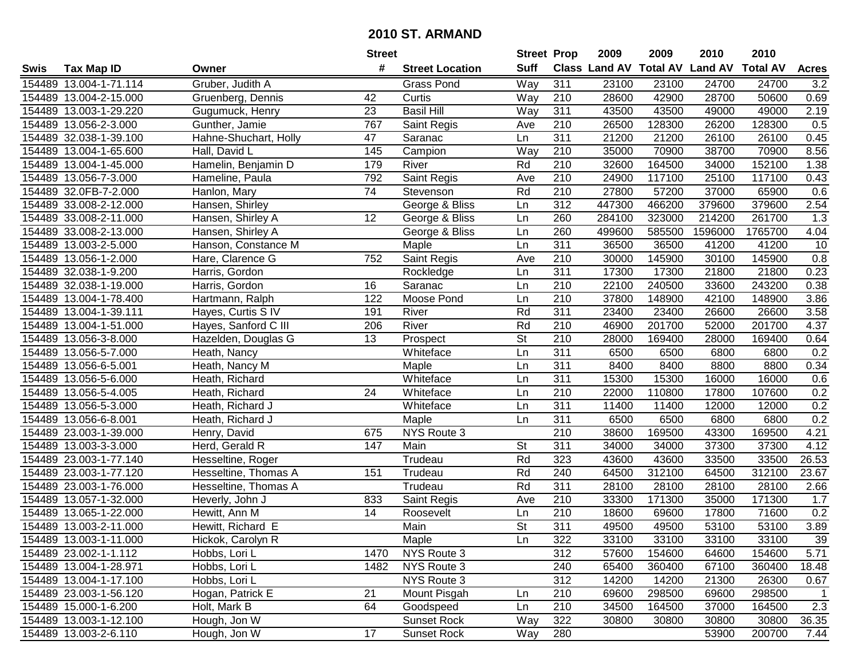|      |                        |                       | <b>Street</b>   |                        | <b>Street Prop</b>       |                  | 2009   | 2009   | 2010                           | 2010            |                |
|------|------------------------|-----------------------|-----------------|------------------------|--------------------------|------------------|--------|--------|--------------------------------|-----------------|----------------|
| Swis | <b>Tax Map ID</b>      | Owner                 | #               | <b>Street Location</b> | <b>Suff</b>              |                  |        |        | Class Land AV Total AV Land AV | <b>Total AV</b> | <b>Acres</b>   |
|      | 154489 13.004-1-71.114 | Gruber, Judith A      |                 | <b>Grass Pond</b>      | Way                      | 311              | 23100  | 23100  | 24700                          | 24700           | 3.2            |
|      | 154489 13.004-2-15.000 | Gruenberg, Dennis     | 42              | Curtis                 | Way                      | 210              | 28600  | 42900  | 28700                          | 50600           | 0.69           |
|      | 154489 13.003-1-29.220 | Gugumuck, Henry       | 23              | <b>Basil Hill</b>      | Way                      | 311              | 43500  | 43500  | 49000                          | 49000           | 2.19           |
|      | 154489 13.056-2-3.000  | Gunther, Jamie        | 767             | Saint Regis            | Ave                      | 210              | 26500  | 128300 | 26200                          | 128300          | 0.5            |
|      | 154489 32.038-1-39.100 | Hahne-Shuchart, Holly | 47              | Saranac                | Ln                       | 311              | 21200  | 21200  | 26100                          | 26100           | 0.45           |
|      | 154489 13.004-1-65.600 | Hall, David L         | 145             | Campion                | Way                      | $\overline{210}$ | 35000  | 70900  | 38700                          | 70900           | 8.56           |
|      | 154489 13.004-1-45.000 | Hamelin, Benjamin D   | 179             | River                  | Rd                       | 210              | 32600  | 164500 | 34000                          | 152100          | 1.38           |
|      | 154489 13.056-7-3.000  | Hameline, Paula       | 792             | Saint Regis            | Ave                      | 210              | 24900  | 117100 | 25100                          | 117100          | 0.43           |
|      | 154489 32.0FB-7-2.000  | Hanlon, Mary          | 74              | Stevenson              | Rd                       | $\overline{210}$ | 27800  | 57200  | 37000                          | 65900           | 0.6            |
|      | 154489 33.008-2-12.000 | Hansen, Shirley       |                 | George & Bliss         | Ln                       | 312              | 447300 | 466200 | 379600                         | 379600          | 2.54           |
|      | 154489 33.008-2-11.000 | Hansen, Shirley A     | 12              | George & Bliss         | Ln                       | 260              | 284100 | 323000 | 214200                         | 261700          | 1.3            |
|      | 154489 33.008-2-13.000 | Hansen, Shirley A     |                 | George & Bliss         | Ln                       | 260              | 499600 | 585500 | 1596000                        | 1765700         | 4.04           |
|      | 154489 13.003-2-5.000  | Hanson, Constance M   |                 | Maple                  | Ln                       | 311              | 36500  | 36500  | 41200                          | 41200           | 10             |
|      | 154489 13.056-1-2.000  | Hare, Clarence G      | 752             | Saint Regis            | Ave                      | 210              | 30000  | 145900 | 30100                          | 145900          | 0.8            |
|      | 154489 32.038-1-9.200  | Harris, Gordon        |                 | Rockledge              | Ln                       | 311              | 17300  | 17300  | 21800                          | 21800           | 0.23           |
|      | 154489 32.038-1-19.000 | Harris, Gordon        | 16              | Saranac                | Ln                       | 210              | 22100  | 240500 | 33600                          | 243200          | 0.38           |
|      | 154489 13.004-1-78.400 | Hartmann, Ralph       | 122             | Moose Pond             | Ln                       | $\overline{210}$ | 37800  | 148900 | 42100                          | 148900          | 3.86           |
|      | 154489 13.004-1-39.111 | Hayes, Curtis S IV    | 191             | River                  | Rd                       | 311              | 23400  | 23400  | 26600                          | 26600           | 3.58           |
|      | 154489 13.004-1-51.000 | Hayes, Sanford C III  | 206             | River                  | Rd                       | 210              | 46900  | 201700 | 52000                          | 201700          | 4.37           |
|      | 154489 13.056-3-8.000  | Hazelden, Douglas G   | 13              | Prospect               | <b>St</b>                | 210              | 28000  | 169400 | 28000                          | 169400          | 0.64           |
|      | 154489 13.056-5-7.000  | Heath, Nancy          |                 | Whiteface              | Ln                       | 311              | 6500   | 6500   | 6800                           | 6800            | 0.2            |
|      | 154489 13.056-6-5.001  | Heath, Nancy M        |                 | Maple                  | Ln                       | 311              | 8400   | 8400   | 8800                           | 8800            | 0.34           |
|      | 154489 13.056-5-6.000  | Heath, Richard        |                 | Whiteface              | Ln                       | 311              | 15300  | 15300  | 16000                          | 16000           | 0.6            |
|      | 154489 13.056-5-4.005  | Heath, Richard        | 24              | Whiteface              | Ln                       | 210              | 22000  | 110800 | 17800                          | 107600          | 0.2            |
|      | 154489 13.056-5-3.000  | Heath, Richard J      |                 | Whiteface              | Ln                       | 311              | 11400  | 11400  | 12000                          | 12000           | 0.2            |
|      | 154489 13.056-6-8.001  | Heath, Richard J      |                 | Maple                  | Ln                       | 311              | 6500   | 6500   | 6800                           | 6800            | 0.2            |
|      | 154489 23.003-1-39.000 | Henry, David          | 675             | NYS Route 3            |                          | 210              | 38600  | 169500 | 43300                          | 169500          | 4.21           |
|      | 154489 13.003-3-3.000  | Herd, Gerald R        | 147             | Main                   | <b>St</b>                | 311              | 34000  | 34000  | 37300                          | 37300           | 4.12           |
|      | 154489 23.003-1-77.140 | Hesseltine, Roger     |                 | Trudeau                | Rd                       | 323              | 43600  | 43600  | 33500                          | 33500           | 26.53          |
|      | 154489 23.003-1-77.120 | Hesseltine, Thomas A  | 151             | Trudeau                | Rd                       | 240              | 64500  | 312100 | 64500                          | 312100          | 23.67          |
|      | 154489 23.003-1-76.000 | Hesseltine, Thomas A  |                 | Trudeau                | Rd                       | $\overline{311}$ | 28100  | 28100  | 28100                          | 28100           | 2.66           |
|      | 154489 13.057-1-32.000 | Heverly, John J       | 833             | Saint Regis            | Ave                      | 210              | 33300  | 171300 | 35000                          | 171300          | 1.7            |
|      | 154489 13.065-1-22.000 | Hewitt, Ann M         | $\overline{14}$ | Roosevelt              | Ln                       | $\overline{210}$ | 18600  | 69600  | 17800                          | 71600           | 0.2            |
|      | 154489 13.003-2-11.000 | Hewitt, Richard E     |                 | Main                   | $\overline{\mathsf{St}}$ | 311              | 49500  | 49500  | 53100                          | 53100           | 3.89           |
|      | 154489 13.003-1-11.000 | Hickok, Carolyn R     |                 | Maple                  | Ln                       | 322              | 33100  | 33100  | 33100                          | 33100           | 39             |
|      | 154489 23.002-1-1.112  | Hobbs, Lori L         | 1470            | NYS Route 3            |                          | 312              | 57600  | 154600 | 64600                          | 154600          | 5.71           |
|      | 154489 13.004-1-28.971 | Hobbs, Lori L         | 1482            | NYS Route 3            |                          | 240              | 65400  | 360400 | 67100                          | 360400          | 18.48          |
|      | 154489 13.004-1-17.100 | Hobbs, Lori L         |                 | NYS Route 3            |                          | 312              | 14200  | 14200  | 21300                          | 26300           | 0.67           |
|      | 154489 23.003-1-56.120 | Hogan, Patrick E      | 21              | Mount Pisgah           | Ln                       | 210              | 69600  | 298500 | 69600                          | 298500          | $\overline{1}$ |
|      | 154489 15.000-1-6.200  | Holt, Mark B          | 64              | Goodspeed              | Ln                       | 210              | 34500  | 164500 | 37000                          | 164500          | 2.3            |
|      | 154489 13.003-1-12.100 | Hough, Jon W          |                 | <b>Sunset Rock</b>     | Way                      | 322              | 30800  | 30800  | 30800                          | 30800           | 36.35          |
|      | 154489 13.003-2-6.110  | Hough, Jon W          | 17              | Sunset Rock            | Way                      | 280              |        |        | 53900                          | 200700          | 7.44           |
|      |                        |                       |                 |                        |                          |                  |        |        |                                |                 |                |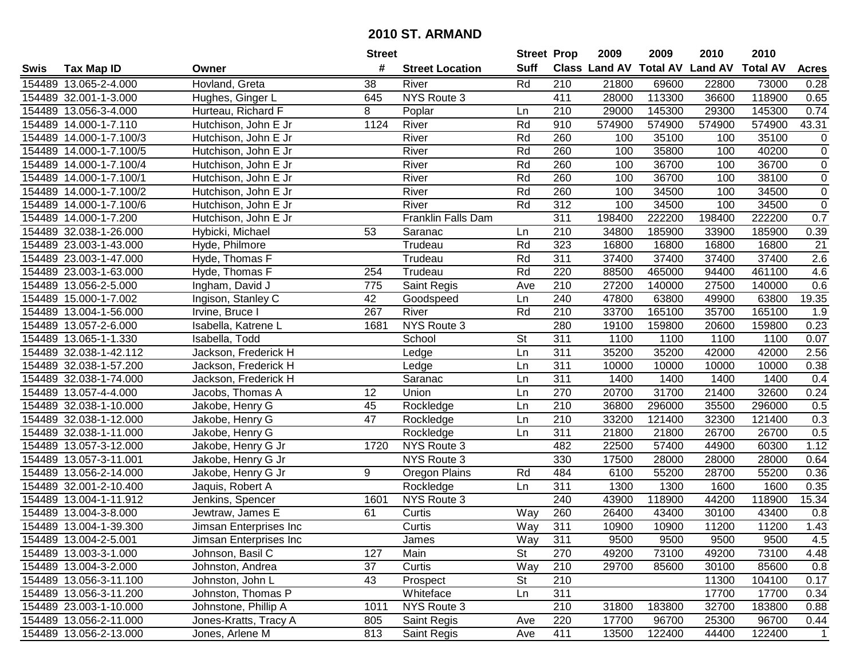|        |                         |                        | <b>Street</b> |                        | <b>Street Prop</b> |                  | 2009                 | 2009   | 2010                    | 2010            |                |
|--------|-------------------------|------------------------|---------------|------------------------|--------------------|------------------|----------------------|--------|-------------------------|-----------------|----------------|
| Swis   | <b>Tax Map ID</b>       | Owner                  | #             | <b>Street Location</b> | <b>Suff</b>        |                  | <b>Class Land AV</b> |        | <b>Total AV Land AV</b> | <b>Total AV</b> | <b>Acres</b>   |
|        | 154489 13.065-2-4.000   | Hovland, Greta         | 38            | River                  | Rd                 | 210              | 21800                | 69600  | 22800                   | 73000           | 0.28           |
|        | 154489 32.001-1-3.000   | Hughes, Ginger L       | 645           | NYS Route 3            |                    | 411              | 28000                | 113300 | 36600                   | 118900          | 0.65           |
|        | 154489 13.056-3-4.000   | Hurteau, Richard F     | 8             | Poplar                 | Ln                 | 210              | 29000                | 145300 | 29300                   | 145300          | 0.74           |
|        | 154489 14.000-1-7.110   | Hutchison, John E Jr   | 1124          | River                  | Rd                 | 910              | 574900               | 574900 | 574900                  | 574900          | 43.31          |
|        | 154489 14.000-1-7.100/3 | Hutchison, John E Jr   |               | River                  | Rd                 | 260              | 100                  | 35100  | 100                     | 35100           | $\mathbf 0$    |
|        | 154489 14.000-1-7.100/5 | Hutchison, John E Jr   |               | River                  | Rd                 | 260              | 100                  | 35800  | 100                     | 40200           | $\overline{0}$ |
|        | 154489 14.000-1-7.100/4 | Hutchison, John E Jr   |               | River                  | Rd                 | 260              | 100                  | 36700  | 100                     | 36700           | $\mathbf 0$    |
|        | 154489 14.000-1-7.100/1 | Hutchison, John E Jr   |               | River                  | Rd                 | 260              | 100                  | 36700  | 100                     | 38100           | $\overline{0}$ |
|        | 154489 14.000-1-7.100/2 | Hutchison, John E Jr   |               | River                  | Rd                 | 260              | 100                  | 34500  | 100                     | 34500           | $\mathbf 0$    |
|        | 154489 14.000-1-7.100/6 | Hutchison, John E Jr   |               | River                  | Rd                 | 312              | 100                  | 34500  | 100                     | 34500           | $\mathsf 0$    |
|        | 154489 14.000-1-7.200   | Hutchison, John E Jr   |               | Franklin Falls Dam     |                    | 311              | 198400               | 222200 | 198400                  | 222200          | 0.7            |
|        | 154489 32.038-1-26.000  | Hybicki, Michael       | 53            | Saranac                | Ln                 | 210              | 34800                | 185900 | 33900                   | 185900          | 0.39           |
|        | 154489 23.003-1-43.000  | Hyde, Philmore         |               | Trudeau                | Rd                 | 323              | 16800                | 16800  | 16800                   | 16800           | 21             |
|        | 154489 23.003-1-47.000  | Hyde, Thomas F         |               | Trudeau                | Rd                 | 311              | 37400                | 37400  | 37400                   | 37400           | 2.6            |
|        | 154489 23.003-1-63.000  | Hyde, Thomas F         | 254           | Trudeau                | Rd                 | 220              | 88500                | 465000 | 94400                   | 461100          | 4.6            |
|        | 154489 13.056-2-5.000   | Ingham, David J        | 775           | Saint Regis            | Ave                | 210              | 27200                | 140000 | 27500                   | 140000          | 0.6            |
|        | 154489 15.000-1-7.002   | Ingison, Stanley C     | 42            | Goodspeed              | Ln                 | 240              | 47800                | 63800  | 49900                   | 63800           | 19.35          |
|        | 154489 13.004-1-56.000  | Irvine, Bruce I        | 267           | River                  | Rd                 | 210              | 33700                | 165100 | 35700                   | 165100          | 1.9            |
|        | 154489 13.057-2-6.000   | Isabella, Katrene L    | 1681          | NYS Route 3            |                    | 280              | 19100                | 159800 | 20600                   | 159800          | 0.23           |
|        | 154489 13.065-1-1.330   | Isabella, Todd         |               | School                 | <b>St</b>          | 311              | 1100                 | 1100   | 1100                    | 1100            | 0.07           |
|        | 154489 32.038-1-42.112  | Jackson, Frederick H   |               | Ledge                  | Ln                 | 311              | 35200                | 35200  | 42000                   | 42000           | 2.56           |
|        | 154489 32.038-1-57.200  | Jackson, Frederick H   |               | Ledge                  | Ln                 | 311              | 10000                | 10000  | 10000                   | 10000           | 0.38           |
|        | 154489 32.038-1-74.000  | Jackson, Frederick H   |               | Saranac                | Ln                 | 311              | 1400                 | 1400   | 1400                    | 1400            | 0.4            |
| 154489 | 13.057-4-4.000          | Jacobs, Thomas A       | 12            | Union                  | Ln                 | 270              | 20700                | 31700  | 21400                   | 32600           | 0.24           |
|        | 154489 32.038-1-10.000  | Jakobe, Henry G        | 45            | Rockledge              | Ln                 | $\overline{210}$ | 36800                | 296000 | 35500                   | 296000          | 0.5            |
|        | 154489 32.038-1-12.000  | Jakobe, Henry G        | 47            | Rockledge              | Ln                 | 210              | 33200                | 121400 | 32300                   | 121400          | 0.3            |
|        | 154489 32.038-1-11.000  | Jakobe, Henry G        |               | Rockledge              | Ln                 | 311              | 21800                | 21800  | 26700                   | 26700           | 0.5            |
|        | 154489 13.057-3-12.000  | Jakobe, Henry G Jr     | 1720          | NYS Route 3            |                    | 482              | 22500                | 57400  | 44900                   | 60300           | 1.12           |
|        | 154489 13.057-3-11.001  | Jakobe, Henry G Jr     |               | NYS Route 3            |                    | 330              | 17500                | 28000  | 28000                   | 28000           | 0.64           |
|        | 154489 13.056-2-14.000  | Jakobe, Henry G Jr     | 9             | Oregon Plains          | Rd                 | 484              | 6100                 | 55200  | 28700                   | 55200           | 0.36           |
|        | 154489 32.001-2-10.400  | Jaquis, Robert A       |               | Rockledge              | Ln                 | $\overline{311}$ | 1300                 | 1300   | 1600                    | 1600            | 0.35           |
|        | 154489 13.004-1-11.912  | Jenkins, Spencer       | 1601          | NYS Route 3            |                    | 240              | 43900                | 118900 | 44200                   | 118900          | 15.34          |
|        | 154489 13.004-3-8.000   | Jewtraw, James E       | 61            | Curtis                 | Way                | 260              | 26400                | 43400  | 30100                   | 43400           | 0.8            |
|        | 154489 13.004-1-39.300  | Jimsan Enterprises Inc |               | Curtis                 | Way                | 311              | 10900                | 10900  | 11200                   | 11200           | 1.43           |
|        | 154489 13.004-2-5.001   | Jimsan Enterprises Inc |               | James                  | Way                | 311              | 9500                 | 9500   | 9500                    | 9500            | 4.5            |
|        | 154489 13.003-3-1.000   | Johnson, Basil C       | 127           | Main                   | <b>St</b>          | 270              | 49200                | 73100  | 49200                   | 73100           | 4.48           |
|        | 154489 13.004-3-2.000   | Johnston, Andrea       | 37            | Curtis                 | Way                | 210              | 29700                | 85600  | 30100                   | 85600           | 0.8            |
|        | 154489 13.056-3-11.100  | Johnston, John L       | 43            | Prospect               | St                 | 210              |                      |        | 11300                   | 104100          | 0.17           |
|        | 154489 13.056-3-11.200  | Johnston, Thomas P     |               | Whiteface              | Ln                 | 311              |                      |        | 17700                   | 17700           | 0.34           |
|        | 154489 23.003-1-10.000  | Johnstone, Phillip A   | 1011          | NYS Route 3            |                    | 210              | 31800                | 183800 | 32700                   | 183800          | 0.88           |
|        | 154489 13.056-2-11.000  | Jones-Kratts, Tracy A  | 805           | Saint Regis            | Ave                | 220              | 17700                | 96700  | 25300                   | 96700           | 0.44           |
|        | 154489 13.056-2-13.000  | Jones, Arlene M        | 813           | Saint Regis            | Ave                | 411              | 13500                | 122400 | 44400                   | 122400          | $\mathbf{1}$   |
|        |                         |                        |               |                        |                    |                  |                      |        |                         |                 |                |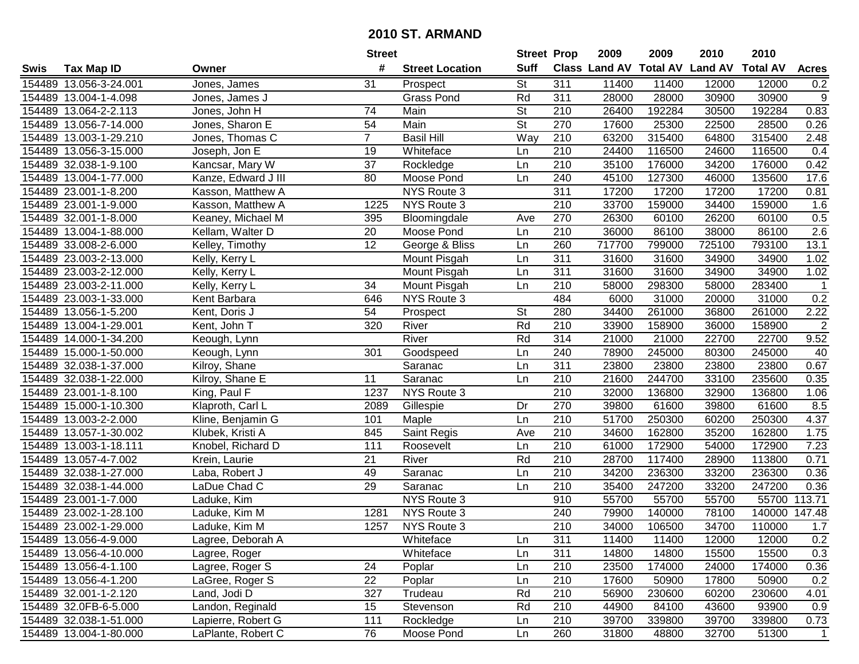|      |                        |                     | <b>Street</b>   |                        | <b>Street Prop</b>       |                  | 2009                           | 2009   | 2010   | 2010            |                  |
|------|------------------------|---------------------|-----------------|------------------------|--------------------------|------------------|--------------------------------|--------|--------|-----------------|------------------|
| Swis | <b>Tax Map ID</b>      | Owner               | #               | <b>Street Location</b> | <b>Suff</b>              |                  | Class Land AV Total AV Land AV |        |        | <b>Total AV</b> | <b>Acres</b>     |
|      | 154489 13.056-3-24.001 | Jones, James        | 31              | Prospect               | <b>St</b>                | 311              | 11400                          | 11400  | 12000  | 12000           | 0.2              |
|      | 154489 13.004-1-4.098  | Jones, James J      |                 | <b>Grass Pond</b>      | Rd                       | 311              | 28000                          | 28000  | 30900  | 30900           | $\boldsymbol{9}$ |
|      | 154489 13.064-2-2.113  | Jones, John H       | 74              | Main                   | <b>St</b>                | 210              | 26400                          | 192284 | 30500  | 192284          | 0.83             |
|      | 154489 13.056-7-14.000 | Jones, Sharon E     | 54              | Main                   | $\overline{\mathsf{St}}$ | 270              | 17600                          | 25300  | 22500  | 28500           | 0.26             |
|      | 154489 13.003-1-29.210 | Jones, Thomas C     | $\overline{7}$  | <b>Basil Hill</b>      | Way                      | 210              | 63200                          | 315400 | 64800  | 315400          | 2.48             |
|      | 154489 13.056-3-15.000 | Joseph, Jon E       | 19              | Whiteface              | Ln                       | $\overline{210}$ | 24400                          | 116500 | 24600  | 116500          | 0.4              |
|      | 154489 32.038-1-9.100  | Kancsar, Mary W     | 37              | Rockledge              | Ln                       | 210              | 35100                          | 176000 | 34200  | 176000          | 0.42             |
|      | 154489 13.004-1-77.000 | Kanze, Edward J III | 80              | Moose Pond             | Ln                       | 240              | 45100                          | 127300 | 46000  | 135600          | 17.6             |
|      | 154489 23.001-1-8.200  | Kasson, Matthew A   |                 | NYS Route 3            |                          | $\overline{311}$ | 17200                          | 17200  | 17200  | 17200           | 0.81             |
|      | 154489 23.001-1-9.000  | Kasson, Matthew A   | 1225            | NYS Route 3            |                          | 210              | 33700                          | 159000 | 34400  | 159000          | 1.6              |
|      | 154489 32.001-1-8.000  | Keaney, Michael M   | 395             | Bloomingdale           | Ave                      | 270              | 26300                          | 60100  | 26200  | 60100           | 0.5              |
|      | 154489 13.004-1-88.000 | Kellam, Walter D    | 20              | Moose Pond             | Ln                       | 210              | 36000                          | 86100  | 38000  | 86100           | 2.6              |
|      | 154489 33.008-2-6.000  | Kelley, Timothy     | $\overline{12}$ | George & Bliss         | Ln                       | 260              | 717700                         | 799000 | 725100 | 793100          | 13.1             |
|      | 154489 23.003-2-13.000 | Kelly, Kerry L      |                 | Mount Pisgah           | Ln                       | 311              | 31600                          | 31600  | 34900  | 34900           | 1.02             |
|      | 154489 23.003-2-12.000 | Kelly, Kerry L      |                 | Mount Pisgah           | Ln                       | 311              | 31600                          | 31600  | 34900  | 34900           | 1.02             |
|      | 154489 23.003-2-11.000 | Kelly, Kerry L      | 34              | Mount Pisgah           | Ln                       | 210              | 58000                          | 298300 | 58000  | 283400          | $\mathbf 1$      |
|      | 154489 23.003-1-33.000 | Kent Barbara        | 646             | NYS Route 3            |                          | 484              | 6000                           | 31000  | 20000  | 31000           | 0.2              |
|      | 154489 13.056-1-5.200  | Kent, Doris J       | 54              | Prospect               | <b>St</b>                | 280              | 34400                          | 261000 | 36800  | 261000          | 2.22             |
|      | 154489 13.004-1-29.001 | Kent, John T        | 320             | River                  | Rd                       | 210              | 33900                          | 158900 | 36000  | 158900          | $\sqrt{2}$       |
|      | 154489 14.000-1-34.200 | Keough, Lynn        |                 | River                  | Rd                       | 314              | 21000                          | 21000  | 22700  | 22700           | 9.52             |
|      | 154489 15.000-1-50.000 | Keough, Lynn        | 301             | Goodspeed              | Ln                       | 240              | 78900                          | 245000 | 80300  | 245000          | 40               |
|      | 154489 32.038-1-37.000 | Kilroy, Shane       |                 | Saranac                | Ln                       | 311              | 23800                          | 23800  | 23800  | 23800           | 0.67             |
|      | 154489 32.038-1-22.000 | Kilroy, Shane E     | 11              | Saranac                | Ln                       | 210              | 21600                          | 244700 | 33100  | 235600          | 0.35             |
|      | 154489 23.001-1-8.100  | King, Paul F        | 1237            | NYS Route 3            |                          | 210              | 32000                          | 136800 | 32900  | 136800          | 1.06             |
|      | 154489 15.000-1-10.300 | Klaproth, Carl L    | 2089            | Gillespie              | Dr                       | 270              | 39800                          | 61600  | 39800  | 61600           | 8.5              |
|      | 154489 13.003-2-2.000  | Kline, Benjamin G   | 101             | Maple                  | Ln                       | 210              | 51700                          | 250300 | 60200  | 250300          | 4.37             |
|      | 154489 13.057-1-30.002 | Klubek, Kristi A    | 845             | Saint Regis            | Ave                      | 210              | 34600                          | 162800 | 35200  | 162800          | 1.75             |
|      | 154489 13.003-1-18.111 | Knobel, Richard D   | 111             | Roosevelt              | Ln                       | 210              | 61000                          | 172900 | 54000  | 172900          | 7.23             |
|      | 154489 13.057-4-7.002  | Krein, Laurie       | 21              | River                  | Rd                       | 210              | 28700                          | 117400 | 28900  | 113800          | 0.71             |
|      | 154489 32.038-1-27.000 | Laba, Robert J      | 49              | Saranac                | Ln                       | $\overline{210}$ | 34200                          | 236300 | 33200  | 236300          | 0.36             |
|      | 154489 32.038-1-44.000 | LaDue Chad C        | 29              | Saranac                | Ln                       | $\overline{210}$ | 35400                          | 247200 | 33200  | 247200          | 0.36             |
|      | 154489 23.001-1-7.000  | Laduke, Kim         |                 | NYS Route 3            |                          | 910              | 55700                          | 55700  | 55700  | 55700           | 113.71           |
|      | 154489 23.002-1-28.100 | Laduke, Kim M       | 1281            | NYS Route 3            |                          | 240              | 79900                          | 140000 | 78100  | 140000          | 147.48           |
|      | 154489 23.002-1-29.000 | Laduke, Kim M       | 1257            | NYS Route 3            |                          | 210              | 34000                          | 106500 | 34700  | 110000          | 1.7              |
|      | 154489 13.056-4-9.000  | Lagree, Deborah A   |                 | Whiteface              | Ln                       | 311              | 11400                          | 11400  | 12000  | 12000           | 0.2              |
|      | 154489 13.056-4-10.000 | Lagree, Roger       |                 | Whiteface              | Ln                       | 311              | 14800                          | 14800  | 15500  | 15500           | 0.3              |
|      | 154489 13.056-4-1.100  | Lagree, Roger S     | 24              | Poplar                 | Ln                       | 210              | 23500                          | 174000 | 24000  | 174000          | 0.36             |
|      | 154489 13.056-4-1.200  | LaGree, Roger S     | 22              | Poplar                 | Ln                       | 210              | 17600                          | 50900  | 17800  | 50900           | 0.2              |
|      | 154489 32.001-1-2.120  | Land, Jodi D        | 327             | Trudeau                | Rd                       | 210              | 56900                          | 230600 | 60200  | 230600          | 4.01             |
|      | 154489 32.0FB-6-5.000  | Landon, Reginald    | 15              | Stevenson              | Rd                       | 210              | 44900                          | 84100  | 43600  | 93900           | 0.9              |
|      | 154489 32.038-1-51.000 | Lapierre, Robert G  | 111             | Rockledge              | Ln                       | 210              | 39700                          | 339800 | 39700  | 339800          | 0.73             |
|      | 154489 13.004-1-80.000 | LaPlante, Robert C  | 76              | Moose Pond             | Ln                       | 260              | 31800                          | 48800  | 32700  | 51300           | $\overline{1}$   |
|      |                        |                     |                 |                        |                          |                  |                                |        |        |                 |                  |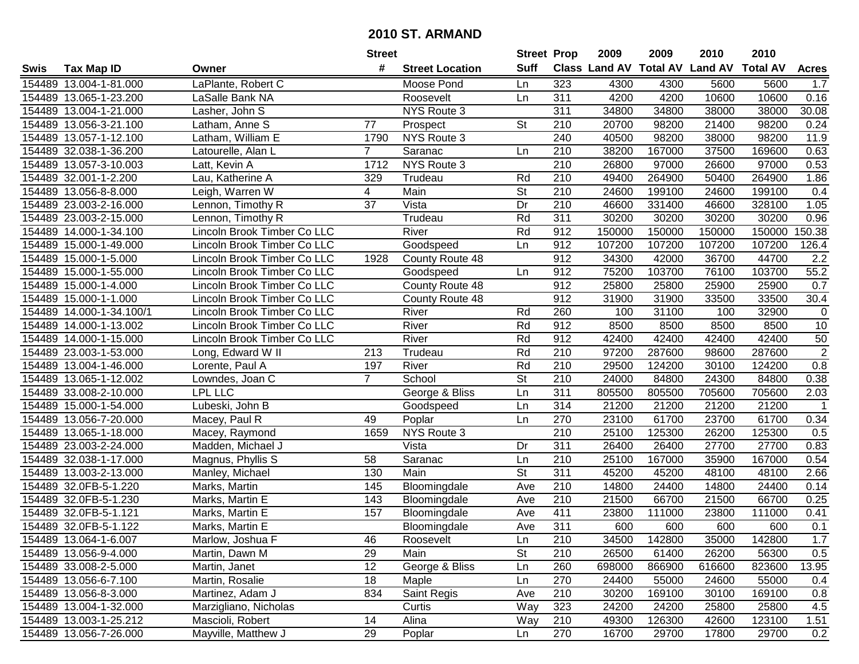|        |                        |                             | <b>Street</b>  |                        | <b>Street Prop</b>       |                  | 2009                          | 2009   | 2010           | 2010            |                |
|--------|------------------------|-----------------------------|----------------|------------------------|--------------------------|------------------|-------------------------------|--------|----------------|-----------------|----------------|
| Swis   | <b>Tax Map ID</b>      | Owner                       | #              | <b>Street Location</b> | <b>Suff</b>              |                  | <b>Class Land AV Total AV</b> |        | <b>Land AV</b> | <b>Total AV</b> | <b>Acres</b>   |
|        | 154489 13.004-1-81.000 | LaPlante, Robert C          |                | Moose Pond             | Ln                       | 323              | 4300                          | 4300   | 5600           | 5600            | 1.7            |
|        | 154489 13.065-1-23.200 | LaSalle Bank NA             |                | Roosevelt              | Ln                       | 311              | 4200                          | 4200   | 10600          | 10600           | 0.16           |
|        | 154489 13.004-1-21.000 | Lasher, John S              |                | NYS Route 3            |                          | 311              | 34800                         | 34800  | 38000          | 38000           | 30.08          |
|        | 154489 13.056-3-21.100 | Latham, Anne S              | 77             | Prospect               | <b>St</b>                | 210              | 20700                         | 98200  | 21400          | 98200           | 0.24           |
|        | 154489 13.057-1-12.100 | Latham, William E           | 1790           | NYS Route 3            |                          | 240              | 40500                         | 98200  | 38000          | 98200           | 11.9           |
|        | 154489 32.038-1-36.200 | Latourelle, Alan L          | $\overline{7}$ | Saranac                | Ln                       | 210              | 38200                         | 167000 | 37500          | 169600          | 0.63           |
|        | 154489 13.057-3-10.003 | Latt, Kevin A               | 1712           | NYS Route 3            |                          | 210              | 26800                         | 97000  | 26600          | 97000           | 0.53           |
|        | 154489 32.001-1-2.200  | Lau, Katherine A            | 329            | Trudeau                | Rd                       | $\overline{210}$ | 49400                         | 264900 | 50400          | 264900          | 1.86           |
|        | 154489 13.056-8-8.000  | Leigh, Warren W             | 4              | Main                   | $\overline{\mathsf{St}}$ | $\overline{210}$ | 24600                         | 199100 | 24600          | 199100          | 0.4            |
|        | 154489 23.003-2-16.000 | Lennon, Timothy R           | 37             | Vista                  | Dr                       | 210              | 46600                         | 331400 | 46600          | 328100          | 1.05           |
|        | 154489 23.003-2-15.000 | Lennon, Timothy R           |                | Trudeau                | Rd                       | 311              | 30200                         | 30200  | 30200          | 30200           | 0.96           |
|        | 154489 14.000-1-34.100 | Lincoln Brook Timber Co LLC |                | River                  | Rd                       | 912              | 150000                        | 150000 | 150000         | 150000          | 150.38         |
|        | 154489 15.000-1-49.000 | Lincoln Brook Timber Co LLC |                | Goodspeed              | Ln                       | 912              | 107200                        | 107200 | 107200         | 107200          | 126.4          |
|        | 154489 15.000-1-5.000  | Lincoln Brook Timber Co LLC | 1928           | County Route 48        |                          | 912              | 34300                         | 42000  | 36700          | 44700           | 2.2            |
|        | 154489 15.000-1-55.000 | Lincoln Brook Timber Co LLC |                | Goodspeed              | Ln                       | 912              | 75200                         | 103700 | 76100          | 103700          | 55.2           |
|        | 154489 15.000-1-4.000  | Lincoln Brook Timber Co LLC |                | County Route 48        |                          | 912              | 25800                         | 25800  | 25900          | 25900           | 0.7            |
|        | 154489 15.000-1-1.000  | Lincoln Brook Timber Co LLC |                | County Route 48        |                          | 912              | 31900                         | 31900  | 33500          | 33500           | 30.4           |
| 154489 | 14.000-1-34.100/1      | Lincoln Brook Timber Co LLC |                | River                  | Rd                       | 260              | 100                           | 31100  | 100            | 32900           | 0              |
|        | 154489 14.000-1-13.002 | Lincoln Brook Timber Co LLC |                | River                  | Rd                       | 912              | 8500                          | 8500   | 8500           | 8500            | 10             |
|        | 154489 14.000-1-15.000 | Lincoln Brook Timber Co LLC |                | River                  | Rd                       | 912              | 42400                         | 42400  | 42400          | 42400           | 50             |
|        | 154489 23.003-1-53.000 | Long, Edward W II           | 213            | Trudeau                | Rd                       | 210              | 97200                         | 287600 | 98600          | 287600          | $\overline{2}$ |
|        | 154489 13.004-1-46.000 | Lorente, Paul A             | 197            | River                  | Rd                       | 210              | 29500                         | 124200 | 30100          | 124200          | 0.8            |
|        | 154489 13.065-1-12.002 | Lowndes, Joan C             | $\overline{7}$ | School                 | St                       | 210              | 24000                         | 84800  | 24300          | 84800           | 0.38           |
|        | 154489 33.008-2-10.000 | <b>LPL LLC</b>              |                | George & Bliss         | Ln                       | 311              | 805500                        | 805500 | 705600         | 705600          | 2.03           |
|        | 154489 15.000-1-54.000 | Lubeski, John B             |                | Goodspeed              | Ln                       | 314              | 21200                         | 21200  | 21200          | 21200           | $\overline{1}$ |
|        | 154489 13.056-7-20.000 | Macey, Paul R               | 49             | Poplar                 | Ln                       | 270              | 23100                         | 61700  | 23700          | 61700           | 0.34           |
|        | 154489 13.065-1-18.000 | Macey, Raymond              | 1659           | NYS Route 3            |                          | 210              | 25100                         | 125300 | 26200          | 125300          | 0.5            |
|        | 154489 23.003-2-24.000 | Madden, Michael J           |                | Vista                  | Dr                       | 311              | 26400                         | 26400  | 27700          | 27700           | 0.83           |
|        | 154489 32.038-1-17.000 | Magnus, Phyllis S           | 58             | Saranac                | Ln                       | 210              | 25100                         | 167000 | 35900          | 167000          | 0.54           |
|        | 154489 13.003-2-13.000 | Manley, Michael             | 130            | Main                   | $\overline{\mathsf{St}}$ | $\overline{311}$ | 45200                         | 45200  | 48100          | 48100           | 2.66           |
|        | 154489 32.0FB-5-1.220  | Marks, Martin               | 145            | Bloomingdale           | Ave                      | $\overline{210}$ | 14800                         | 24400  | 14800          | 24400           | 0.14           |
|        | 154489 32.0FB-5-1.230  | Marks, Martin E             | 143            | Bloomingdale           | Ave                      | 210              | 21500                         | 66700  | 21500          | 66700           | 0.25           |
|        | 154489 32.0FB-5-1.121  | Marks, Martin E             | 157            | Bloomingdale           | Ave                      | 411              | 23800                         | 111000 | 23800          | 111000          | 0.41           |
|        | 154489 32.0FB-5-1.122  | Marks, Martin E             |                | Bloomingdale           | Ave                      | 311              | 600                           | 600    | 600            | 600             | 0.1            |
|        | 154489 13.064-1-6.007  | Marlow, Joshua F            | 46             | Roosevelt              | Ln                       | 210              | 34500                         | 142800 | 35000          | 142800          | 1.7            |
|        | 154489 13.056-9-4.000  | Martin, Dawn M              | 29             | Main                   | <b>St</b>                | 210              | 26500                         | 61400  | 26200          | 56300           | 0.5            |
|        | 154489 33.008-2-5.000  | Martin, Janet               | 12             | George & Bliss         | Ln                       | 260              | 698000                        | 866900 | 616600         | 823600          | 13.95          |
|        | 154489 13.056-6-7.100  | Martin, Rosalie             | 18             | Maple                  | Ln                       | 270              | 24400                         | 55000  | 24600          | 55000           | 0.4            |
|        | 154489 13.056-8-3.000  | Martinez, Adam J            | 834            | Saint Regis            | Ave                      | 210              | 30200                         | 169100 | 30100          | 169100          | 0.8            |
|        | 154489 13.004-1-32.000 | Marzigliano, Nicholas       |                | Curtis                 | Way                      | 323              | 24200                         | 24200  | 25800          | 25800           | 4.5            |
|        | 154489 13.003-1-25.212 | Mascioli, Robert            | 14             | Alina                  | Way                      | 210              | 49300                         | 126300 | 42600          | 123100          | 1.51           |
|        | 154489 13.056-7-26.000 | Mayville, Matthew J         | 29             | Poplar                 | Ln                       | 270              | 16700                         | 29700  | 17800          | 29700           | 0.2            |
|        |                        |                             |                |                        |                          |                  |                               |        |                |                 |                |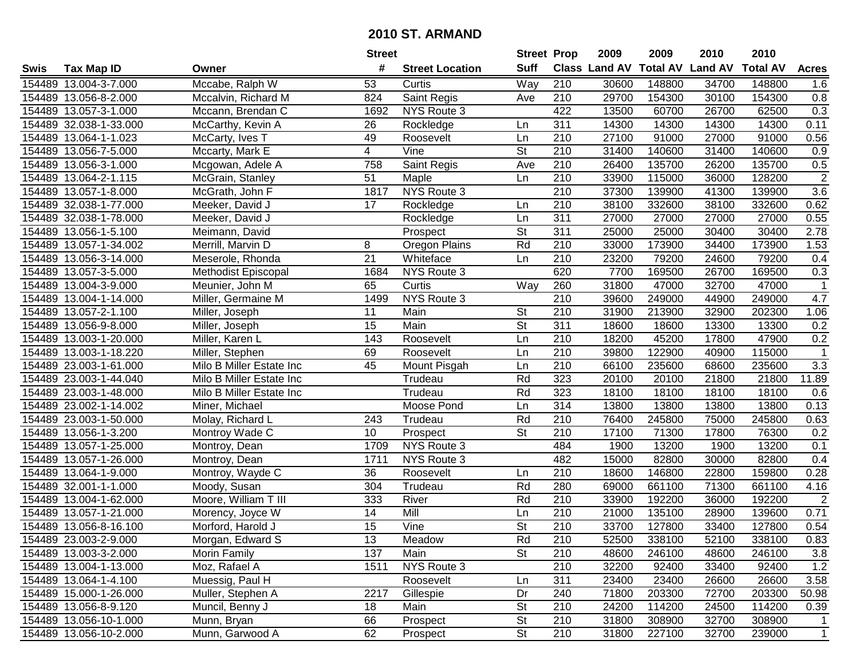|      |                        |                            | <b>Street</b>   |                        | <b>Street Prop</b>       |                  | 2009          | 2009            | 2010           | 2010            |                  |
|------|------------------------|----------------------------|-----------------|------------------------|--------------------------|------------------|---------------|-----------------|----------------|-----------------|------------------|
| Swis | <b>Tax Map ID</b>      | Owner                      | #               | <b>Street Location</b> | <b>Suff</b>              |                  | Class Land AV | <b>Total AV</b> | <b>Land AV</b> | <b>Total AV</b> | <b>Acres</b>     |
|      | 154489 13.004-3-7.000  | Mccabe, Ralph W            | 53              | Curtis                 | Way                      | 210              | 30600         | 148800          | 34700          | 148800          | 1.6              |
|      | 154489 13.056-8-2.000  | Mccalvin, Richard M        | 824             | Saint Regis            | Ave                      | 210              | 29700         | 154300          | 30100          | 154300          | 0.8              |
|      | 154489 13.057-3-1.000  | Mccann, Brendan C          | 1692            | NYS Route 3            |                          | 422              | 13500         | 60700           | 26700          | 62500           | 0.3              |
|      | 154489 32.038-1-33.000 | McCarthy, Kevin A          | 26              | Rockledge              | Ln                       | 311              | 14300         | 14300           | 14300          | 14300           | 0.11             |
|      | 154489 13.064-1-1.023  | McCarty, Ives T            | 49              | Roosevelt              | Ln                       | 210              | 27100         | 91000           | 27000          | 91000           | 0.56             |
|      | 154489 13.056-7-5.000  | Mccarty, Mark E            | $\overline{4}$  | $\overline{V}$ ine     | $\overline{\mathsf{St}}$ | $\overline{210}$ | 31400         | 140600          | 31400          | 140600          | $\overline{0.9}$ |
|      | 154489 13.056-3-1.000  | Mcgowan, Adele A           | 758             | Saint Regis            | Ave                      | 210              | 26400         | 135700          | 26200          | 135700          | 0.5              |
|      | 154489 13.064-2-1.115  | McGrain, Stanley           | 51              | Maple                  | Ln                       | 210              | 33900         | 115000          | 36000          | 128200          | $\overline{2}$   |
|      | 154489 13.057-1-8.000  | McGrath, John F            | 1817            | NYS Route 3            |                          | $\overline{210}$ | 37300         | 139900          | 41300          | 139900          | 3.6              |
|      | 154489 32.038-1-77.000 | Meeker, David J            | 17              | Rockledge              | Ln                       | 210              | 38100         | 332600          | 38100          | 332600          | 0.62             |
|      | 154489 32.038-1-78.000 | Meeker, David J            |                 | Rockledge              | Ln                       | 311              | 27000         | 27000           | 27000          | 27000           | 0.55             |
|      | 154489 13.056-1-5.100  | Meimann, David             |                 | Prospect               | <b>St</b>                | 311              | 25000         | 25000           | 30400          | 30400           | 2.78             |
|      | 154489 13.057-1-34.002 | Merrill, Marvin D          | 8               | Oregon Plains          | Rd                       | 210              | 33000         | 173900          | 34400          | 173900          | 1.53             |
|      | 154489 13.056-3-14.000 | Meserole, Rhonda           | 21              | Whiteface              | Ln                       | 210              | 23200         | 79200           | 24600          | 79200           | 0.4              |
|      | 154489 13.057-3-5.000  | <b>Methodist Episcopal</b> | 1684            | NYS Route 3            |                          | 620              | 7700          | 169500          | 26700          | 169500          | 0.3              |
|      | 154489 13.004-3-9.000  | Meunier, John M            | 65              | Curtis                 | Way                      | 260              | 31800         | 47000           | 32700          | 47000           | -1               |
|      | 154489 13.004-1-14.000 | Miller, Germaine M         | 1499            | NYS Route 3            |                          | 210              | 39600         | 249000          | 44900          | 249000          | 4.7              |
|      | 154489 13.057-2-1.100  | Miller, Joseph             | 11              | Main                   | <b>St</b>                | 210              | 31900         | 213900          | 32900          | 202300          | 1.06             |
|      | 154489 13.056-9-8.000  | Miller, Joseph             | 15              | Main                   | <b>St</b>                | 311              | 18600         | 18600           | 13300          | 13300           | 0.2              |
|      | 154489 13.003-1-20.000 | Miller, Karen L            | 143             | Roosevelt              | Ln                       | 210              | 18200         | 45200           | 17800          | 47900           | 0.2              |
|      | 154489 13.003-1-18.220 | Miller, Stephen            | 69              | Roosevelt              | Ln                       | 210              | 39800         | 122900          | 40900          | 115000          | $\mathbf{1}$     |
|      | 154489 23.003-1-61.000 | Milo B Miller Estate Inc   | 45              | Mount Pisgah           | Ln                       | 210              | 66100         | 235600          | 68600          | 235600          | 3.3              |
|      | 154489 23.003-1-44.040 | Milo B Miller Estate Inc   |                 | Trudeau                | Rd                       | 323              | 20100         | 20100           | 21800          | 21800           | 11.89            |
|      | 154489 23.003-1-48.000 | Milo B Miller Estate Inc   |                 | Trudeau                | Rd                       | 323              | 18100         | 18100           | 18100          | 18100           | 0.6              |
|      | 154489 23.002-1-14.002 | Miner, Michael             |                 | Moose Pond             | Ln                       | 314              | 13800         | 13800           | 13800          | 13800           | 0.13             |
|      | 154489 23.003-1-50.000 | Molay, Richard L           | 243             | Trudeau                | Rd                       | 210              | 76400         | 245800          | 75000          | 245800          | 0.63             |
|      | 154489 13.056-1-3.200  | Montroy Wade C             | 10 <sup>°</sup> | Prospect               | $\overline{\mathsf{St}}$ | 210              | 17100         | 71300           | 17800          | 76300           | 0.2              |
|      | 154489 13.057-1-25.000 | Montroy, Dean              | 1709            | NYS Route 3            |                          | 484              | 1900          | 13200           | 1900           | 13200           | 0.1              |
|      | 154489 13.057-1-26.000 | Montroy, Dean              | 1711            | NYS Route 3            |                          | 482              | 15000         | 82800           | 30000          | 82800           | 0.4              |
|      | 154489 13.064-1-9.000  | Montroy, Wayde C           | 36              | Roosevelt              | Ln                       | $\overline{210}$ | 18600         | 146800          | 22800          | 159800          | 0.28             |
|      | 154489 32.001-1-1.000  | Moody, Susan               | 304             | Trudeau                | Rd                       | 280              | 69000         | 661100          | 71300          | 661100          | 4.16             |
|      | 154489 13.004-1-62.000 | Moore, William T III       | 333             | River                  | Rd                       | 210              | 33900         | 192200          | 36000          | 192200          | $\overline{2}$   |
|      | 154489 13.057-1-21.000 | Morency, Joyce W           | $\overline{14}$ | Mill                   | Ln                       | $\overline{210}$ | 21000         | 135100          | 28900          | 139600          | 0.71             |
|      | 154489 13.056-8-16.100 | Morford, Harold J          | 15              | Vine                   | $\overline{\mathsf{St}}$ | $\overline{210}$ | 33700         | 127800          | 33400          | 127800          | 0.54             |
|      | 154489 23.003-2-9.000  | Morgan, Edward S           | 13              | Meadow                 | Rd                       | 210              | 52500         | 338100          | 52100          | 338100          | 0.83             |
|      | 154489 13.003-3-2.000  | Morin Family               | 137             | Main                   | <b>St</b>                | 210              | 48600         | 246100          | 48600          | 246100          | 3.8              |
|      | 154489 13.004-1-13.000 | Moz, Rafael A              | 1511            | NYS Route 3            |                          | 210              | 32200         | 92400           | 33400          | 92400           | 1.2              |
|      | 154489 13.064-1-4.100  | Muessig, Paul H            |                 | Roosevelt              | Ln                       | 311              | 23400         | 23400           | 26600          | 26600           | 3.58             |
|      | 154489 15.000-1-26.000 | Muller, Stephen A          | 2217            | Gillespie              | Dr                       | 240              | 71800         | 203300          | 72700          | 203300          | 50.98            |
|      | 154489 13.056-8-9.120  | Muncil, Benny J            | 18              | Main                   | <b>St</b>                | 210              | 24200         | 114200          | 24500          | 114200          | 0.39             |
|      | 154489 13.056-10-1.000 | Munn, Bryan                | 66              | Prospect               | <b>St</b>                | 210              | 31800         | 308900          | 32700          | 308900          | 1                |
|      | 154489 13.056-10-2.000 | Munn, Garwood A            | 62              | Prospect               | $\overline{\mathsf{St}}$ | 210              | 31800         | 227100          | 32700          | 239000          | $\overline{1}$   |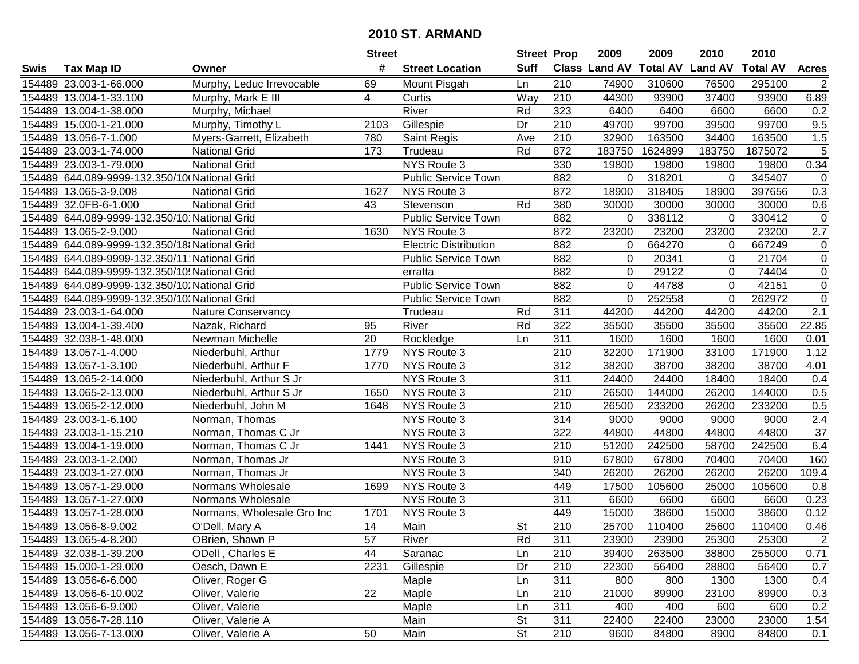| #<br><b>Suff</b><br>Class Land AV Total AV Land AV<br><b>Total AV</b><br><b>Tax Map ID</b><br><b>Street Location</b><br><b>Acres</b><br>Swis<br>Owner<br>154489 23.003-1-66.000<br>Murphy, Leduc Irrevocable<br>69<br>Mount Pisgah<br>210<br>74900<br>310600<br>76500<br>295100<br>$\overline{2}$<br>Ln<br>210<br>154489 13.004-1-33.100<br>Curtis<br>Way<br>44300<br>93900<br>37400<br>93900<br>6.89<br>Murphy, Mark E III<br>4<br>River<br>6600<br>154489 13.004-1-38.000<br>Rd<br>323<br>6400<br>6400<br>6600<br>0.2<br>Murphy, Michael<br>9.5<br>210<br>49700<br>99700<br>39500<br>99700<br>154489 15.000-1-21.000<br>Murphy, Timothy L<br>2103<br>Gillespie<br>Dr<br>1.5<br>154489 13.056-7-1.000<br>Myers-Garrett, Elizabeth<br>780<br>Saint Regis<br>210<br>32900<br>163500<br>34400<br>163500<br>Ave<br>$\overline{5}$<br>Rd<br>872<br>183750<br>154489 23.003-1-74.000<br><b>National Grid</b><br>173<br>183750<br>1624899<br>1875072<br>Trudeau<br><b>NYS Route 3</b><br>0.34<br>154489 23.003-1-79.000<br>330<br>19800<br>19800<br>19800<br>19800<br><b>National Grid</b><br>154489 644.089-9999-132.350/10 National Grid<br>882<br>318201<br>345407<br>$\mathbf 0$<br><b>Public Service Town</b><br>0<br>0<br>872<br>18900<br>18900<br>397656<br>0.3<br>154489 13.065-3-9.008<br>1627<br>NYS Route 3<br>318405<br><b>National Grid</b><br>Rd<br>380<br>30000<br>154489 32.0FB-6-1.000<br><b>National Grid</b><br>43<br>30000<br>30000<br>30000<br>0.6<br>Stevenson<br>154489 644.089-9999-132.350/10 National Grid<br>882<br>338112<br>330412<br>$\pmb{0}$<br><b>Public Service Town</b><br>0<br>$\Omega$<br>154489 13.065-2-9.000<br>NYS Route 3<br>872<br>23200<br>23200<br>23200<br>23200<br>2.7<br><b>National Grid</b><br>1630<br>154489 644.089-9999-132.350/18 National Grid<br>882<br>664270<br>667249<br>$\pmb{0}$<br><b>Electric Distribution</b><br>$\mathbf 0$<br>0<br>154489 644.089-9999-132.350/11 National Grid<br>882<br>21704<br>$\mathbf 0$<br><b>Public Service Town</b><br>$\mathbf 0$<br>20341<br>0<br>$\overline{0}$<br>154489 644.089-9999-132.350/10! National Grid<br>882<br>29122<br>74404<br>$\mathbf 0$<br>$\Omega$<br>erratta<br>44788<br>$\mathbf 0$<br>154489 644.089-9999-132.350/10. National Grid<br><b>Public Service Town</b><br>882<br>0<br>42151<br>$\Omega$<br>$\overline{0}$<br>882<br>252558<br>154489 644.089-9999-132.350/10. National Grid<br><b>Public Service Town</b><br>$\Omega$<br>$\Omega$<br>262972<br>311<br>2.1<br>154489 23.003-1-64.000<br>44200<br>44200<br>44200<br>44200<br>Nature Conservancy<br>Trudeau<br>Rd<br>Rd<br>322<br>35500<br>22.85<br>154489 13.004-1-39.400<br>Nazak, Richard<br>95<br>River<br>35500<br>35500<br>35500<br>154489 32.038-1-48.000<br>Newman Michelle<br>20<br>Rockledge<br>311<br>1600<br>1600<br>1600<br>1600<br>Ln<br>0.01<br>1.12<br>154489 13.057-1-4.000<br>NYS Route 3<br>210<br>32200<br>171900<br>33100<br>171900<br>Niederbuhl, Arthur<br>1779<br>NYS Route 3<br>154489 13.057-1-3.100<br>1770<br>312<br>38200<br>38700<br>38200<br>38700<br>4.01<br>Niederbuhl, Arthur F<br>NYS Route 3<br>0.4<br>154489 13.065-2-14.000<br>311<br>24400<br>24400<br>18400<br>18400<br>Niederbuhl, Arthur S Jr<br>NYS Route 3<br>154489 13.065-2-13.000<br>1650<br>210<br>26500<br>144000<br>26200<br>144000<br>0.5<br>Niederbuhl, Arthur S Jr<br>NYS Route 3<br>210<br>26500<br>233200<br>26200<br>233200<br>0.5<br>154489 13.065-2-12.000<br>Niederbuhl, John M<br>1648<br>154489 23.003-1-6.100<br>NYS Route 3<br>314<br>9000<br>2.4<br>Norman, Thomas<br>9000<br>9000<br>9000<br>$\overline{37}$<br>322<br>44800<br>44800<br>154489 23.003-1-15.210<br>Norman, Thomas C Jr<br>NYS Route 3<br>44800<br>44800<br>51200<br>242500<br>242500<br>6.4<br>154489 13.004-1-19.000<br>Norman, Thomas C Jr<br>NYS Route 3<br>210<br>58700<br>1441<br>154489 23.003-1-2.000<br>NYS Route 3<br>910<br>67800<br>70400<br>70400<br>160<br>Norman, Thomas Jr<br>67800<br>26200<br>26200<br>26200<br>154489 23.003-1-27.000<br>Norman, Thomas Jr<br>NYS Route 3<br>340<br>26200<br>109.4<br>154489 13.057-1-29.000<br>NYS Route 3<br>17500<br>105600<br>105600<br>Normans Wholesale<br>449<br>25000<br>0.8<br>1699<br>154489 13.057-1-27.000<br>Normans Wholesale<br>NYS Route 3<br>311<br>6600<br>6600<br>6600<br>0.23<br>6600<br>449<br>38600<br>0.12<br>154489 13.057-1-28.000<br>Normans, Wholesale Gro Inc<br>1701<br>NYS Route 3<br>15000<br>15000<br>38600<br>$\overline{\mathsf{St}}$<br>154489 13.056-8-9.002<br>14<br>Main<br>210<br>25700<br>110400<br>25600<br>110400<br>0.46<br>O'Dell, Mary A<br>154489 13.065-4-8.200<br>OBrien, Shawn P<br>57<br>River<br>Rd<br>311<br>23900<br>23900<br>25300<br>25300<br>$\mathbf{2}$<br>0.71<br>154489 32.038-1-39.200<br>ODell, Charles E<br>44<br>Saranac<br>210<br>39400<br>263500<br>38800<br>255000<br>Ln<br>154489 15.000-1-29.000<br>Oesch, Dawn E<br>2231<br>Gillespie<br>Dr<br>210<br>22300<br>56400<br>28800<br>56400<br>0.7<br>154489 13.056-6-6.000<br>311<br>1300<br>Oliver, Roger G<br>Maple<br>Ln<br>800<br>800<br>1300<br>0.4<br>22<br>154489 13.056-6-10.002<br>Oliver, Valerie<br>Maple<br>210<br>21000<br>89900<br>23100<br>89900<br>0.3<br>Ln<br>311<br>0.2<br>154489 13.056-6-9.000<br>Oliver, Valerie<br>Maple<br>400<br>400<br>600<br>600<br>Ln<br>154489 13.056-7-28.110<br>Oliver, Valerie A<br>Main<br>St<br>311<br>22400<br>22400<br>23000<br>23000<br>1.54<br><b>St</b><br>154489 13.056-7-13.000<br>Oliver, Valerie A<br>50<br>210<br>9600<br>84800<br>0.1<br>Main<br>84800<br>8900 |  | <b>Street</b> | <b>Street Prop</b> | 2009 | 2009 | 2010 | 2010 |  |
|-------------------------------------------------------------------------------------------------------------------------------------------------------------------------------------------------------------------------------------------------------------------------------------------------------------------------------------------------------------------------------------------------------------------------------------------------------------------------------------------------------------------------------------------------------------------------------------------------------------------------------------------------------------------------------------------------------------------------------------------------------------------------------------------------------------------------------------------------------------------------------------------------------------------------------------------------------------------------------------------------------------------------------------------------------------------------------------------------------------------------------------------------------------------------------------------------------------------------------------------------------------------------------------------------------------------------------------------------------------------------------------------------------------------------------------------------------------------------------------------------------------------------------------------------------------------------------------------------------------------------------------------------------------------------------------------------------------------------------------------------------------------------------------------------------------------------------------------------------------------------------------------------------------------------------------------------------------------------------------------------------------------------------------------------------------------------------------------------------------------------------------------------------------------------------------------------------------------------------------------------------------------------------------------------------------------------------------------------------------------------------------------------------------------------------------------------------------------------------------------------------------------------------------------------------------------------------------------------------------------------------------------------------------------------------------------------------------------------------------------------------------------------------------------------------------------------------------------------------------------------------------------------------------------------------------------------------------------------------------------------------------------------------------------------------------------------------------------------------------------------------------------------------------------------------------------------------------------------------------------------------------------------------------------------------------------------------------------------------------------------------------------------------------------------------------------------------------------------------------------------------------------------------------------------------------------------------------------------------------------------------------------------------------------------------------------------------------------------------------------------------------------------------------------------------------------------------------------------------------------------------------------------------------------------------------------------------------------------------------------------------------------------------------------------------------------------------------------------------------------------------------------------------------------------------------------------------------------------------------------------------------------------------------------------------------------------------------------------------------------------------------------------------------------------------------------------------------------------------------------------------------------------------------------------------------------------------------------------------------------------------------------------------------------------------------------------------------------------------------------------------------------------------------------------------------------------------------------------------------------------------------------------------------------------------------------------------------------------------------------------------------------------------------------------------------------------------------------------------------------------------------------------------------------------------------------------------------------------------------------------------------------------------------------------------------------------------------------------------------------------------------------------------------------------------------------------------------------------------------------------------------------------------------------------------|--|---------------|--------------------|------|------|------|------|--|
|                                                                                                                                                                                                                                                                                                                                                                                                                                                                                                                                                                                                                                                                                                                                                                                                                                                                                                                                                                                                                                                                                                                                                                                                                                                                                                                                                                                                                                                                                                                                                                                                                                                                                                                                                                                                                                                                                                                                                                                                                                                                                                                                                                                                                                                                                                                                                                                                                                                                                                                                                                                                                                                                                                                                                                                                                                                                                                                                                                                                                                                                                                                                                                                                                                                                                                                                                                                                                                                                                                                                                                                                                                                                                                                                                                                                                                                                                                                                                                                                                                                                                                                                                                                                                                                                                                                                                                                                                                                                                                                                                                                                                                                                                                                                                                                                                                                                                                                                                                                                                                                                                                                                                                                                                                                                                                                                                                                                                                                                                                                                                       |  |               |                    |      |      |      |      |  |
|                                                                                                                                                                                                                                                                                                                                                                                                                                                                                                                                                                                                                                                                                                                                                                                                                                                                                                                                                                                                                                                                                                                                                                                                                                                                                                                                                                                                                                                                                                                                                                                                                                                                                                                                                                                                                                                                                                                                                                                                                                                                                                                                                                                                                                                                                                                                                                                                                                                                                                                                                                                                                                                                                                                                                                                                                                                                                                                                                                                                                                                                                                                                                                                                                                                                                                                                                                                                                                                                                                                                                                                                                                                                                                                                                                                                                                                                                                                                                                                                                                                                                                                                                                                                                                                                                                                                                                                                                                                                                                                                                                                                                                                                                                                                                                                                                                                                                                                                                                                                                                                                                                                                                                                                                                                                                                                                                                                                                                                                                                                                                       |  |               |                    |      |      |      |      |  |
|                                                                                                                                                                                                                                                                                                                                                                                                                                                                                                                                                                                                                                                                                                                                                                                                                                                                                                                                                                                                                                                                                                                                                                                                                                                                                                                                                                                                                                                                                                                                                                                                                                                                                                                                                                                                                                                                                                                                                                                                                                                                                                                                                                                                                                                                                                                                                                                                                                                                                                                                                                                                                                                                                                                                                                                                                                                                                                                                                                                                                                                                                                                                                                                                                                                                                                                                                                                                                                                                                                                                                                                                                                                                                                                                                                                                                                                                                                                                                                                                                                                                                                                                                                                                                                                                                                                                                                                                                                                                                                                                                                                                                                                                                                                                                                                                                                                                                                                                                                                                                                                                                                                                                                                                                                                                                                                                                                                                                                                                                                                                                       |  |               |                    |      |      |      |      |  |
|                                                                                                                                                                                                                                                                                                                                                                                                                                                                                                                                                                                                                                                                                                                                                                                                                                                                                                                                                                                                                                                                                                                                                                                                                                                                                                                                                                                                                                                                                                                                                                                                                                                                                                                                                                                                                                                                                                                                                                                                                                                                                                                                                                                                                                                                                                                                                                                                                                                                                                                                                                                                                                                                                                                                                                                                                                                                                                                                                                                                                                                                                                                                                                                                                                                                                                                                                                                                                                                                                                                                                                                                                                                                                                                                                                                                                                                                                                                                                                                                                                                                                                                                                                                                                                                                                                                                                                                                                                                                                                                                                                                                                                                                                                                                                                                                                                                                                                                                                                                                                                                                                                                                                                                                                                                                                                                                                                                                                                                                                                                                                       |  |               |                    |      |      |      |      |  |
|                                                                                                                                                                                                                                                                                                                                                                                                                                                                                                                                                                                                                                                                                                                                                                                                                                                                                                                                                                                                                                                                                                                                                                                                                                                                                                                                                                                                                                                                                                                                                                                                                                                                                                                                                                                                                                                                                                                                                                                                                                                                                                                                                                                                                                                                                                                                                                                                                                                                                                                                                                                                                                                                                                                                                                                                                                                                                                                                                                                                                                                                                                                                                                                                                                                                                                                                                                                                                                                                                                                                                                                                                                                                                                                                                                                                                                                                                                                                                                                                                                                                                                                                                                                                                                                                                                                                                                                                                                                                                                                                                                                                                                                                                                                                                                                                                                                                                                                                                                                                                                                                                                                                                                                                                                                                                                                                                                                                                                                                                                                                                       |  |               |                    |      |      |      |      |  |
|                                                                                                                                                                                                                                                                                                                                                                                                                                                                                                                                                                                                                                                                                                                                                                                                                                                                                                                                                                                                                                                                                                                                                                                                                                                                                                                                                                                                                                                                                                                                                                                                                                                                                                                                                                                                                                                                                                                                                                                                                                                                                                                                                                                                                                                                                                                                                                                                                                                                                                                                                                                                                                                                                                                                                                                                                                                                                                                                                                                                                                                                                                                                                                                                                                                                                                                                                                                                                                                                                                                                                                                                                                                                                                                                                                                                                                                                                                                                                                                                                                                                                                                                                                                                                                                                                                                                                                                                                                                                                                                                                                                                                                                                                                                                                                                                                                                                                                                                                                                                                                                                                                                                                                                                                                                                                                                                                                                                                                                                                                                                                       |  |               |                    |      |      |      |      |  |
|                                                                                                                                                                                                                                                                                                                                                                                                                                                                                                                                                                                                                                                                                                                                                                                                                                                                                                                                                                                                                                                                                                                                                                                                                                                                                                                                                                                                                                                                                                                                                                                                                                                                                                                                                                                                                                                                                                                                                                                                                                                                                                                                                                                                                                                                                                                                                                                                                                                                                                                                                                                                                                                                                                                                                                                                                                                                                                                                                                                                                                                                                                                                                                                                                                                                                                                                                                                                                                                                                                                                                                                                                                                                                                                                                                                                                                                                                                                                                                                                                                                                                                                                                                                                                                                                                                                                                                                                                                                                                                                                                                                                                                                                                                                                                                                                                                                                                                                                                                                                                                                                                                                                                                                                                                                                                                                                                                                                                                                                                                                                                       |  |               |                    |      |      |      |      |  |
|                                                                                                                                                                                                                                                                                                                                                                                                                                                                                                                                                                                                                                                                                                                                                                                                                                                                                                                                                                                                                                                                                                                                                                                                                                                                                                                                                                                                                                                                                                                                                                                                                                                                                                                                                                                                                                                                                                                                                                                                                                                                                                                                                                                                                                                                                                                                                                                                                                                                                                                                                                                                                                                                                                                                                                                                                                                                                                                                                                                                                                                                                                                                                                                                                                                                                                                                                                                                                                                                                                                                                                                                                                                                                                                                                                                                                                                                                                                                                                                                                                                                                                                                                                                                                                                                                                                                                                                                                                                                                                                                                                                                                                                                                                                                                                                                                                                                                                                                                                                                                                                                                                                                                                                                                                                                                                                                                                                                                                                                                                                                                       |  |               |                    |      |      |      |      |  |
|                                                                                                                                                                                                                                                                                                                                                                                                                                                                                                                                                                                                                                                                                                                                                                                                                                                                                                                                                                                                                                                                                                                                                                                                                                                                                                                                                                                                                                                                                                                                                                                                                                                                                                                                                                                                                                                                                                                                                                                                                                                                                                                                                                                                                                                                                                                                                                                                                                                                                                                                                                                                                                                                                                                                                                                                                                                                                                                                                                                                                                                                                                                                                                                                                                                                                                                                                                                                                                                                                                                                                                                                                                                                                                                                                                                                                                                                                                                                                                                                                                                                                                                                                                                                                                                                                                                                                                                                                                                                                                                                                                                                                                                                                                                                                                                                                                                                                                                                                                                                                                                                                                                                                                                                                                                                                                                                                                                                                                                                                                                                                       |  |               |                    |      |      |      |      |  |
|                                                                                                                                                                                                                                                                                                                                                                                                                                                                                                                                                                                                                                                                                                                                                                                                                                                                                                                                                                                                                                                                                                                                                                                                                                                                                                                                                                                                                                                                                                                                                                                                                                                                                                                                                                                                                                                                                                                                                                                                                                                                                                                                                                                                                                                                                                                                                                                                                                                                                                                                                                                                                                                                                                                                                                                                                                                                                                                                                                                                                                                                                                                                                                                                                                                                                                                                                                                                                                                                                                                                                                                                                                                                                                                                                                                                                                                                                                                                                                                                                                                                                                                                                                                                                                                                                                                                                                                                                                                                                                                                                                                                                                                                                                                                                                                                                                                                                                                                                                                                                                                                                                                                                                                                                                                                                                                                                                                                                                                                                                                                                       |  |               |                    |      |      |      |      |  |
|                                                                                                                                                                                                                                                                                                                                                                                                                                                                                                                                                                                                                                                                                                                                                                                                                                                                                                                                                                                                                                                                                                                                                                                                                                                                                                                                                                                                                                                                                                                                                                                                                                                                                                                                                                                                                                                                                                                                                                                                                                                                                                                                                                                                                                                                                                                                                                                                                                                                                                                                                                                                                                                                                                                                                                                                                                                                                                                                                                                                                                                                                                                                                                                                                                                                                                                                                                                                                                                                                                                                                                                                                                                                                                                                                                                                                                                                                                                                                                                                                                                                                                                                                                                                                                                                                                                                                                                                                                                                                                                                                                                                                                                                                                                                                                                                                                                                                                                                                                                                                                                                                                                                                                                                                                                                                                                                                                                                                                                                                                                                                       |  |               |                    |      |      |      |      |  |
|                                                                                                                                                                                                                                                                                                                                                                                                                                                                                                                                                                                                                                                                                                                                                                                                                                                                                                                                                                                                                                                                                                                                                                                                                                                                                                                                                                                                                                                                                                                                                                                                                                                                                                                                                                                                                                                                                                                                                                                                                                                                                                                                                                                                                                                                                                                                                                                                                                                                                                                                                                                                                                                                                                                                                                                                                                                                                                                                                                                                                                                                                                                                                                                                                                                                                                                                                                                                                                                                                                                                                                                                                                                                                                                                                                                                                                                                                                                                                                                                                                                                                                                                                                                                                                                                                                                                                                                                                                                                                                                                                                                                                                                                                                                                                                                                                                                                                                                                                                                                                                                                                                                                                                                                                                                                                                                                                                                                                                                                                                                                                       |  |               |                    |      |      |      |      |  |
|                                                                                                                                                                                                                                                                                                                                                                                                                                                                                                                                                                                                                                                                                                                                                                                                                                                                                                                                                                                                                                                                                                                                                                                                                                                                                                                                                                                                                                                                                                                                                                                                                                                                                                                                                                                                                                                                                                                                                                                                                                                                                                                                                                                                                                                                                                                                                                                                                                                                                                                                                                                                                                                                                                                                                                                                                                                                                                                                                                                                                                                                                                                                                                                                                                                                                                                                                                                                                                                                                                                                                                                                                                                                                                                                                                                                                                                                                                                                                                                                                                                                                                                                                                                                                                                                                                                                                                                                                                                                                                                                                                                                                                                                                                                                                                                                                                                                                                                                                                                                                                                                                                                                                                                                                                                                                                                                                                                                                                                                                                                                                       |  |               |                    |      |      |      |      |  |
|                                                                                                                                                                                                                                                                                                                                                                                                                                                                                                                                                                                                                                                                                                                                                                                                                                                                                                                                                                                                                                                                                                                                                                                                                                                                                                                                                                                                                                                                                                                                                                                                                                                                                                                                                                                                                                                                                                                                                                                                                                                                                                                                                                                                                                                                                                                                                                                                                                                                                                                                                                                                                                                                                                                                                                                                                                                                                                                                                                                                                                                                                                                                                                                                                                                                                                                                                                                                                                                                                                                                                                                                                                                                                                                                                                                                                                                                                                                                                                                                                                                                                                                                                                                                                                                                                                                                                                                                                                                                                                                                                                                                                                                                                                                                                                                                                                                                                                                                                                                                                                                                                                                                                                                                                                                                                                                                                                                                                                                                                                                                                       |  |               |                    |      |      |      |      |  |
|                                                                                                                                                                                                                                                                                                                                                                                                                                                                                                                                                                                                                                                                                                                                                                                                                                                                                                                                                                                                                                                                                                                                                                                                                                                                                                                                                                                                                                                                                                                                                                                                                                                                                                                                                                                                                                                                                                                                                                                                                                                                                                                                                                                                                                                                                                                                                                                                                                                                                                                                                                                                                                                                                                                                                                                                                                                                                                                                                                                                                                                                                                                                                                                                                                                                                                                                                                                                                                                                                                                                                                                                                                                                                                                                                                                                                                                                                                                                                                                                                                                                                                                                                                                                                                                                                                                                                                                                                                                                                                                                                                                                                                                                                                                                                                                                                                                                                                                                                                                                                                                                                                                                                                                                                                                                                                                                                                                                                                                                                                                                                       |  |               |                    |      |      |      |      |  |
|                                                                                                                                                                                                                                                                                                                                                                                                                                                                                                                                                                                                                                                                                                                                                                                                                                                                                                                                                                                                                                                                                                                                                                                                                                                                                                                                                                                                                                                                                                                                                                                                                                                                                                                                                                                                                                                                                                                                                                                                                                                                                                                                                                                                                                                                                                                                                                                                                                                                                                                                                                                                                                                                                                                                                                                                                                                                                                                                                                                                                                                                                                                                                                                                                                                                                                                                                                                                                                                                                                                                                                                                                                                                                                                                                                                                                                                                                                                                                                                                                                                                                                                                                                                                                                                                                                                                                                                                                                                                                                                                                                                                                                                                                                                                                                                                                                                                                                                                                                                                                                                                                                                                                                                                                                                                                                                                                                                                                                                                                                                                                       |  |               |                    |      |      |      |      |  |
|                                                                                                                                                                                                                                                                                                                                                                                                                                                                                                                                                                                                                                                                                                                                                                                                                                                                                                                                                                                                                                                                                                                                                                                                                                                                                                                                                                                                                                                                                                                                                                                                                                                                                                                                                                                                                                                                                                                                                                                                                                                                                                                                                                                                                                                                                                                                                                                                                                                                                                                                                                                                                                                                                                                                                                                                                                                                                                                                                                                                                                                                                                                                                                                                                                                                                                                                                                                                                                                                                                                                                                                                                                                                                                                                                                                                                                                                                                                                                                                                                                                                                                                                                                                                                                                                                                                                                                                                                                                                                                                                                                                                                                                                                                                                                                                                                                                                                                                                                                                                                                                                                                                                                                                                                                                                                                                                                                                                                                                                                                                                                       |  |               |                    |      |      |      |      |  |
|                                                                                                                                                                                                                                                                                                                                                                                                                                                                                                                                                                                                                                                                                                                                                                                                                                                                                                                                                                                                                                                                                                                                                                                                                                                                                                                                                                                                                                                                                                                                                                                                                                                                                                                                                                                                                                                                                                                                                                                                                                                                                                                                                                                                                                                                                                                                                                                                                                                                                                                                                                                                                                                                                                                                                                                                                                                                                                                                                                                                                                                                                                                                                                                                                                                                                                                                                                                                                                                                                                                                                                                                                                                                                                                                                                                                                                                                                                                                                                                                                                                                                                                                                                                                                                                                                                                                                                                                                                                                                                                                                                                                                                                                                                                                                                                                                                                                                                                                                                                                                                                                                                                                                                                                                                                                                                                                                                                                                                                                                                                                                       |  |               |                    |      |      |      |      |  |
|                                                                                                                                                                                                                                                                                                                                                                                                                                                                                                                                                                                                                                                                                                                                                                                                                                                                                                                                                                                                                                                                                                                                                                                                                                                                                                                                                                                                                                                                                                                                                                                                                                                                                                                                                                                                                                                                                                                                                                                                                                                                                                                                                                                                                                                                                                                                                                                                                                                                                                                                                                                                                                                                                                                                                                                                                                                                                                                                                                                                                                                                                                                                                                                                                                                                                                                                                                                                                                                                                                                                                                                                                                                                                                                                                                                                                                                                                                                                                                                                                                                                                                                                                                                                                                                                                                                                                                                                                                                                                                                                                                                                                                                                                                                                                                                                                                                                                                                                                                                                                                                                                                                                                                                                                                                                                                                                                                                                                                                                                                                                                       |  |               |                    |      |      |      |      |  |
|                                                                                                                                                                                                                                                                                                                                                                                                                                                                                                                                                                                                                                                                                                                                                                                                                                                                                                                                                                                                                                                                                                                                                                                                                                                                                                                                                                                                                                                                                                                                                                                                                                                                                                                                                                                                                                                                                                                                                                                                                                                                                                                                                                                                                                                                                                                                                                                                                                                                                                                                                                                                                                                                                                                                                                                                                                                                                                                                                                                                                                                                                                                                                                                                                                                                                                                                                                                                                                                                                                                                                                                                                                                                                                                                                                                                                                                                                                                                                                                                                                                                                                                                                                                                                                                                                                                                                                                                                                                                                                                                                                                                                                                                                                                                                                                                                                                                                                                                                                                                                                                                                                                                                                                                                                                                                                                                                                                                                                                                                                                                                       |  |               |                    |      |      |      |      |  |
|                                                                                                                                                                                                                                                                                                                                                                                                                                                                                                                                                                                                                                                                                                                                                                                                                                                                                                                                                                                                                                                                                                                                                                                                                                                                                                                                                                                                                                                                                                                                                                                                                                                                                                                                                                                                                                                                                                                                                                                                                                                                                                                                                                                                                                                                                                                                                                                                                                                                                                                                                                                                                                                                                                                                                                                                                                                                                                                                                                                                                                                                                                                                                                                                                                                                                                                                                                                                                                                                                                                                                                                                                                                                                                                                                                                                                                                                                                                                                                                                                                                                                                                                                                                                                                                                                                                                                                                                                                                                                                                                                                                                                                                                                                                                                                                                                                                                                                                                                                                                                                                                                                                                                                                                                                                                                                                                                                                                                                                                                                                                                       |  |               |                    |      |      |      |      |  |
|                                                                                                                                                                                                                                                                                                                                                                                                                                                                                                                                                                                                                                                                                                                                                                                                                                                                                                                                                                                                                                                                                                                                                                                                                                                                                                                                                                                                                                                                                                                                                                                                                                                                                                                                                                                                                                                                                                                                                                                                                                                                                                                                                                                                                                                                                                                                                                                                                                                                                                                                                                                                                                                                                                                                                                                                                                                                                                                                                                                                                                                                                                                                                                                                                                                                                                                                                                                                                                                                                                                                                                                                                                                                                                                                                                                                                                                                                                                                                                                                                                                                                                                                                                                                                                                                                                                                                                                                                                                                                                                                                                                                                                                                                                                                                                                                                                                                                                                                                                                                                                                                                                                                                                                                                                                                                                                                                                                                                                                                                                                                                       |  |               |                    |      |      |      |      |  |
|                                                                                                                                                                                                                                                                                                                                                                                                                                                                                                                                                                                                                                                                                                                                                                                                                                                                                                                                                                                                                                                                                                                                                                                                                                                                                                                                                                                                                                                                                                                                                                                                                                                                                                                                                                                                                                                                                                                                                                                                                                                                                                                                                                                                                                                                                                                                                                                                                                                                                                                                                                                                                                                                                                                                                                                                                                                                                                                                                                                                                                                                                                                                                                                                                                                                                                                                                                                                                                                                                                                                                                                                                                                                                                                                                                                                                                                                                                                                                                                                                                                                                                                                                                                                                                                                                                                                                                                                                                                                                                                                                                                                                                                                                                                                                                                                                                                                                                                                                                                                                                                                                                                                                                                                                                                                                                                                                                                                                                                                                                                                                       |  |               |                    |      |      |      |      |  |
|                                                                                                                                                                                                                                                                                                                                                                                                                                                                                                                                                                                                                                                                                                                                                                                                                                                                                                                                                                                                                                                                                                                                                                                                                                                                                                                                                                                                                                                                                                                                                                                                                                                                                                                                                                                                                                                                                                                                                                                                                                                                                                                                                                                                                                                                                                                                                                                                                                                                                                                                                                                                                                                                                                                                                                                                                                                                                                                                                                                                                                                                                                                                                                                                                                                                                                                                                                                                                                                                                                                                                                                                                                                                                                                                                                                                                                                                                                                                                                                                                                                                                                                                                                                                                                                                                                                                                                                                                                                                                                                                                                                                                                                                                                                                                                                                                                                                                                                                                                                                                                                                                                                                                                                                                                                                                                                                                                                                                                                                                                                                                       |  |               |                    |      |      |      |      |  |
|                                                                                                                                                                                                                                                                                                                                                                                                                                                                                                                                                                                                                                                                                                                                                                                                                                                                                                                                                                                                                                                                                                                                                                                                                                                                                                                                                                                                                                                                                                                                                                                                                                                                                                                                                                                                                                                                                                                                                                                                                                                                                                                                                                                                                                                                                                                                                                                                                                                                                                                                                                                                                                                                                                                                                                                                                                                                                                                                                                                                                                                                                                                                                                                                                                                                                                                                                                                                                                                                                                                                                                                                                                                                                                                                                                                                                                                                                                                                                                                                                                                                                                                                                                                                                                                                                                                                                                                                                                                                                                                                                                                                                                                                                                                                                                                                                                                                                                                                                                                                                                                                                                                                                                                                                                                                                                                                                                                                                                                                                                                                                       |  |               |                    |      |      |      |      |  |
|                                                                                                                                                                                                                                                                                                                                                                                                                                                                                                                                                                                                                                                                                                                                                                                                                                                                                                                                                                                                                                                                                                                                                                                                                                                                                                                                                                                                                                                                                                                                                                                                                                                                                                                                                                                                                                                                                                                                                                                                                                                                                                                                                                                                                                                                                                                                                                                                                                                                                                                                                                                                                                                                                                                                                                                                                                                                                                                                                                                                                                                                                                                                                                                                                                                                                                                                                                                                                                                                                                                                                                                                                                                                                                                                                                                                                                                                                                                                                                                                                                                                                                                                                                                                                                                                                                                                                                                                                                                                                                                                                                                                                                                                                                                                                                                                                                                                                                                                                                                                                                                                                                                                                                                                                                                                                                                                                                                                                                                                                                                                                       |  |               |                    |      |      |      |      |  |
|                                                                                                                                                                                                                                                                                                                                                                                                                                                                                                                                                                                                                                                                                                                                                                                                                                                                                                                                                                                                                                                                                                                                                                                                                                                                                                                                                                                                                                                                                                                                                                                                                                                                                                                                                                                                                                                                                                                                                                                                                                                                                                                                                                                                                                                                                                                                                                                                                                                                                                                                                                                                                                                                                                                                                                                                                                                                                                                                                                                                                                                                                                                                                                                                                                                                                                                                                                                                                                                                                                                                                                                                                                                                                                                                                                                                                                                                                                                                                                                                                                                                                                                                                                                                                                                                                                                                                                                                                                                                                                                                                                                                                                                                                                                                                                                                                                                                                                                                                                                                                                                                                                                                                                                                                                                                                                                                                                                                                                                                                                                                                       |  |               |                    |      |      |      |      |  |
|                                                                                                                                                                                                                                                                                                                                                                                                                                                                                                                                                                                                                                                                                                                                                                                                                                                                                                                                                                                                                                                                                                                                                                                                                                                                                                                                                                                                                                                                                                                                                                                                                                                                                                                                                                                                                                                                                                                                                                                                                                                                                                                                                                                                                                                                                                                                                                                                                                                                                                                                                                                                                                                                                                                                                                                                                                                                                                                                                                                                                                                                                                                                                                                                                                                                                                                                                                                                                                                                                                                                                                                                                                                                                                                                                                                                                                                                                                                                                                                                                                                                                                                                                                                                                                                                                                                                                                                                                                                                                                                                                                                                                                                                                                                                                                                                                                                                                                                                                                                                                                                                                                                                                                                                                                                                                                                                                                                                                                                                                                                                                       |  |               |                    |      |      |      |      |  |
|                                                                                                                                                                                                                                                                                                                                                                                                                                                                                                                                                                                                                                                                                                                                                                                                                                                                                                                                                                                                                                                                                                                                                                                                                                                                                                                                                                                                                                                                                                                                                                                                                                                                                                                                                                                                                                                                                                                                                                                                                                                                                                                                                                                                                                                                                                                                                                                                                                                                                                                                                                                                                                                                                                                                                                                                                                                                                                                                                                                                                                                                                                                                                                                                                                                                                                                                                                                                                                                                                                                                                                                                                                                                                                                                                                                                                                                                                                                                                                                                                                                                                                                                                                                                                                                                                                                                                                                                                                                                                                                                                                                                                                                                                                                                                                                                                                                                                                                                                                                                                                                                                                                                                                                                                                                                                                                                                                                                                                                                                                                                                       |  |               |                    |      |      |      |      |  |
|                                                                                                                                                                                                                                                                                                                                                                                                                                                                                                                                                                                                                                                                                                                                                                                                                                                                                                                                                                                                                                                                                                                                                                                                                                                                                                                                                                                                                                                                                                                                                                                                                                                                                                                                                                                                                                                                                                                                                                                                                                                                                                                                                                                                                                                                                                                                                                                                                                                                                                                                                                                                                                                                                                                                                                                                                                                                                                                                                                                                                                                                                                                                                                                                                                                                                                                                                                                                                                                                                                                                                                                                                                                                                                                                                                                                                                                                                                                                                                                                                                                                                                                                                                                                                                                                                                                                                                                                                                                                                                                                                                                                                                                                                                                                                                                                                                                                                                                                                                                                                                                                                                                                                                                                                                                                                                                                                                                                                                                                                                                                                       |  |               |                    |      |      |      |      |  |
|                                                                                                                                                                                                                                                                                                                                                                                                                                                                                                                                                                                                                                                                                                                                                                                                                                                                                                                                                                                                                                                                                                                                                                                                                                                                                                                                                                                                                                                                                                                                                                                                                                                                                                                                                                                                                                                                                                                                                                                                                                                                                                                                                                                                                                                                                                                                                                                                                                                                                                                                                                                                                                                                                                                                                                                                                                                                                                                                                                                                                                                                                                                                                                                                                                                                                                                                                                                                                                                                                                                                                                                                                                                                                                                                                                                                                                                                                                                                                                                                                                                                                                                                                                                                                                                                                                                                                                                                                                                                                                                                                                                                                                                                                                                                                                                                                                                                                                                                                                                                                                                                                                                                                                                                                                                                                                                                                                                                                                                                                                                                                       |  |               |                    |      |      |      |      |  |
|                                                                                                                                                                                                                                                                                                                                                                                                                                                                                                                                                                                                                                                                                                                                                                                                                                                                                                                                                                                                                                                                                                                                                                                                                                                                                                                                                                                                                                                                                                                                                                                                                                                                                                                                                                                                                                                                                                                                                                                                                                                                                                                                                                                                                                                                                                                                                                                                                                                                                                                                                                                                                                                                                                                                                                                                                                                                                                                                                                                                                                                                                                                                                                                                                                                                                                                                                                                                                                                                                                                                                                                                                                                                                                                                                                                                                                                                                                                                                                                                                                                                                                                                                                                                                                                                                                                                                                                                                                                                                                                                                                                                                                                                                                                                                                                                                                                                                                                                                                                                                                                                                                                                                                                                                                                                                                                                                                                                                                                                                                                                                       |  |               |                    |      |      |      |      |  |
|                                                                                                                                                                                                                                                                                                                                                                                                                                                                                                                                                                                                                                                                                                                                                                                                                                                                                                                                                                                                                                                                                                                                                                                                                                                                                                                                                                                                                                                                                                                                                                                                                                                                                                                                                                                                                                                                                                                                                                                                                                                                                                                                                                                                                                                                                                                                                                                                                                                                                                                                                                                                                                                                                                                                                                                                                                                                                                                                                                                                                                                                                                                                                                                                                                                                                                                                                                                                                                                                                                                                                                                                                                                                                                                                                                                                                                                                                                                                                                                                                                                                                                                                                                                                                                                                                                                                                                                                                                                                                                                                                                                                                                                                                                                                                                                                                                                                                                                                                                                                                                                                                                                                                                                                                                                                                                                                                                                                                                                                                                                                                       |  |               |                    |      |      |      |      |  |
|                                                                                                                                                                                                                                                                                                                                                                                                                                                                                                                                                                                                                                                                                                                                                                                                                                                                                                                                                                                                                                                                                                                                                                                                                                                                                                                                                                                                                                                                                                                                                                                                                                                                                                                                                                                                                                                                                                                                                                                                                                                                                                                                                                                                                                                                                                                                                                                                                                                                                                                                                                                                                                                                                                                                                                                                                                                                                                                                                                                                                                                                                                                                                                                                                                                                                                                                                                                                                                                                                                                                                                                                                                                                                                                                                                                                                                                                                                                                                                                                                                                                                                                                                                                                                                                                                                                                                                                                                                                                                                                                                                                                                                                                                                                                                                                                                                                                                                                                                                                                                                                                                                                                                                                                                                                                                                                                                                                                                                                                                                                                                       |  |               |                    |      |      |      |      |  |
|                                                                                                                                                                                                                                                                                                                                                                                                                                                                                                                                                                                                                                                                                                                                                                                                                                                                                                                                                                                                                                                                                                                                                                                                                                                                                                                                                                                                                                                                                                                                                                                                                                                                                                                                                                                                                                                                                                                                                                                                                                                                                                                                                                                                                                                                                                                                                                                                                                                                                                                                                                                                                                                                                                                                                                                                                                                                                                                                                                                                                                                                                                                                                                                                                                                                                                                                                                                                                                                                                                                                                                                                                                                                                                                                                                                                                                                                                                                                                                                                                                                                                                                                                                                                                                                                                                                                                                                                                                                                                                                                                                                                                                                                                                                                                                                                                                                                                                                                                                                                                                                                                                                                                                                                                                                                                                                                                                                                                                                                                                                                                       |  |               |                    |      |      |      |      |  |
|                                                                                                                                                                                                                                                                                                                                                                                                                                                                                                                                                                                                                                                                                                                                                                                                                                                                                                                                                                                                                                                                                                                                                                                                                                                                                                                                                                                                                                                                                                                                                                                                                                                                                                                                                                                                                                                                                                                                                                                                                                                                                                                                                                                                                                                                                                                                                                                                                                                                                                                                                                                                                                                                                                                                                                                                                                                                                                                                                                                                                                                                                                                                                                                                                                                                                                                                                                                                                                                                                                                                                                                                                                                                                                                                                                                                                                                                                                                                                                                                                                                                                                                                                                                                                                                                                                                                                                                                                                                                                                                                                                                                                                                                                                                                                                                                                                                                                                                                                                                                                                                                                                                                                                                                                                                                                                                                                                                                                                                                                                                                                       |  |               |                    |      |      |      |      |  |
|                                                                                                                                                                                                                                                                                                                                                                                                                                                                                                                                                                                                                                                                                                                                                                                                                                                                                                                                                                                                                                                                                                                                                                                                                                                                                                                                                                                                                                                                                                                                                                                                                                                                                                                                                                                                                                                                                                                                                                                                                                                                                                                                                                                                                                                                                                                                                                                                                                                                                                                                                                                                                                                                                                                                                                                                                                                                                                                                                                                                                                                                                                                                                                                                                                                                                                                                                                                                                                                                                                                                                                                                                                                                                                                                                                                                                                                                                                                                                                                                                                                                                                                                                                                                                                                                                                                                                                                                                                                                                                                                                                                                                                                                                                                                                                                                                                                                                                                                                                                                                                                                                                                                                                                                                                                                                                                                                                                                                                                                                                                                                       |  |               |                    |      |      |      |      |  |
|                                                                                                                                                                                                                                                                                                                                                                                                                                                                                                                                                                                                                                                                                                                                                                                                                                                                                                                                                                                                                                                                                                                                                                                                                                                                                                                                                                                                                                                                                                                                                                                                                                                                                                                                                                                                                                                                                                                                                                                                                                                                                                                                                                                                                                                                                                                                                                                                                                                                                                                                                                                                                                                                                                                                                                                                                                                                                                                                                                                                                                                                                                                                                                                                                                                                                                                                                                                                                                                                                                                                                                                                                                                                                                                                                                                                                                                                                                                                                                                                                                                                                                                                                                                                                                                                                                                                                                                                                                                                                                                                                                                                                                                                                                                                                                                                                                                                                                                                                                                                                                                                                                                                                                                                                                                                                                                                                                                                                                                                                                                                                       |  |               |                    |      |      |      |      |  |
|                                                                                                                                                                                                                                                                                                                                                                                                                                                                                                                                                                                                                                                                                                                                                                                                                                                                                                                                                                                                                                                                                                                                                                                                                                                                                                                                                                                                                                                                                                                                                                                                                                                                                                                                                                                                                                                                                                                                                                                                                                                                                                                                                                                                                                                                                                                                                                                                                                                                                                                                                                                                                                                                                                                                                                                                                                                                                                                                                                                                                                                                                                                                                                                                                                                                                                                                                                                                                                                                                                                                                                                                                                                                                                                                                                                                                                                                                                                                                                                                                                                                                                                                                                                                                                                                                                                                                                                                                                                                                                                                                                                                                                                                                                                                                                                                                                                                                                                                                                                                                                                                                                                                                                                                                                                                                                                                                                                                                                                                                                                                                       |  |               |                    |      |      |      |      |  |
|                                                                                                                                                                                                                                                                                                                                                                                                                                                                                                                                                                                                                                                                                                                                                                                                                                                                                                                                                                                                                                                                                                                                                                                                                                                                                                                                                                                                                                                                                                                                                                                                                                                                                                                                                                                                                                                                                                                                                                                                                                                                                                                                                                                                                                                                                                                                                                                                                                                                                                                                                                                                                                                                                                                                                                                                                                                                                                                                                                                                                                                                                                                                                                                                                                                                                                                                                                                                                                                                                                                                                                                                                                                                                                                                                                                                                                                                                                                                                                                                                                                                                                                                                                                                                                                                                                                                                                                                                                                                                                                                                                                                                                                                                                                                                                                                                                                                                                                                                                                                                                                                                                                                                                                                                                                                                                                                                                                                                                                                                                                                                       |  |               |                    |      |      |      |      |  |
|                                                                                                                                                                                                                                                                                                                                                                                                                                                                                                                                                                                                                                                                                                                                                                                                                                                                                                                                                                                                                                                                                                                                                                                                                                                                                                                                                                                                                                                                                                                                                                                                                                                                                                                                                                                                                                                                                                                                                                                                                                                                                                                                                                                                                                                                                                                                                                                                                                                                                                                                                                                                                                                                                                                                                                                                                                                                                                                                                                                                                                                                                                                                                                                                                                                                                                                                                                                                                                                                                                                                                                                                                                                                                                                                                                                                                                                                                                                                                                                                                                                                                                                                                                                                                                                                                                                                                                                                                                                                                                                                                                                                                                                                                                                                                                                                                                                                                                                                                                                                                                                                                                                                                                                                                                                                                                                                                                                                                                                                                                                                                       |  |               |                    |      |      |      |      |  |
|                                                                                                                                                                                                                                                                                                                                                                                                                                                                                                                                                                                                                                                                                                                                                                                                                                                                                                                                                                                                                                                                                                                                                                                                                                                                                                                                                                                                                                                                                                                                                                                                                                                                                                                                                                                                                                                                                                                                                                                                                                                                                                                                                                                                                                                                                                                                                                                                                                                                                                                                                                                                                                                                                                                                                                                                                                                                                                                                                                                                                                                                                                                                                                                                                                                                                                                                                                                                                                                                                                                                                                                                                                                                                                                                                                                                                                                                                                                                                                                                                                                                                                                                                                                                                                                                                                                                                                                                                                                                                                                                                                                                                                                                                                                                                                                                                                                                                                                                                                                                                                                                                                                                                                                                                                                                                                                                                                                                                                                                                                                                                       |  |               |                    |      |      |      |      |  |
|                                                                                                                                                                                                                                                                                                                                                                                                                                                                                                                                                                                                                                                                                                                                                                                                                                                                                                                                                                                                                                                                                                                                                                                                                                                                                                                                                                                                                                                                                                                                                                                                                                                                                                                                                                                                                                                                                                                                                                                                                                                                                                                                                                                                                                                                                                                                                                                                                                                                                                                                                                                                                                                                                                                                                                                                                                                                                                                                                                                                                                                                                                                                                                                                                                                                                                                                                                                                                                                                                                                                                                                                                                                                                                                                                                                                                                                                                                                                                                                                                                                                                                                                                                                                                                                                                                                                                                                                                                                                                                                                                                                                                                                                                                                                                                                                                                                                                                                                                                                                                                                                                                                                                                                                                                                                                                                                                                                                                                                                                                                                                       |  |               |                    |      |      |      |      |  |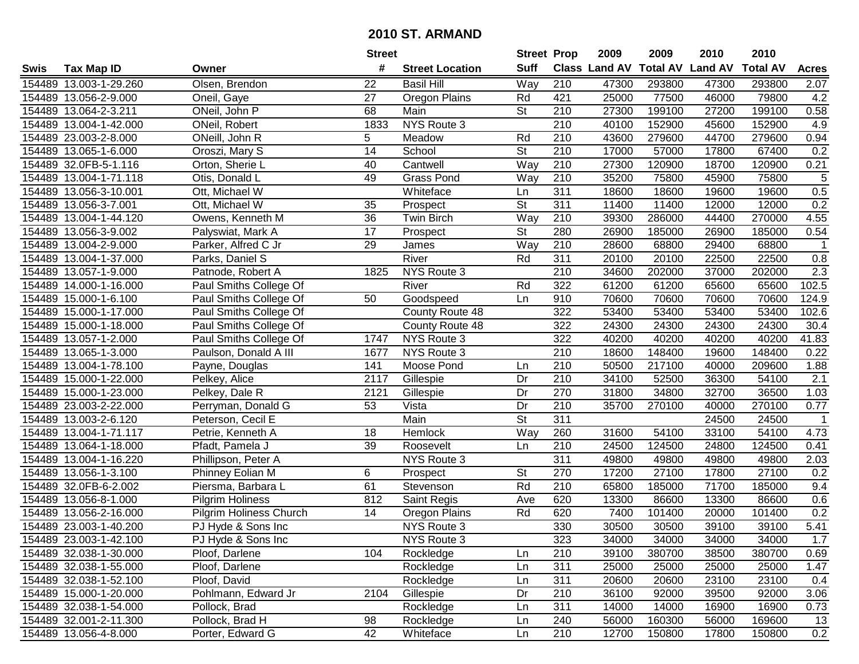|      |                        |                         | <b>Street</b>   |                        | <b>Street Prop</b>       |                  | 2009          | 2009            | 2010           | 2010            |                |
|------|------------------------|-------------------------|-----------------|------------------------|--------------------------|------------------|---------------|-----------------|----------------|-----------------|----------------|
| Swis | <b>Tax Map ID</b>      | Owner                   | #               | <b>Street Location</b> | <b>Suff</b>              |                  | Class Land AV | <b>Total AV</b> | <b>Land AV</b> | <b>Total AV</b> | <b>Acres</b>   |
|      | 154489 13.003-1-29.260 | Olsen, Brendon          | 22              | <b>Basil Hill</b>      | Way                      | 210              | 47300         | 293800          | 47300          | 293800          | 2.07           |
|      | 154489 13.056-2-9.000  | Oneil, Gaye             | 27              | Oregon Plains          | Rd                       | 421              | 25000         | 77500           | 46000          | 79800           | 4.2            |
|      | 154489 13.064-2-3.211  | ONeil, John P           | 68              | Main                   | <b>St</b>                | 210              | 27300         | 199100          | 27200          | 199100          | 0.58           |
|      | 154489 13.004-1-42.000 | ONeil, Robert           | 1833            | NYS Route 3            |                          | $\overline{210}$ | 40100         | 152900          | 45600          | 152900          | 4.9            |
|      | 154489 23.003-2-8.000  | ONeill, John R          | 5               | Meadow                 | Rd                       | 210              | 43600         | 279600          | 44700          | 279600          | 0.94           |
|      | 154489 13.065-1-6.000  | Oroszi, Mary S          | 14              | School                 | $\overline{\mathsf{St}}$ | 210              | 17000         | 57000           | 17800          | 67400           | 0.2            |
|      | 154489 32.0FB-5-1.116  | Orton, Sherie L         | 40              | Cantwell               | Way                      | 210              | 27300         | 120900          | 18700          | 120900          | 0.21           |
|      | 154489 13.004-1-71.118 | Otis, Donald L          | 49              | <b>Grass Pond</b>      | Way                      | 210              | 35200         | 75800           | 45900          | 75800           | $\overline{5}$ |
|      | 154489 13.056-3-10.001 | Ott, Michael W          |                 | Whiteface              | Ln                       | 311              | 18600         | 18600           | 19600          | 19600           | 0.5            |
|      | 154489 13.056-3-7.001  | Ott, Michael W          | 35              | Prospect               | $\overline{\mathsf{St}}$ | 311              | 11400         | 11400           | 12000          | 12000           | 0.2            |
|      | 154489 13.004-1-44.120 | Owens, Kenneth M        | 36              | Twin Birch             | Way                      | 210              | 39300         | 286000          | 44400          | 270000          | 4.55           |
|      | 154489 13.056-3-9.002  | Palyswiat, Mark A       | 17              | Prospect               | <b>St</b>                | 280              | 26900         | 185000          | 26900          | 185000          | 0.54           |
|      | 154489 13.004-2-9.000  | Parker, Alfred C Jr     | 29              | James                  | Way                      | 210              | 28600         | 68800           | 29400          | 68800           |                |
|      | 154489 13.004-1-37.000 | Parks, Daniel S         |                 | River                  | Rd                       | 311              | 20100         | 20100           | 22500          | 22500           | 0.8            |
|      | 154489 13.057-1-9.000  | Patnode, Robert A       | 1825            | NYS Route 3            |                          | 210              | 34600         | 202000          | 37000          | 202000          | 2.3            |
|      | 154489 14.000-1-16.000 | Paul Smiths College Of  |                 | River                  | Rd                       | 322              | 61200         | 61200           | 65600          | 65600           | 102.5          |
|      | 154489 15.000-1-6.100  | Paul Smiths College Of  | 50              | Goodspeed              | Ln                       | 910              | 70600         | 70600           | 70600          | 70600           | 124.9          |
|      | 154489 15.000-1-17.000 | Paul Smiths College Of  |                 | County Route 48        |                          | 322              | 53400         | 53400           | 53400          | 53400           | 102.6          |
|      | 154489 15.000-1-18.000 | Paul Smiths College Of  |                 | County Route 48        |                          | 322              | 24300         | 24300           | 24300          | 24300           | 30.4           |
|      | 154489 13.057-1-2.000  | Paul Smiths College Of  | 1747            | NYS Route 3            |                          | 322              | 40200         | 40200           | 40200          | 40200           | 41.83          |
|      | 154489 13.065-1-3.000  | Paulson, Donald A III   | 1677            | NYS Route 3            |                          | 210              | 18600         | 148400          | 19600          | 148400          | 0.22           |
|      | 154489 13.004-1-78.100 | Payne, Douglas          | 141             | Moose Pond             | Ln                       | 210              | 50500         | 217100          | 40000          | 209600          | 1.88           |
|      | 154489 15.000-1-22.000 | Pelkey, Alice           | 2117            | Gillespie              | Dr                       | 210              | 34100         | 52500           | 36300          | 54100           | 2.1            |
|      | 154489 15.000-1-23.000 | Pelkey, Dale R          | 2121            | Gillespie              | Dr                       | 270              | 31800         | 34800           | 32700          | 36500           | 1.03           |
|      | 154489 23.003-2-22.000 | Perryman, Donald G      | 53              | Vista                  | Dr                       | 210              | 35700         | 270100          | 40000          | 270100          | 0.77           |
|      | 154489 13.003-2-6.120  | Peterson, Cecil E       |                 | Main                   | $\overline{\mathsf{St}}$ | 311              |               |                 | 24500          | 24500           | $\mathbf{1}$   |
|      | 154489 13.004-1-71.117 | Petrie, Kenneth A       | 18              | Hemlock                | Way                      | 260              | 31600         | 54100           | 33100          | 54100           | 4.73           |
|      | 154489 13.064-1-18.000 | Pfadt, Pamela J         | 39              | Roosevelt              | Ln                       | 210              | 24500         | 124500          | 24800          | 124500          | 0.41           |
|      | 154489 13.004-1-16.220 | Phillipson, Peter A     |                 | NYS Route 3            |                          | 311              | 49800         | 49800           | 49800          | 49800           | 2.03           |
|      | 154489 13.056-1-3.100  | Phinney Eolian M        | 6               | Prospect               | $\overline{\mathsf{St}}$ | 270              | 17200         | 27100           | 17800          | 27100           | 0.2            |
|      | 154489 32.0FB-6-2.002  | Piersma, Barbara L      | 61              | Stevenson              | Rd                       | $\overline{210}$ | 65800         | 185000          | 71700          | 185000          | 9.4            |
|      | 154489 13.056-8-1.000  | <b>Pilgrim Holiness</b> | 812             | Saint Regis            | Ave                      | 620              | 13300         | 86600           | 13300          | 86600           | 0.6            |
|      | 154489 13.056-2-16.000 | Pilgrim Holiness Church | $\overline{14}$ | Oregon Plains          | Rd                       | 620              | 7400          | 101400          | 20000          | 101400          | 0.2            |
|      | 154489 23.003-1-40.200 | PJ Hyde & Sons Inc      |                 | NYS Route 3            |                          | 330              | 30500         | 30500           | 39100          | 39100           | 5.41           |
|      | 154489 23.003-1-42.100 | PJ Hyde & Sons Inc      |                 | NYS Route 3            |                          | 323              | 34000         | 34000           | 34000          | 34000           | 1.7            |
|      | 154489 32.038-1-30.000 | Ploof, Darlene          | 104             | Rockledge              | Ln                       | 210              | 39100         | 380700          | 38500          | 380700          | 0.69           |
|      | 154489 32.038-1-55.000 | Ploof, Darlene          |                 | Rockledge              | Ln                       | 311              | 25000         | 25000           | 25000          | 25000           | 1.47           |
|      | 154489 32.038-1-52.100 | Ploof, David            |                 | Rockledge              | Ln                       | 311              | 20600         | 20600           | 23100          | 23100           | 0.4            |
|      | 154489 15.000-1-20.000 | Pohlmann, Edward Jr     | 2104            | Gillespie              | Dr                       | 210              | 36100         | 92000           | 39500          | 92000           | 3.06           |
|      | 154489 32.038-1-54.000 | Pollock, Brad           |                 | Rockledge              | Ln                       | 311              | 14000         | 14000           | 16900          | 16900           | 0.73           |
|      | 154489 32.001-2-11.300 | Pollock, Brad H         | 98              | Rockledge              | Ln                       | 240              | 56000         | 160300          | 56000          | 169600          | 13             |
|      | 154489 13.056-4-8.000  | Porter, Edward G        | 42              | Whiteface              | Ln                       | 210              | 12700         | 150800          | 17800          | 150800          | 0.2            |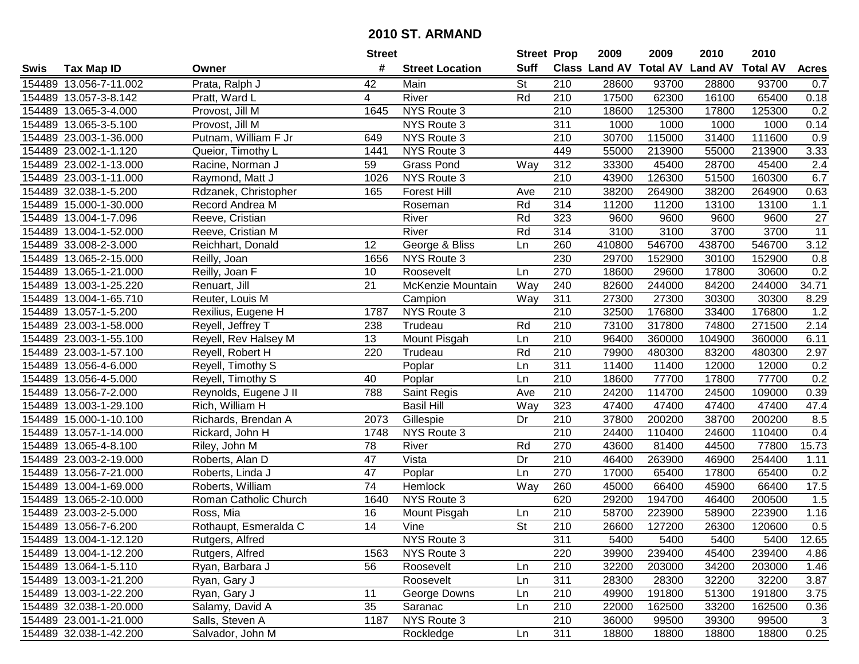| #<br><b>Suff</b><br><b>Class Land AV Total AV</b><br><b>Land AV</b><br><b>Total AV</b><br><b>Tax Map ID</b><br><b>Street Location</b><br><b>Acres</b><br>Swis<br>Owner<br><b>St</b><br>93700<br>154489 13.056-7-11.002<br>Prata, Ralph J<br>42<br>210<br>28600<br>93700<br>28800<br>0.7<br>Main<br>Rd<br>17500<br>154489 13.057-3-8.142<br>River<br>210<br>62300<br>16100<br>65400<br>0.18<br>Pratt, Ward L<br>4<br>154489 13.065-3-4.000<br>Provost, Jill M<br>NYS Route 3<br>210<br>18600<br>125300<br>17800<br>125300<br>0.2<br>1645<br>NYS Route 3<br>1000<br>1000<br>1000<br>1000<br>0.14<br>154489 13.065-3-5.100<br>Provost, Jill M<br>311<br>30700<br>154489 23.003-1-36.000<br>Putnam, William F Jr<br>649<br>NYS Route 3<br>210<br>115000<br>31400<br>111600<br>0.9<br>3.33<br>154489 23.002-1-1.120<br>NYS Route 3<br>449<br>55000<br>213900<br>55000<br>213900<br>Queior, Timothy L<br>1441<br>154489 23.002-1-13.000<br><b>Grass Pond</b><br>Way<br>312<br>33300<br>45400<br>28700<br>45400<br>2.4<br>Racine, Norman J<br>59<br>210<br>6.7<br><b>NYS Route 3</b><br>43900<br>126300<br>51500<br>160300<br>154489 23.003-1-11.000<br>Raymond, Matt J<br>1026<br>$\overline{210}$<br>38200<br>38200<br>0.63<br>154489 32.038-1-5.200<br>Rdzanek, Christopher<br>165<br><b>Forest Hill</b><br>264900<br>264900<br>Ave<br>Rd<br>314<br>154489 15.000-1-30.000<br>Record Andrea M<br>11200<br>11200<br>13100<br>13100<br>1.1<br>Roseman<br>Rd<br>323<br>27<br>154489 13.004-1-7.096<br>Reeve, Cristian<br>River<br>9600<br>9600<br>9600<br>9600<br>154489 13.004-1-52.000<br>River<br>Rd<br>314<br>3100<br>3100<br>3700<br>3700<br>11<br>Reeve, Cristian M<br>260<br>438700<br>546700<br>3.12<br>12<br>George & Bliss<br>410800<br>546700<br>154489 33.008-2-3.000<br>Reichhart, Donald<br>Ln<br>230<br>154489 13.065-2-15.000<br>NYS Route 3<br>29700<br>152900<br>30100<br>152900<br>0.8<br>Reilly, Joan<br>1656<br>270<br>0.2<br>154489 13.065-1-21.000<br>Reilly, Joan F<br>10<br>18600<br>29600<br>17800<br>30600<br>Roosevelt<br>Ln<br>240<br>34.71<br>154489 13.003-1-25.220<br>21<br>McKenzie Mountain<br>82600<br>244000<br>84200<br>244000<br>Renuart, Jill<br>Way<br>Way<br>311<br>8.29<br>154489 13.004-1-65.710<br>27300<br>27300<br>30300<br>30300<br>Reuter, Louis M<br>Campion<br>210<br>1.2<br>154489 13.057-1-5.200<br>NYS Route 3<br>32500<br>176800<br>33400<br>176800<br>Rexilius, Eugene H<br>1787<br>154489 23.003-1-58.000<br>Reyell, Jeffrey T<br>Trudeau<br>210<br>73100<br>317800<br>74800<br>271500<br>2.14<br>238<br>Rd<br>154489 23.003-1-55.100<br>Reyell, Rev Halsey M<br>13<br>210<br>96400<br>360000<br>104900<br>360000<br>6.11<br>Mount Pisgah<br>Ln<br>220<br>Rd<br>210<br>79900<br>480300<br>83200<br>2.97<br>154489 23.003-1-57.100<br>Reyell, Robert H<br>Trudeau<br>480300<br>311<br>0.2<br>154489 13.056-4-6.000<br>Poplar<br>11400<br>11400<br>12000<br>12000<br>Reyell, Timothy S<br>Ln<br>210<br>77700<br>0.2<br>154489 13.056-4-5.000<br>Reyell, Timothy S<br>40<br>Poplar<br>18600<br>77700<br>17800<br>Ln<br>210<br>154489<br>13.056-7-2.000<br>788<br>24200<br>114700<br>24500<br>109000<br>0.39<br>Reynolds, Eugene J II<br>Saint Regis<br>Ave<br>323<br>Rich, William H<br><b>Basil Hill</b><br>Way<br>47400<br>47400<br>47.4<br>154489 13.003-1-29.100<br>47400<br>47400<br>Gillespie<br>210<br>37800<br>200200<br>38700<br>8.5<br>154489 15.000-1-10.100<br>Richards, Brendan A<br>2073<br>Dr<br>200200<br>210<br>24400<br>110400<br>154489 13.057-1-14.000<br>Rickard, John H<br>NYS Route 3<br>110400<br>24600<br>0.4<br>1748<br>78<br>77800<br>15.73<br>154489 13.065-4-8.100<br>River<br>Rd<br>270<br>43600<br>81400<br>44500<br>Riley, John M<br>210<br>154489 23.003-2-19.000<br>47<br>Vista<br>Dr<br>46400<br>263900<br>46900<br>254400<br>1.11<br>Roberts, Alan D<br>$\overline{47}$<br>270<br>65400<br>154489 13.056-7-21.000<br>Poplar<br>17000<br>65400<br>17800<br>0.2<br>Roberts, Linda J<br>Ln<br>74<br>154489 13.004-1-69.000<br>Way<br>260<br>45000<br>66400<br>66400<br>17.5<br>Roberts, William<br><b>Hemlock</b><br>45900<br>194700<br>154489 13.065-2-10.000<br>Roman Catholic Church<br>NYS Route 3<br>620<br>29200<br>46400<br>200500<br>1.5<br>1640<br>$\overline{210}$<br>58700<br>1.16<br>154489 23.003-2-5.000<br>Ross, Mia<br>16<br>223900<br>58900<br>223900<br>Mount Pisgah<br>Ln<br>$\overline{\mathsf{St}}$<br>$\overline{14}$<br>$\overline{210}$<br>0.5<br>154489 13.056-7-6.200<br>Rothaupt, Esmeralda C<br>Vine<br>26600<br>127200<br>26300<br>120600<br>154489 13.004-1-12.120<br>Rutgers, Alfred<br>NYS Route 3<br>311<br>5400<br>5400<br>5400<br>5400<br>12.65<br>154489 13.004-1-12.200<br>NYS Route 3<br>220<br>39900<br>239400<br>45400<br>239400<br>4.86<br>Rutgers, Alfred<br>1563<br>154489 13.064-1-5.110<br>56<br>Roosevelt<br>210<br>32200<br>203000<br>34200<br>203000<br>1.46<br>Ryan, Barbara J<br>Ln<br>154489 13.003-1-21.200<br>311<br>28300<br>32200<br>32200<br>3.87<br>Ryan, Gary J<br>Roosevelt<br>Ln<br>28300<br>154489 13.003-1-22.200<br>11<br>Ryan, Gary J<br>George Downs<br>210<br>49900<br>191800<br>51300<br>191800<br>3.75<br>Ln<br>210<br>154489 32.038-1-20.000<br>Salamy, David A<br>35<br>Ln<br>22000<br>162500<br>33200<br>162500<br>0.36<br>Saranac<br>NYS Route 3<br>210<br>154489 23.001-1-21.000<br>Salls, Steven A<br>1187<br>36000<br>39300<br>99500<br>3<br>99500<br>311<br>154489 32.038-1-42.200<br>Salvador, John M<br>18800<br>0.25<br>Rockledge<br>Ln<br>18800<br>18800<br>18800 |  | <b>Street</b> | <b>Street Prop</b> | 2009 | 2009 | 2010 | 2010 |  |
|----------------------------------------------------------------------------------------------------------------------------------------------------------------------------------------------------------------------------------------------------------------------------------------------------------------------------------------------------------------------------------------------------------------------------------------------------------------------------------------------------------------------------------------------------------------------------------------------------------------------------------------------------------------------------------------------------------------------------------------------------------------------------------------------------------------------------------------------------------------------------------------------------------------------------------------------------------------------------------------------------------------------------------------------------------------------------------------------------------------------------------------------------------------------------------------------------------------------------------------------------------------------------------------------------------------------------------------------------------------------------------------------------------------------------------------------------------------------------------------------------------------------------------------------------------------------------------------------------------------------------------------------------------------------------------------------------------------------------------------------------------------------------------------------------------------------------------------------------------------------------------------------------------------------------------------------------------------------------------------------------------------------------------------------------------------------------------------------------------------------------------------------------------------------------------------------------------------------------------------------------------------------------------------------------------------------------------------------------------------------------------------------------------------------------------------------------------------------------------------------------------------------------------------------------------------------------------------------------------------------------------------------------------------------------------------------------------------------------------------------------------------------------------------------------------------------------------------------------------------------------------------------------------------------------------------------------------------------------------------------------------------------------------------------------------------------------------------------------------------------------------------------------------------------------------------------------------------------------------------------------------------------------------------------------------------------------------------------------------------------------------------------------------------------------------------------------------------------------------------------------------------------------------------------------------------------------------------------------------------------------------------------------------------------------------------------------------------------------------------------------------------------------------------------------------------------------------------------------------------------------------------------------------------------------------------------------------------------------------------------------------------------------------------------------------------------------------------------------------------------------------------------------------------------------------------------------------------------------------------------------------------------------------------------------------------------------------------------------------------------------------------------------------------------------------------------------------------------------------------------------------------------------------------------------------------------------------------------------------------------------------------------------------------------------------------------------------------------------------------------------------------------------------------------------------------------------------------------------------------------------------------------------------------------------------------------------------------------------------------------------------------------------------------------------------------------------------------------------------------------------------------------------------------------------------------------------------------------------------------------------------------------------------------------------------------------------------------------------------------------------------------------------------------------------------------------------------------------------------------------------------------------------------|--|---------------|--------------------|------|------|------|------|--|
|                                                                                                                                                                                                                                                                                                                                                                                                                                                                                                                                                                                                                                                                                                                                                                                                                                                                                                                                                                                                                                                                                                                                                                                                                                                                                                                                                                                                                                                                                                                                                                                                                                                                                                                                                                                                                                                                                                                                                                                                                                                                                                                                                                                                                                                                                                                                                                                                                                                                                                                                                                                                                                                                                                                                                                                                                                                                                                                                                                                                                                                                                                                                                                                                                                                                                                                                                                                                                                                                                                                                                                                                                                                                                                                                                                                                                                                                                                                                                                                                                                                                                                                                                                                                                                                                                                                                                                                                                                                                                                                                                                                                                                                                                                                                                                                                                                                                                                                                                                                                                                                                                                                                                                                                                                                                                                                                                                                                                                                                                                                                  |  |               |                    |      |      |      |      |  |
|                                                                                                                                                                                                                                                                                                                                                                                                                                                                                                                                                                                                                                                                                                                                                                                                                                                                                                                                                                                                                                                                                                                                                                                                                                                                                                                                                                                                                                                                                                                                                                                                                                                                                                                                                                                                                                                                                                                                                                                                                                                                                                                                                                                                                                                                                                                                                                                                                                                                                                                                                                                                                                                                                                                                                                                                                                                                                                                                                                                                                                                                                                                                                                                                                                                                                                                                                                                                                                                                                                                                                                                                                                                                                                                                                                                                                                                                                                                                                                                                                                                                                                                                                                                                                                                                                                                                                                                                                                                                                                                                                                                                                                                                                                                                                                                                                                                                                                                                                                                                                                                                                                                                                                                                                                                                                                                                                                                                                                                                                                                                  |  |               |                    |      |      |      |      |  |
|                                                                                                                                                                                                                                                                                                                                                                                                                                                                                                                                                                                                                                                                                                                                                                                                                                                                                                                                                                                                                                                                                                                                                                                                                                                                                                                                                                                                                                                                                                                                                                                                                                                                                                                                                                                                                                                                                                                                                                                                                                                                                                                                                                                                                                                                                                                                                                                                                                                                                                                                                                                                                                                                                                                                                                                                                                                                                                                                                                                                                                                                                                                                                                                                                                                                                                                                                                                                                                                                                                                                                                                                                                                                                                                                                                                                                                                                                                                                                                                                                                                                                                                                                                                                                                                                                                                                                                                                                                                                                                                                                                                                                                                                                                                                                                                                                                                                                                                                                                                                                                                                                                                                                                                                                                                                                                                                                                                                                                                                                                                                  |  |               |                    |      |      |      |      |  |
|                                                                                                                                                                                                                                                                                                                                                                                                                                                                                                                                                                                                                                                                                                                                                                                                                                                                                                                                                                                                                                                                                                                                                                                                                                                                                                                                                                                                                                                                                                                                                                                                                                                                                                                                                                                                                                                                                                                                                                                                                                                                                                                                                                                                                                                                                                                                                                                                                                                                                                                                                                                                                                                                                                                                                                                                                                                                                                                                                                                                                                                                                                                                                                                                                                                                                                                                                                                                                                                                                                                                                                                                                                                                                                                                                                                                                                                                                                                                                                                                                                                                                                                                                                                                                                                                                                                                                                                                                                                                                                                                                                                                                                                                                                                                                                                                                                                                                                                                                                                                                                                                                                                                                                                                                                                                                                                                                                                                                                                                                                                                  |  |               |                    |      |      |      |      |  |
|                                                                                                                                                                                                                                                                                                                                                                                                                                                                                                                                                                                                                                                                                                                                                                                                                                                                                                                                                                                                                                                                                                                                                                                                                                                                                                                                                                                                                                                                                                                                                                                                                                                                                                                                                                                                                                                                                                                                                                                                                                                                                                                                                                                                                                                                                                                                                                                                                                                                                                                                                                                                                                                                                                                                                                                                                                                                                                                                                                                                                                                                                                                                                                                                                                                                                                                                                                                                                                                                                                                                                                                                                                                                                                                                                                                                                                                                                                                                                                                                                                                                                                                                                                                                                                                                                                                                                                                                                                                                                                                                                                                                                                                                                                                                                                                                                                                                                                                                                                                                                                                                                                                                                                                                                                                                                                                                                                                                                                                                                                                                  |  |               |                    |      |      |      |      |  |
|                                                                                                                                                                                                                                                                                                                                                                                                                                                                                                                                                                                                                                                                                                                                                                                                                                                                                                                                                                                                                                                                                                                                                                                                                                                                                                                                                                                                                                                                                                                                                                                                                                                                                                                                                                                                                                                                                                                                                                                                                                                                                                                                                                                                                                                                                                                                                                                                                                                                                                                                                                                                                                                                                                                                                                                                                                                                                                                                                                                                                                                                                                                                                                                                                                                                                                                                                                                                                                                                                                                                                                                                                                                                                                                                                                                                                                                                                                                                                                                                                                                                                                                                                                                                                                                                                                                                                                                                                                                                                                                                                                                                                                                                                                                                                                                                                                                                                                                                                                                                                                                                                                                                                                                                                                                                                                                                                                                                                                                                                                                                  |  |               |                    |      |      |      |      |  |
|                                                                                                                                                                                                                                                                                                                                                                                                                                                                                                                                                                                                                                                                                                                                                                                                                                                                                                                                                                                                                                                                                                                                                                                                                                                                                                                                                                                                                                                                                                                                                                                                                                                                                                                                                                                                                                                                                                                                                                                                                                                                                                                                                                                                                                                                                                                                                                                                                                                                                                                                                                                                                                                                                                                                                                                                                                                                                                                                                                                                                                                                                                                                                                                                                                                                                                                                                                                                                                                                                                                                                                                                                                                                                                                                                                                                                                                                                                                                                                                                                                                                                                                                                                                                                                                                                                                                                                                                                                                                                                                                                                                                                                                                                                                                                                                                                                                                                                                                                                                                                                                                                                                                                                                                                                                                                                                                                                                                                                                                                                                                  |  |               |                    |      |      |      |      |  |
|                                                                                                                                                                                                                                                                                                                                                                                                                                                                                                                                                                                                                                                                                                                                                                                                                                                                                                                                                                                                                                                                                                                                                                                                                                                                                                                                                                                                                                                                                                                                                                                                                                                                                                                                                                                                                                                                                                                                                                                                                                                                                                                                                                                                                                                                                                                                                                                                                                                                                                                                                                                                                                                                                                                                                                                                                                                                                                                                                                                                                                                                                                                                                                                                                                                                                                                                                                                                                                                                                                                                                                                                                                                                                                                                                                                                                                                                                                                                                                                                                                                                                                                                                                                                                                                                                                                                                                                                                                                                                                                                                                                                                                                                                                                                                                                                                                                                                                                                                                                                                                                                                                                                                                                                                                                                                                                                                                                                                                                                                                                                  |  |               |                    |      |      |      |      |  |
|                                                                                                                                                                                                                                                                                                                                                                                                                                                                                                                                                                                                                                                                                                                                                                                                                                                                                                                                                                                                                                                                                                                                                                                                                                                                                                                                                                                                                                                                                                                                                                                                                                                                                                                                                                                                                                                                                                                                                                                                                                                                                                                                                                                                                                                                                                                                                                                                                                                                                                                                                                                                                                                                                                                                                                                                                                                                                                                                                                                                                                                                                                                                                                                                                                                                                                                                                                                                                                                                                                                                                                                                                                                                                                                                                                                                                                                                                                                                                                                                                                                                                                                                                                                                                                                                                                                                                                                                                                                                                                                                                                                                                                                                                                                                                                                                                                                                                                                                                                                                                                                                                                                                                                                                                                                                                                                                                                                                                                                                                                                                  |  |               |                    |      |      |      |      |  |
|                                                                                                                                                                                                                                                                                                                                                                                                                                                                                                                                                                                                                                                                                                                                                                                                                                                                                                                                                                                                                                                                                                                                                                                                                                                                                                                                                                                                                                                                                                                                                                                                                                                                                                                                                                                                                                                                                                                                                                                                                                                                                                                                                                                                                                                                                                                                                                                                                                                                                                                                                                                                                                                                                                                                                                                                                                                                                                                                                                                                                                                                                                                                                                                                                                                                                                                                                                                                                                                                                                                                                                                                                                                                                                                                                                                                                                                                                                                                                                                                                                                                                                                                                                                                                                                                                                                                                                                                                                                                                                                                                                                                                                                                                                                                                                                                                                                                                                                                                                                                                                                                                                                                                                                                                                                                                                                                                                                                                                                                                                                                  |  |               |                    |      |      |      |      |  |
|                                                                                                                                                                                                                                                                                                                                                                                                                                                                                                                                                                                                                                                                                                                                                                                                                                                                                                                                                                                                                                                                                                                                                                                                                                                                                                                                                                                                                                                                                                                                                                                                                                                                                                                                                                                                                                                                                                                                                                                                                                                                                                                                                                                                                                                                                                                                                                                                                                                                                                                                                                                                                                                                                                                                                                                                                                                                                                                                                                                                                                                                                                                                                                                                                                                                                                                                                                                                                                                                                                                                                                                                                                                                                                                                                                                                                                                                                                                                                                                                                                                                                                                                                                                                                                                                                                                                                                                                                                                                                                                                                                                                                                                                                                                                                                                                                                                                                                                                                                                                                                                                                                                                                                                                                                                                                                                                                                                                                                                                                                                                  |  |               |                    |      |      |      |      |  |
|                                                                                                                                                                                                                                                                                                                                                                                                                                                                                                                                                                                                                                                                                                                                                                                                                                                                                                                                                                                                                                                                                                                                                                                                                                                                                                                                                                                                                                                                                                                                                                                                                                                                                                                                                                                                                                                                                                                                                                                                                                                                                                                                                                                                                                                                                                                                                                                                                                                                                                                                                                                                                                                                                                                                                                                                                                                                                                                                                                                                                                                                                                                                                                                                                                                                                                                                                                                                                                                                                                                                                                                                                                                                                                                                                                                                                                                                                                                                                                                                                                                                                                                                                                                                                                                                                                                                                                                                                                                                                                                                                                                                                                                                                                                                                                                                                                                                                                                                                                                                                                                                                                                                                                                                                                                                                                                                                                                                                                                                                                                                  |  |               |                    |      |      |      |      |  |
|                                                                                                                                                                                                                                                                                                                                                                                                                                                                                                                                                                                                                                                                                                                                                                                                                                                                                                                                                                                                                                                                                                                                                                                                                                                                                                                                                                                                                                                                                                                                                                                                                                                                                                                                                                                                                                                                                                                                                                                                                                                                                                                                                                                                                                                                                                                                                                                                                                                                                                                                                                                                                                                                                                                                                                                                                                                                                                                                                                                                                                                                                                                                                                                                                                                                                                                                                                                                                                                                                                                                                                                                                                                                                                                                                                                                                                                                                                                                                                                                                                                                                                                                                                                                                                                                                                                                                                                                                                                                                                                                                                                                                                                                                                                                                                                                                                                                                                                                                                                                                                                                                                                                                                                                                                                                                                                                                                                                                                                                                                                                  |  |               |                    |      |      |      |      |  |
|                                                                                                                                                                                                                                                                                                                                                                                                                                                                                                                                                                                                                                                                                                                                                                                                                                                                                                                                                                                                                                                                                                                                                                                                                                                                                                                                                                                                                                                                                                                                                                                                                                                                                                                                                                                                                                                                                                                                                                                                                                                                                                                                                                                                                                                                                                                                                                                                                                                                                                                                                                                                                                                                                                                                                                                                                                                                                                                                                                                                                                                                                                                                                                                                                                                                                                                                                                                                                                                                                                                                                                                                                                                                                                                                                                                                                                                                                                                                                                                                                                                                                                                                                                                                                                                                                                                                                                                                                                                                                                                                                                                                                                                                                                                                                                                                                                                                                                                                                                                                                                                                                                                                                                                                                                                                                                                                                                                                                                                                                                                                  |  |               |                    |      |      |      |      |  |
|                                                                                                                                                                                                                                                                                                                                                                                                                                                                                                                                                                                                                                                                                                                                                                                                                                                                                                                                                                                                                                                                                                                                                                                                                                                                                                                                                                                                                                                                                                                                                                                                                                                                                                                                                                                                                                                                                                                                                                                                                                                                                                                                                                                                                                                                                                                                                                                                                                                                                                                                                                                                                                                                                                                                                                                                                                                                                                                                                                                                                                                                                                                                                                                                                                                                                                                                                                                                                                                                                                                                                                                                                                                                                                                                                                                                                                                                                                                                                                                                                                                                                                                                                                                                                                                                                                                                                                                                                                                                                                                                                                                                                                                                                                                                                                                                                                                                                                                                                                                                                                                                                                                                                                                                                                                                                                                                                                                                                                                                                                                                  |  |               |                    |      |      |      |      |  |
|                                                                                                                                                                                                                                                                                                                                                                                                                                                                                                                                                                                                                                                                                                                                                                                                                                                                                                                                                                                                                                                                                                                                                                                                                                                                                                                                                                                                                                                                                                                                                                                                                                                                                                                                                                                                                                                                                                                                                                                                                                                                                                                                                                                                                                                                                                                                                                                                                                                                                                                                                                                                                                                                                                                                                                                                                                                                                                                                                                                                                                                                                                                                                                                                                                                                                                                                                                                                                                                                                                                                                                                                                                                                                                                                                                                                                                                                                                                                                                                                                                                                                                                                                                                                                                                                                                                                                                                                                                                                                                                                                                                                                                                                                                                                                                                                                                                                                                                                                                                                                                                                                                                                                                                                                                                                                                                                                                                                                                                                                                                                  |  |               |                    |      |      |      |      |  |
|                                                                                                                                                                                                                                                                                                                                                                                                                                                                                                                                                                                                                                                                                                                                                                                                                                                                                                                                                                                                                                                                                                                                                                                                                                                                                                                                                                                                                                                                                                                                                                                                                                                                                                                                                                                                                                                                                                                                                                                                                                                                                                                                                                                                                                                                                                                                                                                                                                                                                                                                                                                                                                                                                                                                                                                                                                                                                                                                                                                                                                                                                                                                                                                                                                                                                                                                                                                                                                                                                                                                                                                                                                                                                                                                                                                                                                                                                                                                                                                                                                                                                                                                                                                                                                                                                                                                                                                                                                                                                                                                                                                                                                                                                                                                                                                                                                                                                                                                                                                                                                                                                                                                                                                                                                                                                                                                                                                                                                                                                                                                  |  |               |                    |      |      |      |      |  |
|                                                                                                                                                                                                                                                                                                                                                                                                                                                                                                                                                                                                                                                                                                                                                                                                                                                                                                                                                                                                                                                                                                                                                                                                                                                                                                                                                                                                                                                                                                                                                                                                                                                                                                                                                                                                                                                                                                                                                                                                                                                                                                                                                                                                                                                                                                                                                                                                                                                                                                                                                                                                                                                                                                                                                                                                                                                                                                                                                                                                                                                                                                                                                                                                                                                                                                                                                                                                                                                                                                                                                                                                                                                                                                                                                                                                                                                                                                                                                                                                                                                                                                                                                                                                                                                                                                                                                                                                                                                                                                                                                                                                                                                                                                                                                                                                                                                                                                                                                                                                                                                                                                                                                                                                                                                                                                                                                                                                                                                                                                                                  |  |               |                    |      |      |      |      |  |
|                                                                                                                                                                                                                                                                                                                                                                                                                                                                                                                                                                                                                                                                                                                                                                                                                                                                                                                                                                                                                                                                                                                                                                                                                                                                                                                                                                                                                                                                                                                                                                                                                                                                                                                                                                                                                                                                                                                                                                                                                                                                                                                                                                                                                                                                                                                                                                                                                                                                                                                                                                                                                                                                                                                                                                                                                                                                                                                                                                                                                                                                                                                                                                                                                                                                                                                                                                                                                                                                                                                                                                                                                                                                                                                                                                                                                                                                                                                                                                                                                                                                                                                                                                                                                                                                                                                                                                                                                                                                                                                                                                                                                                                                                                                                                                                                                                                                                                                                                                                                                                                                                                                                                                                                                                                                                                                                                                                                                                                                                                                                  |  |               |                    |      |      |      |      |  |
|                                                                                                                                                                                                                                                                                                                                                                                                                                                                                                                                                                                                                                                                                                                                                                                                                                                                                                                                                                                                                                                                                                                                                                                                                                                                                                                                                                                                                                                                                                                                                                                                                                                                                                                                                                                                                                                                                                                                                                                                                                                                                                                                                                                                                                                                                                                                                                                                                                                                                                                                                                                                                                                                                                                                                                                                                                                                                                                                                                                                                                                                                                                                                                                                                                                                                                                                                                                                                                                                                                                                                                                                                                                                                                                                                                                                                                                                                                                                                                                                                                                                                                                                                                                                                                                                                                                                                                                                                                                                                                                                                                                                                                                                                                                                                                                                                                                                                                                                                                                                                                                                                                                                                                                                                                                                                                                                                                                                                                                                                                                                  |  |               |                    |      |      |      |      |  |
|                                                                                                                                                                                                                                                                                                                                                                                                                                                                                                                                                                                                                                                                                                                                                                                                                                                                                                                                                                                                                                                                                                                                                                                                                                                                                                                                                                                                                                                                                                                                                                                                                                                                                                                                                                                                                                                                                                                                                                                                                                                                                                                                                                                                                                                                                                                                                                                                                                                                                                                                                                                                                                                                                                                                                                                                                                                                                                                                                                                                                                                                                                                                                                                                                                                                                                                                                                                                                                                                                                                                                                                                                                                                                                                                                                                                                                                                                                                                                                                                                                                                                                                                                                                                                                                                                                                                                                                                                                                                                                                                                                                                                                                                                                                                                                                                                                                                                                                                                                                                                                                                                                                                                                                                                                                                                                                                                                                                                                                                                                                                  |  |               |                    |      |      |      |      |  |
|                                                                                                                                                                                                                                                                                                                                                                                                                                                                                                                                                                                                                                                                                                                                                                                                                                                                                                                                                                                                                                                                                                                                                                                                                                                                                                                                                                                                                                                                                                                                                                                                                                                                                                                                                                                                                                                                                                                                                                                                                                                                                                                                                                                                                                                                                                                                                                                                                                                                                                                                                                                                                                                                                                                                                                                                                                                                                                                                                                                                                                                                                                                                                                                                                                                                                                                                                                                                                                                                                                                                                                                                                                                                                                                                                                                                                                                                                                                                                                                                                                                                                                                                                                                                                                                                                                                                                                                                                                                                                                                                                                                                                                                                                                                                                                                                                                                                                                                                                                                                                                                                                                                                                                                                                                                                                                                                                                                                                                                                                                                                  |  |               |                    |      |      |      |      |  |
|                                                                                                                                                                                                                                                                                                                                                                                                                                                                                                                                                                                                                                                                                                                                                                                                                                                                                                                                                                                                                                                                                                                                                                                                                                                                                                                                                                                                                                                                                                                                                                                                                                                                                                                                                                                                                                                                                                                                                                                                                                                                                                                                                                                                                                                                                                                                                                                                                                                                                                                                                                                                                                                                                                                                                                                                                                                                                                                                                                                                                                                                                                                                                                                                                                                                                                                                                                                                                                                                                                                                                                                                                                                                                                                                                                                                                                                                                                                                                                                                                                                                                                                                                                                                                                                                                                                                                                                                                                                                                                                                                                                                                                                                                                                                                                                                                                                                                                                                                                                                                                                                                                                                                                                                                                                                                                                                                                                                                                                                                                                                  |  |               |                    |      |      |      |      |  |
|                                                                                                                                                                                                                                                                                                                                                                                                                                                                                                                                                                                                                                                                                                                                                                                                                                                                                                                                                                                                                                                                                                                                                                                                                                                                                                                                                                                                                                                                                                                                                                                                                                                                                                                                                                                                                                                                                                                                                                                                                                                                                                                                                                                                                                                                                                                                                                                                                                                                                                                                                                                                                                                                                                                                                                                                                                                                                                                                                                                                                                                                                                                                                                                                                                                                                                                                                                                                                                                                                                                                                                                                                                                                                                                                                                                                                                                                                                                                                                                                                                                                                                                                                                                                                                                                                                                                                                                                                                                                                                                                                                                                                                                                                                                                                                                                                                                                                                                                                                                                                                                                                                                                                                                                                                                                                                                                                                                                                                                                                                                                  |  |               |                    |      |      |      |      |  |
|                                                                                                                                                                                                                                                                                                                                                                                                                                                                                                                                                                                                                                                                                                                                                                                                                                                                                                                                                                                                                                                                                                                                                                                                                                                                                                                                                                                                                                                                                                                                                                                                                                                                                                                                                                                                                                                                                                                                                                                                                                                                                                                                                                                                                                                                                                                                                                                                                                                                                                                                                                                                                                                                                                                                                                                                                                                                                                                                                                                                                                                                                                                                                                                                                                                                                                                                                                                                                                                                                                                                                                                                                                                                                                                                                                                                                                                                                                                                                                                                                                                                                                                                                                                                                                                                                                                                                                                                                                                                                                                                                                                                                                                                                                                                                                                                                                                                                                                                                                                                                                                                                                                                                                                                                                                                                                                                                                                                                                                                                                                                  |  |               |                    |      |      |      |      |  |
|                                                                                                                                                                                                                                                                                                                                                                                                                                                                                                                                                                                                                                                                                                                                                                                                                                                                                                                                                                                                                                                                                                                                                                                                                                                                                                                                                                                                                                                                                                                                                                                                                                                                                                                                                                                                                                                                                                                                                                                                                                                                                                                                                                                                                                                                                                                                                                                                                                                                                                                                                                                                                                                                                                                                                                                                                                                                                                                                                                                                                                                                                                                                                                                                                                                                                                                                                                                                                                                                                                                                                                                                                                                                                                                                                                                                                                                                                                                                                                                                                                                                                                                                                                                                                                                                                                                                                                                                                                                                                                                                                                                                                                                                                                                                                                                                                                                                                                                                                                                                                                                                                                                                                                                                                                                                                                                                                                                                                                                                                                                                  |  |               |                    |      |      |      |      |  |
|                                                                                                                                                                                                                                                                                                                                                                                                                                                                                                                                                                                                                                                                                                                                                                                                                                                                                                                                                                                                                                                                                                                                                                                                                                                                                                                                                                                                                                                                                                                                                                                                                                                                                                                                                                                                                                                                                                                                                                                                                                                                                                                                                                                                                                                                                                                                                                                                                                                                                                                                                                                                                                                                                                                                                                                                                                                                                                                                                                                                                                                                                                                                                                                                                                                                                                                                                                                                                                                                                                                                                                                                                                                                                                                                                                                                                                                                                                                                                                                                                                                                                                                                                                                                                                                                                                                                                                                                                                                                                                                                                                                                                                                                                                                                                                                                                                                                                                                                                                                                                                                                                                                                                                                                                                                                                                                                                                                                                                                                                                                                  |  |               |                    |      |      |      |      |  |
|                                                                                                                                                                                                                                                                                                                                                                                                                                                                                                                                                                                                                                                                                                                                                                                                                                                                                                                                                                                                                                                                                                                                                                                                                                                                                                                                                                                                                                                                                                                                                                                                                                                                                                                                                                                                                                                                                                                                                                                                                                                                                                                                                                                                                                                                                                                                                                                                                                                                                                                                                                                                                                                                                                                                                                                                                                                                                                                                                                                                                                                                                                                                                                                                                                                                                                                                                                                                                                                                                                                                                                                                                                                                                                                                                                                                                                                                                                                                                                                                                                                                                                                                                                                                                                                                                                                                                                                                                                                                                                                                                                                                                                                                                                                                                                                                                                                                                                                                                                                                                                                                                                                                                                                                                                                                                                                                                                                                                                                                                                                                  |  |               |                    |      |      |      |      |  |
|                                                                                                                                                                                                                                                                                                                                                                                                                                                                                                                                                                                                                                                                                                                                                                                                                                                                                                                                                                                                                                                                                                                                                                                                                                                                                                                                                                                                                                                                                                                                                                                                                                                                                                                                                                                                                                                                                                                                                                                                                                                                                                                                                                                                                                                                                                                                                                                                                                                                                                                                                                                                                                                                                                                                                                                                                                                                                                                                                                                                                                                                                                                                                                                                                                                                                                                                                                                                                                                                                                                                                                                                                                                                                                                                                                                                                                                                                                                                                                                                                                                                                                                                                                                                                                                                                                                                                                                                                                                                                                                                                                                                                                                                                                                                                                                                                                                                                                                                                                                                                                                                                                                                                                                                                                                                                                                                                                                                                                                                                                                                  |  |               |                    |      |      |      |      |  |
|                                                                                                                                                                                                                                                                                                                                                                                                                                                                                                                                                                                                                                                                                                                                                                                                                                                                                                                                                                                                                                                                                                                                                                                                                                                                                                                                                                                                                                                                                                                                                                                                                                                                                                                                                                                                                                                                                                                                                                                                                                                                                                                                                                                                                                                                                                                                                                                                                                                                                                                                                                                                                                                                                                                                                                                                                                                                                                                                                                                                                                                                                                                                                                                                                                                                                                                                                                                                                                                                                                                                                                                                                                                                                                                                                                                                                                                                                                                                                                                                                                                                                                                                                                                                                                                                                                                                                                                                                                                                                                                                                                                                                                                                                                                                                                                                                                                                                                                                                                                                                                                                                                                                                                                                                                                                                                                                                                                                                                                                                                                                  |  |               |                    |      |      |      |      |  |
|                                                                                                                                                                                                                                                                                                                                                                                                                                                                                                                                                                                                                                                                                                                                                                                                                                                                                                                                                                                                                                                                                                                                                                                                                                                                                                                                                                                                                                                                                                                                                                                                                                                                                                                                                                                                                                                                                                                                                                                                                                                                                                                                                                                                                                                                                                                                                                                                                                                                                                                                                                                                                                                                                                                                                                                                                                                                                                                                                                                                                                                                                                                                                                                                                                                                                                                                                                                                                                                                                                                                                                                                                                                                                                                                                                                                                                                                                                                                                                                                                                                                                                                                                                                                                                                                                                                                                                                                                                                                                                                                                                                                                                                                                                                                                                                                                                                                                                                                                                                                                                                                                                                                                                                                                                                                                                                                                                                                                                                                                                                                  |  |               |                    |      |      |      |      |  |
|                                                                                                                                                                                                                                                                                                                                                                                                                                                                                                                                                                                                                                                                                                                                                                                                                                                                                                                                                                                                                                                                                                                                                                                                                                                                                                                                                                                                                                                                                                                                                                                                                                                                                                                                                                                                                                                                                                                                                                                                                                                                                                                                                                                                                                                                                                                                                                                                                                                                                                                                                                                                                                                                                                                                                                                                                                                                                                                                                                                                                                                                                                                                                                                                                                                                                                                                                                                                                                                                                                                                                                                                                                                                                                                                                                                                                                                                                                                                                                                                                                                                                                                                                                                                                                                                                                                                                                                                                                                                                                                                                                                                                                                                                                                                                                                                                                                                                                                                                                                                                                                                                                                                                                                                                                                                                                                                                                                                                                                                                                                                  |  |               |                    |      |      |      |      |  |
|                                                                                                                                                                                                                                                                                                                                                                                                                                                                                                                                                                                                                                                                                                                                                                                                                                                                                                                                                                                                                                                                                                                                                                                                                                                                                                                                                                                                                                                                                                                                                                                                                                                                                                                                                                                                                                                                                                                                                                                                                                                                                                                                                                                                                                                                                                                                                                                                                                                                                                                                                                                                                                                                                                                                                                                                                                                                                                                                                                                                                                                                                                                                                                                                                                                                                                                                                                                                                                                                                                                                                                                                                                                                                                                                                                                                                                                                                                                                                                                                                                                                                                                                                                                                                                                                                                                                                                                                                                                                                                                                                                                                                                                                                                                                                                                                                                                                                                                                                                                                                                                                                                                                                                                                                                                                                                                                                                                                                                                                                                                                  |  |               |                    |      |      |      |      |  |
|                                                                                                                                                                                                                                                                                                                                                                                                                                                                                                                                                                                                                                                                                                                                                                                                                                                                                                                                                                                                                                                                                                                                                                                                                                                                                                                                                                                                                                                                                                                                                                                                                                                                                                                                                                                                                                                                                                                                                                                                                                                                                                                                                                                                                                                                                                                                                                                                                                                                                                                                                                                                                                                                                                                                                                                                                                                                                                                                                                                                                                                                                                                                                                                                                                                                                                                                                                                                                                                                                                                                                                                                                                                                                                                                                                                                                                                                                                                                                                                                                                                                                                                                                                                                                                                                                                                                                                                                                                                                                                                                                                                                                                                                                                                                                                                                                                                                                                                                                                                                                                                                                                                                                                                                                                                                                                                                                                                                                                                                                                                                  |  |               |                    |      |      |      |      |  |
|                                                                                                                                                                                                                                                                                                                                                                                                                                                                                                                                                                                                                                                                                                                                                                                                                                                                                                                                                                                                                                                                                                                                                                                                                                                                                                                                                                                                                                                                                                                                                                                                                                                                                                                                                                                                                                                                                                                                                                                                                                                                                                                                                                                                                                                                                                                                                                                                                                                                                                                                                                                                                                                                                                                                                                                                                                                                                                                                                                                                                                                                                                                                                                                                                                                                                                                                                                                                                                                                                                                                                                                                                                                                                                                                                                                                                                                                                                                                                                                                                                                                                                                                                                                                                                                                                                                                                                                                                                                                                                                                                                                                                                                                                                                                                                                                                                                                                                                                                                                                                                                                                                                                                                                                                                                                                                                                                                                                                                                                                                                                  |  |               |                    |      |      |      |      |  |
|                                                                                                                                                                                                                                                                                                                                                                                                                                                                                                                                                                                                                                                                                                                                                                                                                                                                                                                                                                                                                                                                                                                                                                                                                                                                                                                                                                                                                                                                                                                                                                                                                                                                                                                                                                                                                                                                                                                                                                                                                                                                                                                                                                                                                                                                                                                                                                                                                                                                                                                                                                                                                                                                                                                                                                                                                                                                                                                                                                                                                                                                                                                                                                                                                                                                                                                                                                                                                                                                                                                                                                                                                                                                                                                                                                                                                                                                                                                                                                                                                                                                                                                                                                                                                                                                                                                                                                                                                                                                                                                                                                                                                                                                                                                                                                                                                                                                                                                                                                                                                                                                                                                                                                                                                                                                                                                                                                                                                                                                                                                                  |  |               |                    |      |      |      |      |  |
|                                                                                                                                                                                                                                                                                                                                                                                                                                                                                                                                                                                                                                                                                                                                                                                                                                                                                                                                                                                                                                                                                                                                                                                                                                                                                                                                                                                                                                                                                                                                                                                                                                                                                                                                                                                                                                                                                                                                                                                                                                                                                                                                                                                                                                                                                                                                                                                                                                                                                                                                                                                                                                                                                                                                                                                                                                                                                                                                                                                                                                                                                                                                                                                                                                                                                                                                                                                                                                                                                                                                                                                                                                                                                                                                                                                                                                                                                                                                                                                                                                                                                                                                                                                                                                                                                                                                                                                                                                                                                                                                                                                                                                                                                                                                                                                                                                                                                                                                                                                                                                                                                                                                                                                                                                                                                                                                                                                                                                                                                                                                  |  |               |                    |      |      |      |      |  |
|                                                                                                                                                                                                                                                                                                                                                                                                                                                                                                                                                                                                                                                                                                                                                                                                                                                                                                                                                                                                                                                                                                                                                                                                                                                                                                                                                                                                                                                                                                                                                                                                                                                                                                                                                                                                                                                                                                                                                                                                                                                                                                                                                                                                                                                                                                                                                                                                                                                                                                                                                                                                                                                                                                                                                                                                                                                                                                                                                                                                                                                                                                                                                                                                                                                                                                                                                                                                                                                                                                                                                                                                                                                                                                                                                                                                                                                                                                                                                                                                                                                                                                                                                                                                                                                                                                                                                                                                                                                                                                                                                                                                                                                                                                                                                                                                                                                                                                                                                                                                                                                                                                                                                                                                                                                                                                                                                                                                                                                                                                                                  |  |               |                    |      |      |      |      |  |
|                                                                                                                                                                                                                                                                                                                                                                                                                                                                                                                                                                                                                                                                                                                                                                                                                                                                                                                                                                                                                                                                                                                                                                                                                                                                                                                                                                                                                                                                                                                                                                                                                                                                                                                                                                                                                                                                                                                                                                                                                                                                                                                                                                                                                                                                                                                                                                                                                                                                                                                                                                                                                                                                                                                                                                                                                                                                                                                                                                                                                                                                                                                                                                                                                                                                                                                                                                                                                                                                                                                                                                                                                                                                                                                                                                                                                                                                                                                                                                                                                                                                                                                                                                                                                                                                                                                                                                                                                                                                                                                                                                                                                                                                                                                                                                                                                                                                                                                                                                                                                                                                                                                                                                                                                                                                                                                                                                                                                                                                                                                                  |  |               |                    |      |      |      |      |  |
|                                                                                                                                                                                                                                                                                                                                                                                                                                                                                                                                                                                                                                                                                                                                                                                                                                                                                                                                                                                                                                                                                                                                                                                                                                                                                                                                                                                                                                                                                                                                                                                                                                                                                                                                                                                                                                                                                                                                                                                                                                                                                                                                                                                                                                                                                                                                                                                                                                                                                                                                                                                                                                                                                                                                                                                                                                                                                                                                                                                                                                                                                                                                                                                                                                                                                                                                                                                                                                                                                                                                                                                                                                                                                                                                                                                                                                                                                                                                                                                                                                                                                                                                                                                                                                                                                                                                                                                                                                                                                                                                                                                                                                                                                                                                                                                                                                                                                                                                                                                                                                                                                                                                                                                                                                                                                                                                                                                                                                                                                                                                  |  |               |                    |      |      |      |      |  |
|                                                                                                                                                                                                                                                                                                                                                                                                                                                                                                                                                                                                                                                                                                                                                                                                                                                                                                                                                                                                                                                                                                                                                                                                                                                                                                                                                                                                                                                                                                                                                                                                                                                                                                                                                                                                                                                                                                                                                                                                                                                                                                                                                                                                                                                                                                                                                                                                                                                                                                                                                                                                                                                                                                                                                                                                                                                                                                                                                                                                                                                                                                                                                                                                                                                                                                                                                                                                                                                                                                                                                                                                                                                                                                                                                                                                                                                                                                                                                                                                                                                                                                                                                                                                                                                                                                                                                                                                                                                                                                                                                                                                                                                                                                                                                                                                                                                                                                                                                                                                                                                                                                                                                                                                                                                                                                                                                                                                                                                                                                                                  |  |               |                    |      |      |      |      |  |
|                                                                                                                                                                                                                                                                                                                                                                                                                                                                                                                                                                                                                                                                                                                                                                                                                                                                                                                                                                                                                                                                                                                                                                                                                                                                                                                                                                                                                                                                                                                                                                                                                                                                                                                                                                                                                                                                                                                                                                                                                                                                                                                                                                                                                                                                                                                                                                                                                                                                                                                                                                                                                                                                                                                                                                                                                                                                                                                                                                                                                                                                                                                                                                                                                                                                                                                                                                                                                                                                                                                                                                                                                                                                                                                                                                                                                                                                                                                                                                                                                                                                                                                                                                                                                                                                                                                                                                                                                                                                                                                                                                                                                                                                                                                                                                                                                                                                                                                                                                                                                                                                                                                                                                                                                                                                                                                                                                                                                                                                                                                                  |  |               |                    |      |      |      |      |  |
|                                                                                                                                                                                                                                                                                                                                                                                                                                                                                                                                                                                                                                                                                                                                                                                                                                                                                                                                                                                                                                                                                                                                                                                                                                                                                                                                                                                                                                                                                                                                                                                                                                                                                                                                                                                                                                                                                                                                                                                                                                                                                                                                                                                                                                                                                                                                                                                                                                                                                                                                                                                                                                                                                                                                                                                                                                                                                                                                                                                                                                                                                                                                                                                                                                                                                                                                                                                                                                                                                                                                                                                                                                                                                                                                                                                                                                                                                                                                                                                                                                                                                                                                                                                                                                                                                                                                                                                                                                                                                                                                                                                                                                                                                                                                                                                                                                                                                                                                                                                                                                                                                                                                                                                                                                                                                                                                                                                                                                                                                                                                  |  |               |                    |      |      |      |      |  |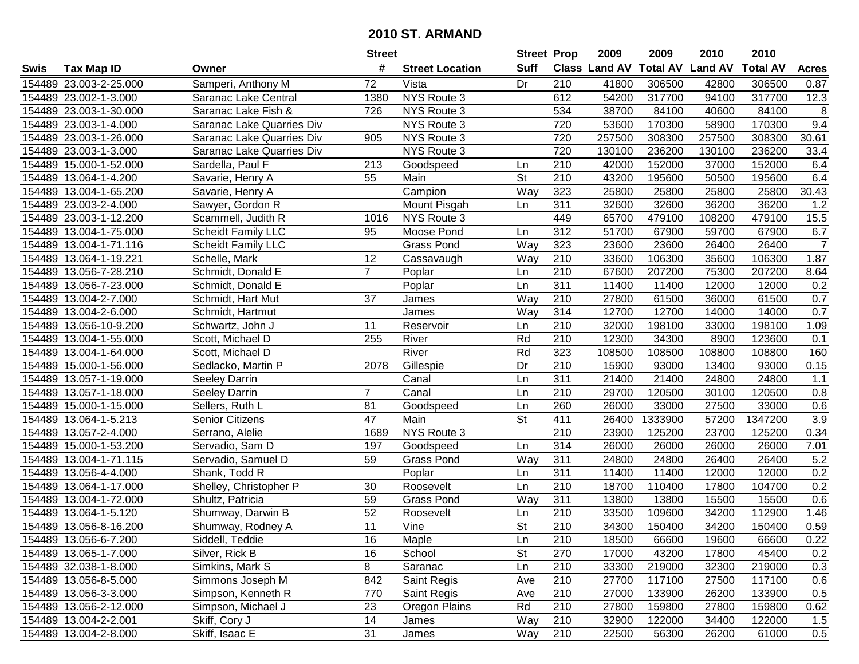|        |                        |                                  | <b>Street</b>   |                        | <b>Street Prop</b>       |                  | 2009                 | 2009            | 2010           | 2010            |                |
|--------|------------------------|----------------------------------|-----------------|------------------------|--------------------------|------------------|----------------------|-----------------|----------------|-----------------|----------------|
| Swis   | <b>Tax Map ID</b>      | Owner                            | #               | <b>Street Location</b> | <b>Suff</b>              |                  | <b>Class Land AV</b> | <b>Total AV</b> | <b>Land AV</b> | <b>Total AV</b> | <b>Acres</b>   |
|        | 154489 23.003-2-25.000 | Samperi, Anthony M               | 72              | Vista                  | Dr                       | 210              | 41800                | 306500          | 42800          | 306500          | 0.87           |
|        | 154489 23.002-1-3.000  | Saranac Lake Central             | 1380            | NYS Route 3            |                          | 612              | 54200                | 317700          | 94100          | 317700          | 12.3           |
|        | 154489 23.003-1-30.000 | Saranac Lake Fish &              | 726             | <b>NYS Route 3</b>     |                          | 534              | 38700                | 84100           | 40600          | 84100           | 8              |
|        | 154489 23.003-1-4.000  | <b>Saranac Lake Quarries Div</b> |                 | NYS Route 3            |                          | 720              | 53600                | 170300          | 58900          | 170300          | 9.4            |
|        | 154489 23.003-1-26.000 | <b>Saranac Lake Quarries Div</b> | 905             | NYS Route 3            |                          | 720              | 257500               | 308300          | 257500         | 308300          | 30.61          |
|        | 154489 23.003-1-3.000  | Saranac Lake Quarries Div        |                 | <b>NYS Route 3</b>     |                          | 720              | 130100               | 236200          | 130100         | 236200          | 33.4           |
|        | 154489 15.000-1-52.000 | Sardella, Paul F                 | 213             | Goodspeed              | Ln                       | 210              | 42000                | 152000          | 37000          | 152000          | 6.4            |
| 154489 | 13.064-1-4.200         | Savarie, Henry A                 | $\overline{55}$ | Main                   | $\overline{\mathsf{St}}$ | $\overline{210}$ | 43200                | 195600          | 50500          | 195600          | 6.4            |
|        | 154489 13.004-1-65.200 | Savarie, Henry A                 |                 | Campion                | Way                      | 323              | 25800                | 25800           | 25800          | 25800           | 30.43          |
|        | 154489 23.003-2-4.000  | Sawyer, Gordon R                 |                 | Mount Pisgah           | Ln                       | 311              | 32600                | 32600           | 36200          | 36200           | 1.2            |
|        | 154489 23.003-1-12.200 | Scammell, Judith R               | 1016            | NYS Route 3            |                          | 449              | 65700                | 479100          | 108200         | 479100          | 15.5           |
|        | 154489 13.004-1-75.000 | <b>Scheidt Family LLC</b>        | 95              | Moose Pond             | Ln                       | 312              | 51700                | 67900           | 59700          | 67900           | 6.7            |
|        | 154489 13.004-1-71.116 | <b>Scheidt Family LLC</b>        |                 | Grass Pond             | Way                      | 323              | 23600                | 23600           | 26400          | 26400           | $\overline{7}$ |
|        | 154489 13.064-1-19.221 | Schelle, Mark                    | 12              | Cassavaugh             | Way                      | 210              | 33600                | 106300          | 35600          | 106300          | 1.87           |
| 154489 | 13.056-7-28.210        | Schmidt, Donald E                | $\overline{7}$  | Poplar                 | Ln                       | 210              | 67600                | 207200          | 75300          | 207200          | 8.64           |
|        | 154489 13.056-7-23.000 | Schmidt, Donald E                |                 | Poplar                 | Ln                       | 311              | 11400                | 11400           | 12000          | 12000           | 0.2            |
|        | 154489 13.004-2-7.000  | Schmidt, Hart Mut                | 37              | James                  | Way                      | 210              | 27800                | 61500           | 36000          | 61500           | 0.7            |
| 154489 | 13.004-2-6.000         | Schmidt, Hartmut                 |                 | James                  | Way                      | 314              | 12700                | 12700           | 14000          | 14000           | 0.7            |
|        | 154489 13.056-10-9.200 | Schwartz, John J                 | 11              | Reservoir              | Ln                       | 210              | 32000                | 198100          | 33000          | 198100          | 1.09           |
|        | 154489 13.004-1-55.000 | Scott, Michael D                 | 255             | River                  | Rd                       | 210              | 12300                | 34300           | 8900           | 123600          | 0.1            |
|        | 154489 13.004-1-64.000 | Scott, Michael D                 |                 | River                  | Rd                       | 323              | 108500               | 108500          | 108800         | 108800          | 160            |
|        | 154489 15.000-1-56.000 | Sedlacko, Martin P               | 2078            | Gillespie              | Dr                       | 210              | 15900                | 93000           | 13400          | 93000           | 0.15           |
| 154489 | 13.057-1-19.000        | <b>Seeley Darrin</b>             |                 | Canal                  | Ln                       | 311              | 21400                | 21400           | 24800          | 24800           | 1.1            |
| 154489 | 13.057-1-18.000        | Seeley Darrin                    | $\overline{7}$  | Canal                  | Ln                       | 210              | 29700                | 120500          | 30100          | 120500          | 0.8            |
|        | 154489 15.000-1-15.000 | Sellers, Ruth L                  | 81              | Goodspeed              | Ln                       | 260              | 26000                | 33000           | 27500          | 33000           | 0.6            |
|        | 154489 13.064-1-5.213  | <b>Senior Citizens</b>           | 47              | Main                   | $\overline{\mathsf{St}}$ | 411              | 26400                | 1333900         | 57200          | 1347200         | 3.9            |
|        | 154489 13.057-2-4.000  | Serrano, Alelie                  | 1689            | NYS Route 3            |                          | 210              | 23900                | 125200          | 23700          | 125200          | 0.34           |
|        | 154489 15.000-1-53.200 | Servadio, Sam D                  | 197             | Goodspeed              | Ln                       | 314              | 26000                | 26000           | 26000          | 26000           | 7.01           |
|        | 154489 13.004-1-71.115 | Servadio, Samuel D               | 59              | <b>Grass Pond</b>      | Way                      | 311              | 24800                | 24800           | 26400          | 26400           | 5.2            |
|        | 154489 13.056-4-4.000  | Shank, Todd R                    |                 | Poplar                 | Ln                       | $\overline{311}$ | 11400                | 11400           | 12000          | 12000           | 0.2            |
|        | 154489 13.064-1-17.000 | Shelley, Christopher P           | 30              | Roosevelt              | Ln                       | $\overline{210}$ | 18700                | 110400          | 17800          | 104700          | 0.2            |
|        | 154489 13.004-1-72.000 | Shultz, Patricia                 | 59              | <b>Grass Pond</b>      | Way                      | 311              | 13800                | 13800           | 15500          | 15500           | 0.6            |
|        | 154489 13.064-1-5.120  | Shumway, Darwin B                | 52              | Roosevelt              | Ln                       | $\overline{210}$ | 33500                | 109600          | 34200          | 112900          | 1.46           |
|        | 154489 13.056-8-16.200 | Shumway, Rodney A                | $\overline{11}$ | Vine                   | $\overline{\mathsf{St}}$ | $\overline{210}$ | 34300                | 150400          | 34200          | 150400          | 0.59           |
|        | 154489 13.056-6-7.200  | Siddell, Teddie                  | 16              | Maple                  | Ln                       | 210              | 18500                | 66600           | 19600          | 66600           | 0.22           |
|        | 154489 13.065-1-7.000  | Silver, Rick B                   | 16              | School                 | <b>St</b>                | 270              | 17000                | 43200           | 17800          | 45400           | 0.2            |
|        | 154489 32.038-1-8.000  | Simkins, Mark S                  | 8               | Saranac                | Ln                       | 210              | 33300                | 219000          | 32300          | 219000          | 0.3            |
|        | 154489 13.056-8-5.000  | Simmons Joseph M                 | 842             | Saint Regis            | Ave                      | 210              | 27700                | 117100          | 27500          | 117100          | 0.6            |
|        | 154489 13.056-3-3.000  | Simpson, Kenneth R               | 770             | Saint Regis            | Ave                      | 210              | 27000                | 133900          | 26200          | 133900          | 0.5            |
|        | 154489 13.056-2-12.000 | Simpson, Michael J               | 23              | Oregon Plains          | Rd                       | 210              | 27800                | 159800          | 27800          | 159800          | 0.62           |
|        | 154489 13.004-2-2.001  | Skiff, Cory J                    | 14              | James                  | Way                      | 210              | 32900                | 122000          | 34400          | 122000          | 1.5            |
|        | 154489 13.004-2-8.000  | Skiff, Isaac E                   | 31              | James                  | Way                      | 210              | 22500                | 56300           | 26200          | 61000           | 0.5            |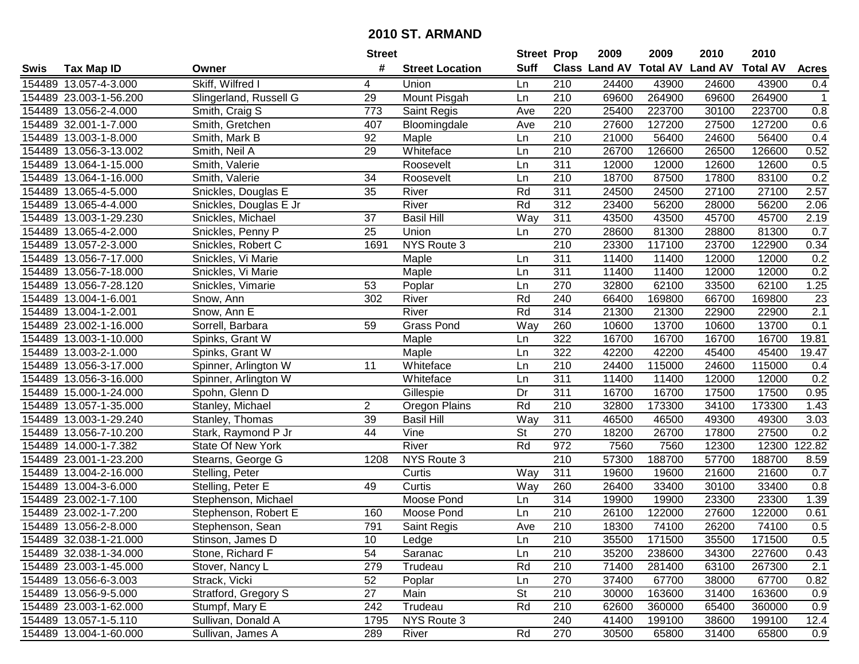|        |                        |                        | <b>Street</b>   |                        | <b>Street Prop</b>       |                  | 2009                          | 2009   | 2010           | 2010            |              |
|--------|------------------------|------------------------|-----------------|------------------------|--------------------------|------------------|-------------------------------|--------|----------------|-----------------|--------------|
| Swis   | <b>Tax Map ID</b>      | Owner                  | #               | <b>Street Location</b> | <b>Suff</b>              |                  | <b>Class Land AV Total AV</b> |        | <b>Land AV</b> | <b>Total AV</b> | <b>Acres</b> |
|        | 154489 13.057-4-3.000  | Skiff, Wilfred I       | 4               | Union                  | Ln                       | 210              | 24400                         | 43900  | 24600          | 43900           | 0.4          |
|        | 154489 23.003-1-56.200 | Slingerland, Russell G | 29              | Mount Pisgah           | Ln                       | 210              | 69600                         | 264900 | 69600          | 264900          | $\mathbf{1}$ |
|        | 154489 13.056-2-4.000  | Smith, Craig S         | 773             | Saint Regis            | Ave                      | 220              | 25400                         | 223700 | 30100          | 223700          | 0.8          |
|        | 154489 32.001-1-7.000  | Smith, Gretchen        | 407             | Bloomingdale           | Ave                      | 210              | 27600                         | 127200 | 27500          | 127200          | 0.6          |
|        | 154489 13.003-1-8.000  | Smith, Mark B          | 92              | Maple                  | Ln                       | 210              | 21000                         | 56400  | 24600          | 56400           | 0.4          |
|        | 154489 13.056-3-13.002 | Smith, Neil A          | 29              | Whiteface              | Ln                       | $\overline{210}$ | 26700                         | 126600 | 26500          | 126600          | 0.52         |
| 154489 | 13.064-1-15.000        | Smith, Valerie         |                 | Roosevelt              | Ln                       | 311              | 12000                         | 12000  | 12600          | 12600           | 0.5          |
| 154489 | 13.064-1-16.000        | Smith, Valerie         | $\overline{34}$ | Roosevelt              | Ln                       | 210              | 18700                         | 87500  | 17800          | 83100           | 0.2          |
|        | 154489 13.065-4-5.000  | Snickles, Douglas E    | 35              | River                  | Rd                       | 311              | 24500                         | 24500  | 27100          | 27100           | 2.57         |
|        | 154489 13.065-4-4.000  | Snickles, Douglas E Jr |                 | River                  | Rd                       | 312              | 23400                         | 56200  | 28000          | 56200           | 2.06         |
|        | 154489 13.003-1-29.230 | Snickles, Michael      | 37              | <b>Basil Hill</b>      | Way                      | 311              | 43500                         | 43500  | 45700          | 45700           | 2.19         |
|        | 154489 13.065-4-2.000  | Snickles, Penny P      | 25              | Union                  | Ln                       | 270              | 28600                         | 81300  | 28800          | 81300           | 0.7          |
|        | 154489 13.057-2-3.000  | Snickles, Robert C     | 1691            | NYS Route 3            |                          | 210              | 23300                         | 117100 | 23700          | 122900          | 0.34         |
|        | 154489 13.056-7-17.000 | Snickles, Vi Marie     |                 | Maple                  | Ln                       | 311              | 11400                         | 11400  | 12000          | 12000           | 0.2          |
|        | 154489 13.056-7-18.000 | Snickles, Vi Marie     |                 | Maple                  | Ln                       | 311              | 11400                         | 11400  | 12000          | 12000           | 0.2          |
|        | 154489 13.056-7-28.120 | Snickles, Vimarie      | 53              | Poplar                 | Ln                       | 270              | 32800                         | 62100  | 33500          | 62100           | 1.25         |
|        | 154489 13.004-1-6.001  | Snow, Ann              | 302             | River                  | Rd                       | 240              | 66400                         | 169800 | 66700          | 169800          | 23           |
|        | 154489 13.004-1-2.001  | Snow, Ann E            |                 | River                  | Rd                       | 314              | 21300                         | 21300  | 22900          | 22900           | 2.1          |
|        | 154489 23.002-1-16.000 | Sorrell, Barbara       | 59              | <b>Grass Pond</b>      | Way                      | 260              | 10600                         | 13700  | 10600          | 13700           | 0.1          |
|        | 154489 13.003-1-10.000 | Spinks, Grant W        |                 | Maple                  | Ln                       | 322              | 16700                         | 16700  | 16700          | 16700           | 19.81        |
|        | 154489 13.003-2-1.000  | Spinks, Grant W        |                 | Maple                  | Ln                       | 322              | 42200                         | 42200  | 45400          | 45400           | 19.47        |
|        | 154489 13.056-3-17.000 | Spinner, Arlington W   | 11              | Whiteface              | Ln                       | 210              | 24400                         | 115000 | 24600          | 115000          | 0.4          |
| 154489 | 13.056-3-16.000        | Spinner, Arlington W   |                 | Whiteface              | Ln                       | 311              | 11400                         | 11400  | 12000          | 12000           | 0.2          |
| 154489 | 15.000-1-24.000        | Spohn, Glenn D         |                 | Gillespie              | Dr                       | 311              | 16700                         | 16700  | 17500          | 17500           | 0.95         |
|        | 154489 13.057-1-35.000 | Stanley, Michael       | $\overline{2}$  | Oregon Plains          | Rd                       | 210              | 32800                         | 173300 | 34100          | 173300          | 1.43         |
|        | 154489 13.003-1-29.240 | Stanley, Thomas        | 39              | <b>Basil Hill</b>      | Way                      | 311              | 46500                         | 46500  | 49300          | 49300           | 3.03         |
|        | 154489 13.056-7-10.200 | Stark, Raymond P Jr    | 44              | Vine                   | $\overline{\mathsf{St}}$ | 270              | 18200                         | 26700  | 17800          | 27500           | 0.2          |
|        | 154489 14.000-1-7.382  | State Of New York      |                 | River                  | Rd                       | 972              | 7560                          | 7560   | 12300          | 12300           | 122.82       |
|        | 154489 23.001-1-23.200 | Stearns, George G      | 1208            | NYS Route 3            |                          | 210              | 57300                         | 188700 | 57700          | 188700          | 8.59         |
|        | 154489 13.004-2-16.000 | Stelling, Peter        |                 | Curtis                 | Way                      | $\overline{311}$ | 19600                         | 19600  | 21600          | 21600           | 0.7          |
|        | 154489 13.004-3-6.000  | Stelling, Peter E      | 49              | Curtis                 | Way                      | 260              | 26400                         | 33400  | 30100          | 33400           | 0.8          |
|        | 154489 23.002-1-7.100  | Stephenson, Michael    |                 | Moose Pond             | Ln                       | 314              | 19900                         | 19900  | 23300          | 23300           | 1.39         |
|        | 154489 23.002-1-7.200  | Stephenson, Robert E   | 160             | Moose Pond             | Ln                       | $\overline{210}$ | 26100                         | 122000 | 27600          | 122000          | 0.61         |
|        | 154489 13.056-2-8.000  | Stephenson, Sean       | 791             | Saint Regis            | Ave                      | $\overline{210}$ | 18300                         | 74100  | 26200          | 74100           | 0.5          |
|        | 154489 32.038-1-21.000 | Stinson, James D       | 10              | Ledge                  | Ln                       | 210              | 35500                         | 171500 | 35500          | 171500          | 0.5          |
|        | 154489 32.038-1-34.000 | Stone, Richard F       | 54              | Saranac                | Ln                       | 210              | 35200                         | 238600 | 34300          | 227600          | 0.43         |
|        | 154489 23.003-1-45.000 | Stover, Nancy L        | 279             | Trudeau                | Rd                       | 210              | 71400                         | 281400 | 63100          | 267300          | 2.1          |
|        | 154489 13.056-6-3.003  | Strack, Vicki          | 52              | Poplar                 | Ln                       | 270              | 37400                         | 67700  | 38000          | 67700           | 0.82         |
|        | 154489 13.056-9-5.000  | Stratford, Gregory S   | 27              | Main                   | <b>St</b>                | 210              | 30000                         | 163600 | 31400          | 163600          | 0.9          |
|        | 154489 23.003-1-62.000 | Stumpf, Mary E         | 242             | Trudeau                | Rd                       | 210              | 62600                         | 360000 | 65400          | 360000          | 0.9          |
|        | 154489 13.057-1-5.110  | Sullivan, Donald A     | 1795            | NYS Route 3            |                          | 240              | 41400                         | 199100 | 38600          | 199100          | 12.4         |
|        | 154489 13.004-1-60.000 | Sullivan, James A      | 289             | River                  | Rd                       | 270              | 30500                         | 65800  | 31400          | 65800           | 0.9          |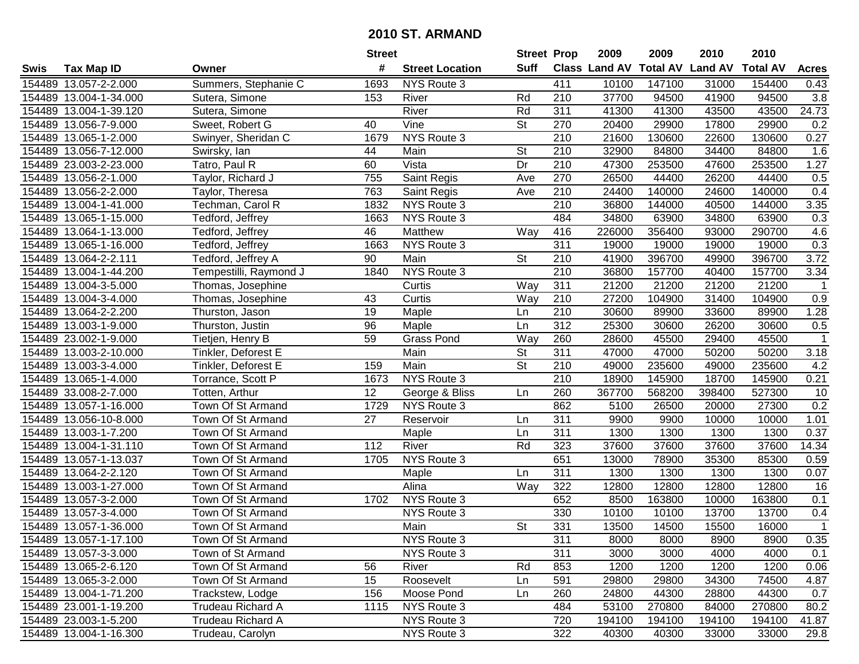|        |                        |                          | <b>Street</b> |                        | <b>Street Prop</b>       |                  | 2009                 | 2009            | 2010           | 2010            |                |
|--------|------------------------|--------------------------|---------------|------------------------|--------------------------|------------------|----------------------|-----------------|----------------|-----------------|----------------|
| Swis   | <b>Tax Map ID</b>      | Owner                    | #             | <b>Street Location</b> | <b>Suff</b>              |                  | <b>Class Land AV</b> | <b>Total AV</b> | <b>Land AV</b> | <b>Total AV</b> | <b>Acres</b>   |
|        | 154489 13.057-2-2.000  | Summers, Stephanie C     | 1693          | NYS Route 3            |                          | 411              | 10100                | 147100          | 31000          | 154400          | 0.43           |
|        | 154489 13.004-1-34.000 | Sutera, Simone           | 153           | River                  | Rd                       | 210              | 37700                | 94500           | 41900          | 94500           | 3.8            |
|        | 154489 13.004-1-39.120 | Sutera, Simone           |               | River                  | Rd                       | 311              | 41300                | 41300           | 43500          | 43500           | 24.73          |
|        | 154489 13.056-7-9.000  | Sweet, Robert G          | 40            | Vine                   | <b>St</b>                | 270              | 20400                | 29900           | 17800          | 29900           | 0.2            |
|        | 154489 13.065-1-2.000  | Swinyer, Sheridan C      | 1679          | NYS Route 3            |                          | $\overline{210}$ | 21600                | 130600          | 22600          | 130600          | 0.27           |
|        | 154489 13.056-7-12.000 | Swirsky, lan             | 44            | Main                   | $\overline{\mathsf{St}}$ | 210              | 32900                | 84800           | 34400          | 84800           | 1.6            |
|        | 154489 23.003-2-23.000 | Tatro, Paul R            | 60            | Vista                  | Dr                       | 210              | 47300                | 253500          | 47600          | 253500          | 1.27           |
| 154489 | 13.056-2-1.000         | Taylor, Richard J        | 755           | Saint Regis            | Ave                      | 270              | 26500                | 44400           | 26200          | 44400           | 0.5            |
|        | 154489 13.056-2-2.000  | Taylor, Theresa          | 763           | Saint Regis            | Ave                      | $\overline{210}$ | 24400                | 140000          | 24600          | 140000          | 0.4            |
|        | 154489 13.004-1-41.000 | Techman, Carol R         | 1832          | NYS Route 3            |                          | 210              | 36800                | 144000          | 40500          | 144000          | 3.35           |
|        | 154489 13.065-1-15.000 | Tedford, Jeffrey         | 1663          | NYS Route 3            |                          | 484              | 34800                | 63900           | 34800          | 63900           | 0.3            |
|        | 154489 13.064-1-13.000 | Tedford, Jeffrey         | 46            | Matthew                | Way                      | 416              | 226000               | 356400          | 93000          | 290700          | 4.6            |
|        | 154489 13.065-1-16.000 | Tedford, Jeffrey         | 1663          | NYS Route 3            |                          | $\overline{311}$ | 19000                | 19000           | 19000          | 19000           | 0.3            |
|        | 154489 13.064-2-2.111  | Tedford, Jeffrey A       | 90            | Main                   | <b>St</b>                | 210              | 41900                | 396700          | 49900          | 396700          | 3.72           |
| 154489 | 13.004-1-44.200        | Tempestilli, Raymond J   | 1840          | <b>NYS Route 3</b>     |                          | $\overline{210}$ | 36800                | 157700          | 40400          | 157700          | 3.34           |
|        | 154489 13.004-3-5.000  | Thomas, Josephine        |               | Curtis                 | Way                      | 311              | 21200                | 21200           | 21200          | 21200           | -1             |
|        | 154489 13.004-3-4.000  | Thomas, Josephine        | 43            | Curtis                 | Way                      | 210              | 27200                | 104900          | 31400          | 104900          | 0.9            |
| 154489 | 13.064-2-2.200         | Thurston, Jason          | 19            | Maple                  | Ln                       | 210              | 30600                | 89900           | 33600          | 89900           | 1.28           |
|        | 154489 13.003-1-9.000  | Thurston, Justin         | 96            | Maple                  | Ln                       | 312              | 25300                | 30600           | 26200          | 30600           | 0.5            |
|        | 154489 23.002-1-9.000  | Tietjen, Henry B         | 59            | <b>Grass Pond</b>      | Way                      | 260              | 28600                | 45500           | 29400          | 45500           | $\mathbf{1}$   |
|        | 154489 13.003-2-10.000 | Tinkler, Deforest E      |               | Main                   | <b>St</b>                | 311              | 47000                | 47000           | 50200          | 50200           | 3.18           |
|        | 154489 13.003-3-4.000  | Tinkler, Deforest E      | 159           | Main                   | <b>St</b>                | 210              | 49000                | 235600          | 49000          | 235600          | 4.2            |
| 154489 | 13.065-1-4.000         | Torrance, Scott P        | 1673          | NYS Route 3            |                          | 210              | 18900                | 145900          | 18700          | 145900          | 0.21           |
|        | 154489 33.008-2-7.000  | Totten, Arthur           | 12            | George & Bliss         | Ln                       | 260              | 367700               | 568200          | 398400         | 527300          | 10             |
|        | 154489 13.057-1-16.000 | Town Of St Armand        | 1729          | NYS Route 3            |                          | 862              | 5100                 | 26500           | 20000          | 27300           | 0.2            |
|        | 154489 13.056-10-8.000 | Town Of St Armand        | 27            | Reservoir              | Ln                       | 311              | 9900                 | 9900            | 10000          | 10000           | 1.01           |
|        | 154489 13.003-1-7.200  | Town Of St Armand        |               | Maple                  | Ln                       | 311              | 1300                 | 1300            | 1300           | 1300            | 0.37           |
|        | 154489 13.004-1-31.110 | Town Of St Armand        | 112           | River                  | Rd                       | 323              | 37600                | 37600           | 37600          | 37600           | 14.34          |
|        | 154489 13.057-1-13.037 | Town Of St Armand        | 1705          | NYS Route 3            |                          | 651              | 13000                | 78900           | 35300          | 85300           | 0.59           |
|        | 154489 13.064-2-2.120  | Town Of St Armand        |               | Maple                  | Ln                       | $\overline{311}$ | 1300                 | 1300            | 1300           | 1300            | 0.07           |
|        | 154489 13.003-1-27.000 | Town Of St Armand        |               | Alina                  | Way                      | 322              | 12800                | 12800           | 12800          | 12800           | 16             |
|        | 154489 13.057-3-2.000  | Town Of St Armand        | 1702          | NYS Route 3            |                          | 652              | 8500                 | 163800          | 10000          | 163800          | 0.1            |
| 154489 | 13.057-3-4.000         | Town Of St Armand        |               | NYS Route 3            |                          | 330              | 10100                | 10100           | 13700          | 13700           | 0.4            |
|        | 154489 13.057-1-36.000 | Town Of St Armand        |               | Main                   | $\overline{\mathsf{St}}$ | 331              | 13500                | 14500           | 15500          | 16000           | $\overline{1}$ |
|        | 154489 13.057-1-17.100 | Town Of St Armand        |               | NYS Route 3            |                          | 311              | 8000                 | 8000            | 8900           | 8900            | 0.35           |
|        | 154489 13.057-3-3.000  | Town of St Armand        |               | NYS Route 3            |                          | 311              | 3000                 | 3000            | 4000           | 4000            | 0.1            |
|        | 154489 13.065-2-6.120  | Town Of St Armand        | 56            | River                  | Rd                       | 853              | 1200                 | 1200            | 1200           | 1200            | 0.06           |
|        | 154489 13.065-3-2.000  | Town Of St Armand        | 15            | Roosevelt              | Ln                       | 591              | 29800                | 29800           | 34300          | 74500           | 4.87           |
|        | 154489 13.004-1-71.200 | Trackstew, Lodge         | 156           | Moose Pond             | Ln                       | 260              | 24800                | 44300           | 28800          | 44300           | 0.7            |
|        | 154489 23.001-1-19.200 | <b>Trudeau Richard A</b> | 1115          | NYS Route 3            |                          | 484              | 53100                | 270800          | 84000          | 270800          | 80.2           |
|        | 154489 23.003-1-5.200  | Trudeau Richard A        |               | NYS Route 3            |                          | 720              | 194100               | 194100          | 194100         | 194100          | 41.87          |
|        | 154489 13.004-1-16.300 | Trudeau, Carolyn         |               | NYS Route 3            |                          | 322              | 40300                | 40300           | 33000          | 33000           | 29.8           |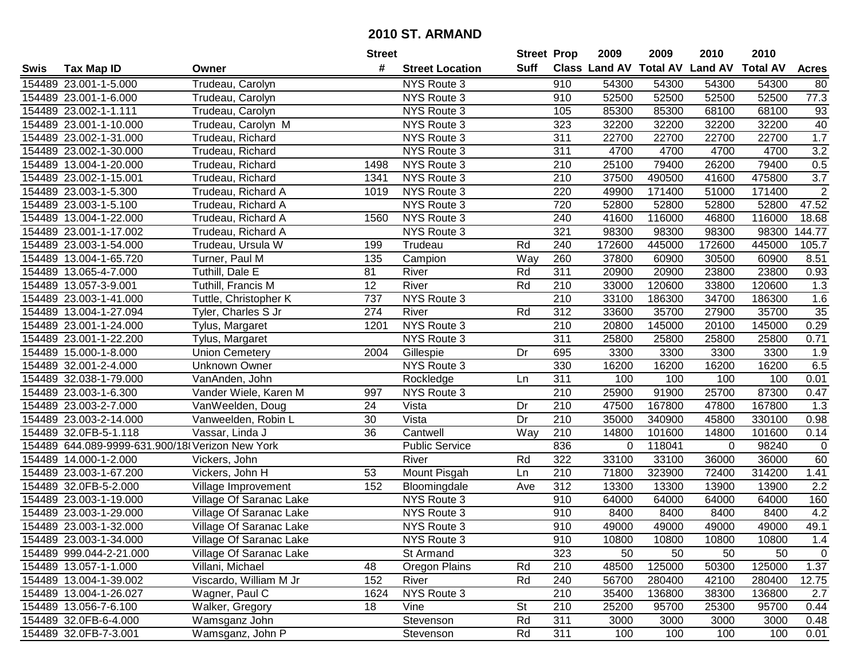|      |                                                 |                         | <b>Street</b> |                        | <b>Street Prop</b> |                  | 2009                          | 2009   | 2010           | 2010            |                  |
|------|-------------------------------------------------|-------------------------|---------------|------------------------|--------------------|------------------|-------------------------------|--------|----------------|-----------------|------------------|
| Swis | <b>Tax Map ID</b>                               | Owner                   | #             | <b>Street Location</b> | <b>Suff</b>        |                  | <b>Class Land AV Total AV</b> |        | <b>Land AV</b> | <b>Total AV</b> | <b>Acres</b>     |
|      | 154489 23.001-1-5.000                           | Trudeau, Carolyn        |               | NYS Route 3            |                    | 910              | 54300                         | 54300  | 54300          | 54300           | 80               |
|      | 154489 23.001-1-6.000                           | Trudeau, Carolyn        |               | NYS Route 3            |                    | 910              | 52500                         | 52500  | 52500          | 52500           | 77.3             |
|      | 154489 23.002-1-1.111                           | Trudeau, Carolyn        |               | NYS Route 3            |                    | 105              | 85300                         | 85300  | 68100          | 68100           | 93               |
|      | 154489 23.001-1-10.000                          | Trudeau, Carolyn M      |               | NYS Route 3            |                    | 323              | 32200                         | 32200  | 32200          | 32200           | 40               |
|      | 154489 23.002-1-31.000                          | Trudeau, Richard        |               | NYS Route 3            |                    | 311              | 22700                         | 22700  | 22700          | 22700           | 1.7              |
|      | 154489 23.002-1-30.000                          | Trudeau, Richard        |               | NYS Route 3            |                    | 311              | 4700                          | 4700   | 4700           | 4700            | $\overline{3.2}$ |
|      | 154489 13.004-1-20.000                          | Trudeau, Richard        | 1498          | NYS Route 3            |                    | 210              | 25100                         | 79400  | 26200          | 79400           | 0.5              |
|      | 154489 23.002-1-15.001                          | Trudeau, Richard        | 1341          | NYS Route 3            |                    | $\overline{210}$ | 37500                         | 490500 | 41600          | 475800          | $\overline{3.7}$ |
|      | 154489 23.003-1-5.300                           | Trudeau, Richard A      | 1019          | NYS Route 3            |                    | 220              | 49900                         | 171400 | 51000          | 171400          | $\overline{2}$   |
|      | 154489 23.003-1-5.100                           | Trudeau, Richard A      |               | NYS Route 3            |                    | 720              | 52800                         | 52800  | 52800          | 52800           | 47.52            |
|      | 154489 13.004-1-22.000                          | Trudeau, Richard A      | 1560          | NYS Route 3            |                    | 240              | 41600                         | 116000 | 46800          | 116000          | 18.68            |
|      | 154489 23.001-1-17.002                          | Trudeau, Richard A      |               | NYS Route 3            |                    | 321              | 98300                         | 98300  | 98300          | 98300           | 144.77           |
|      | 154489 23.003-1-54.000                          | Trudeau, Ursula W       | 199           | Trudeau                | Rd                 | 240              | 172600                        | 445000 | 172600         | 445000          | 105.7            |
|      | 154489 13.004-1-65.720                          | Turner, Paul M          | 135           | Campion                | Way                | 260              | 37800                         | 60900  | 30500          | 60900           | 8.51             |
|      | 154489 13.065-4-7.000                           | Tuthill, Dale E         | 81            | River                  | Rd                 | 311              | 20900                         | 20900  | 23800          | 23800           | 0.93             |
|      | 154489 13.057-3-9.001                           | Tuthill, Francis M      | 12            | River                  | Rd                 | 210              | 33000                         | 120600 | 33800          | 120600          | 1.3              |
|      | 154489 23.003-1-41.000                          | Tuttle, Christopher K   | 737           | NYS Route 3            |                    | $\overline{210}$ | 33100                         | 186300 | 34700          | 186300          | 1.6              |
|      | 154489 13.004-1-27.094                          | Tyler, Charles S Jr     | 274           | River                  | Rd                 | 312              | 33600                         | 35700  | 27900          | 35700           | 35               |
|      | 154489 23.001-1-24.000                          | Tylus, Margaret         | 1201          | NYS Route 3            |                    | 210              | 20800                         | 145000 | 20100          | 145000          | 0.29             |
|      | 154489 23.001-1-22.200                          | Tylus, Margaret         |               | NYS Route 3            |                    | 311              | 25800                         | 25800  | 25800          | 25800           | 0.71             |
|      | 154489 15.000-1-8.000                           | Union Cemetery          | 2004          | Gillespie              | Dr                 | 695              | 3300                          | 3300   | 3300           | 3300            | 1.9              |
|      | 154489 32.001-2-4.000                           | <b>Unknown Owner</b>    |               | NYS Route 3            |                    | 330              | 16200                         | 16200  | 16200          | 16200           | 6.5              |
|      | 154489 32.038-1-79.000                          | VanAnden, John          |               | Rockledge              | Ln                 | 311              | 100                           | 100    | 100            | 100             | 0.01             |
|      | 154489 23.003-1-6.300                           | Vander Wiele, Karen M   | 997           | NYS Route 3            |                    | 210              | 25900                         | 91900  | 25700          | 87300           | 0.47             |
|      | 154489 23.003-2-7.000                           | VanWeelden, Doug        | 24            | Vista                  | Dr                 | 210              | 47500                         | 167800 | 47800          | 167800          | 1.3              |
|      | 154489 23.003-2-14.000                          | Vanweelden, Robin L     | 30            | Vista                  | Dr                 | 210              | 35000                         | 340900 | 45800          | 330100          | 0.98             |
|      | 154489 32.0FB-5-1.118                           | Vassar, Linda J         | 36            | Cantwell               | Way                | 210              | 14800                         | 101600 | 14800          | 101600          | 0.14             |
|      | 154489 644.089-9999-631.900/18 Verizon New York |                         |               | <b>Public Service</b>  |                    | 836              | 0                             | 118041 | $\Omega$       | 98240           | 0                |
|      | 154489 14.000-1-2.000                           | Vickers, John           |               | River                  | Rd                 | 322              | 33100                         | 33100  | 36000          | 36000           | 60               |
|      | 154489 23.003-1-67.200                          | Vickers, John H         | 53            | <b>Mount Pisgah</b>    | Ln                 | 210              | 71800                         | 323900 | 72400          | 314200          | 1.41             |
|      | 154489 32.0FB-5-2.000                           | Village Improvement     | 152           | Bloomingdale           | Ave                | 312              | 13300                         | 13300  | 13900          | 13900           | $\overline{2.2}$ |
|      | 154489 23.003-1-19.000                          | Village Of Saranac Lake |               | NYS Route 3            |                    | 910              | 64000                         | 64000  | 64000          | 64000           | 160              |
|      | 154489 23.003-1-29.000                          | Village Of Saranac Lake |               | NYS Route 3            |                    | 910              | 8400                          | 8400   | 8400           | 8400            | 4.2              |
|      | 154489 23.003-1-32.000                          | Village Of Saranac Lake |               | NYS Route 3            |                    | 910              | 49000                         | 49000  | 49000          | 49000           | 49.1             |
|      | 154489 23.003-1-34.000                          | Village Of Saranac Lake |               | NYS Route 3            |                    | 910              | 10800                         | 10800  | 10800          | 10800           | 1.4              |
|      | 154489 999.044-2-21.000                         | Village Of Saranac Lake |               | St Armand              |                    | 323              | 50                            | 50     | 50             | 50              | $\mathbf 0$      |
|      | 154489 13.057-1-1.000                           | Villani, Michael        | 48            | Oregon Plains          | Rd                 | 210              | 48500                         | 125000 | 50300          | 125000          | 1.37             |
|      | 154489 13.004-1-39.002                          | Viscardo, William M Jr  | 152           | River                  | Rd                 | 240              | 56700                         | 280400 | 42100          | 280400          | 12.75            |
|      | 154489 13.004-1-26.027                          | Wagner, Paul C          | 1624          | NYS Route 3            |                    | 210              | 35400                         | 136800 | 38300          | 136800          | 2.7              |
|      | 154489 13.056-7-6.100                           | Walker, Gregory         | 18            | Vine                   | <b>St</b>          | 210              | 25200                         | 95700  | 25300          | 95700           | 0.44             |
|      | 154489 32.0FB-6-4.000                           | Wamsganz John           |               | Stevenson              | Rd                 | 311              | 3000                          | 3000   | 3000           | 3000            | 0.48             |
|      | 154489 32.0FB-7-3.001                           | Wamsganz, John P        |               | Stevenson              | Rd                 | 311              | 100                           | 100    | 100            | 100             | 0.01             |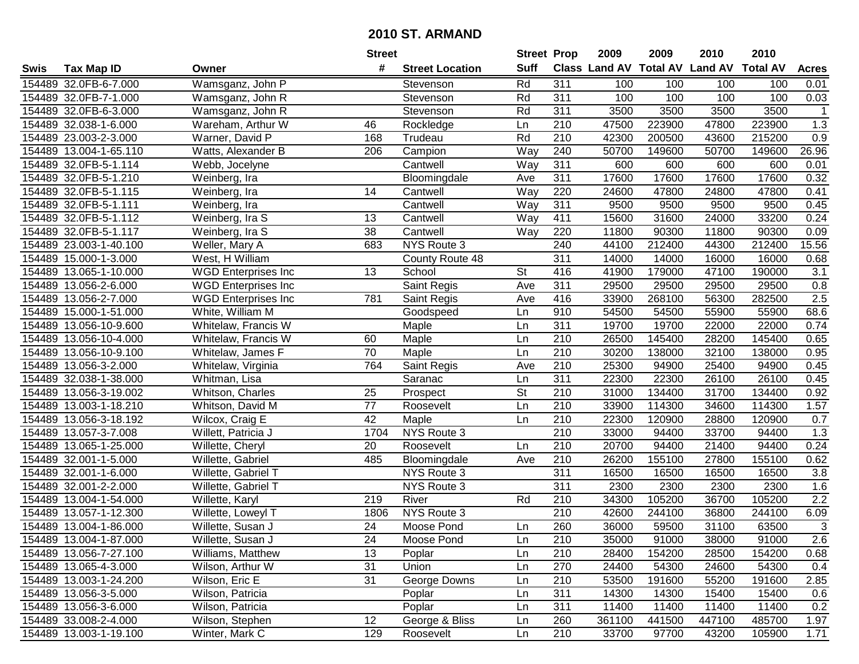|        |                        |                            | <b>Street</b>   |                        | <b>Street Prop</b> |                  | 2009   | 2009   | 2010                                    | 2010   |                  |
|--------|------------------------|----------------------------|-----------------|------------------------|--------------------|------------------|--------|--------|-----------------------------------------|--------|------------------|
| Swis   | <b>Tax Map ID</b>      | Owner                      | #               | <b>Street Location</b> | <b>Suff</b>        |                  |        |        | Class Land AV Total AV Land AV Total AV |        | <b>Acres</b>     |
|        | 154489 32.0FB-6-7.000  | Wamsganz, John P           |                 | Stevenson              | Rd                 | 311              | 100    | 100    | 100                                     | 100    | 0.01             |
|        | 154489 32.0FB-7-1.000  | Wamsganz, John R           |                 | Stevenson              | Rd                 | 311              | 100    | 100    | 100                                     | 100    | 0.03             |
|        | 154489 32.0FB-6-3.000  | Wamsganz, John R           |                 | Stevenson              | Rd                 | 311              | 3500   | 3500   | 3500                                    | 3500   | $\mathbf{1}$     |
|        | 154489 32.038-1-6.000  | Wareham, Arthur W          | 46              | Rockledge              | Ln                 | 210              | 47500  | 223900 | 47800                                   | 223900 | 1.3              |
|        | 154489 23.003-2-3.000  | Warner, David P            | 168             | Trudeau                | Rd                 | 210              | 42300  | 200500 | 43600                                   | 215200 | 0.9              |
|        | 154489 13.004-1-65.110 | Watts, Alexander B         | 206             | Campion                | Way                | 240              | 50700  | 149600 | 50700                                   | 149600 | 26.96            |
|        | 154489 32.0FB-5-1.114  | Webb, Jocelyne             |                 | Cantwell               | Way                | 311              | 600    | 600    | 600                                     | 600    | 0.01             |
|        | 154489 32.0FB-5-1.210  | Weinberg, Ira              |                 | Bloomingdale           | Ave                | 311              | 17600  | 17600  | 17600                                   | 17600  | 0.32             |
|        | 154489 32.0FB-5-1.115  | Weinberg, Ira              | 14              | Cantwell               | Way                | 220              | 24600  | 47800  | 24800                                   | 47800  | 0.41             |
|        | 154489 32.0FB-5-1.111  | Weinberg, Ira              |                 | Cantwell               | Way                | 311              | 9500   | 9500   | 9500                                    | 9500   | 0.45             |
|        | 154489 32.0FB-5-1.112  | Weinberg, Ira S            | 13              | Cantwell               | Way                | 411              | 15600  | 31600  | 24000                                   | 33200  | 0.24             |
|        | 154489 32.0FB-5-1.117  | Weinberg, Ira S            | 38              | Cantwell               | Way                | 220              | 11800  | 90300  | 11800                                   | 90300  | 0.09             |
|        | 154489 23.003-1-40.100 | Weller, Mary A             | 683             | NYS Route 3            |                    | 240              | 44100  | 212400 | 44300                                   | 212400 | 15.56            |
|        | 154489 15.000-1-3.000  | West, H William            |                 | County Route 48        |                    | 311              | 14000  | 14000  | 16000                                   | 16000  | 0.68             |
|        | 154489 13.065-1-10.000 | <b>WGD Enterprises Inc</b> | 13              | School                 | <b>St</b>          | 416              | 41900  | 179000 | 47100                                   | 190000 | 3.1              |
|        | 154489 13.056-2-6.000  | <b>WGD Enterprises Inc</b> |                 | Saint Regis            | Ave                | 311              | 29500  | 29500  | 29500                                   | 29500  | 0.8              |
|        | 154489 13.056-2-7.000  | <b>WGD Enterprises Inc</b> | 781             | Saint Regis            | Ave                | 416              | 33900  | 268100 | 56300                                   | 282500 | 2.5              |
| 154489 | 15.000-1-51.000        | White, William M           |                 | Goodspeed              | Ln                 | 910              | 54500  | 54500  | 55900                                   | 55900  | 68.6             |
|        | 154489 13.056-10-9.600 | Whitelaw, Francis W        |                 | Maple                  | Ln                 | 311              | 19700  | 19700  | 22000                                   | 22000  | 0.74             |
|        | 154489 13.056-10-4.000 | Whitelaw, Francis W        | 60              | Maple                  | Ln                 | 210              | 26500  | 145400 | 28200                                   | 145400 | 0.65             |
|        | 154489 13.056-10-9.100 | Whitelaw, James F          | 70              | Maple                  | Ln                 | 210              | 30200  | 138000 | 32100                                   | 138000 | 0.95             |
|        | 154489 13.056-3-2.000  | Whitelaw, Virginia         | 764             | Saint Regis            | Ave                | 210              | 25300  | 94900  | 25400                                   | 94900  | 0.45             |
|        | 154489 32.038-1-38.000 | Whitman, Lisa              |                 | Saranac                | Ln                 | 311              | 22300  | 22300  | 26100                                   | 26100  | 0.45             |
| 154489 | 13.056-3-19.002        | Whitson, Charles           | 25              | Prospect               | St                 | 210              | 31000  | 134400 | 31700                                   | 134400 | 0.92             |
|        | 154489 13.003-1-18.210 | Whitson, David M           | $\overline{77}$ | Roosevelt              | Ln                 | $\overline{210}$ | 33900  | 114300 | 34600                                   | 114300 | 1.57             |
|        | 154489 13.056-3-18.192 | Wilcox, Craig E            | 42              | Maple                  | Ln                 | 210              | 22300  | 120900 | 28800                                   | 120900 | 0.7              |
|        | 154489 13.057-3-7.008  | Willett, Patricia J        | 1704            | NYS Route 3            |                    | 210              | 33000  | 94400  | 33700                                   | 94400  | 1.3              |
|        | 154489 13.065-1-25.000 | Willette, Cheryl           | 20              | Roosevelt              | Ln                 | 210              | 20700  | 94400  | 21400                                   | 94400  | 0.24             |
|        | 154489 32.001-1-5.000  | Willette, Gabriel          | 485             | Bloomingdale           | Ave                | 210              | 26200  | 155100 | 27800                                   | 155100 | 0.62             |
|        | 154489 32.001-1-6.000  | Willette, Gabriel T        |                 | NYS Route 3            |                    | 311              | 16500  | 16500  | 16500                                   | 16500  | 3.8              |
|        | 154489 32.001-2-2.000  | Willette, Gabriel T        |                 | NYS Route 3            |                    | 311              | 2300   | 2300   | 2300                                    | 2300   | 1.6              |
|        | 154489 13.004-1-54.000 | Willette, Karyl            | 219             | River                  | Rd                 | 210              | 34300  | 105200 | 36700                                   | 105200 | $\overline{2.2}$ |
|        | 154489 13.057-1-12.300 | Willette, Loweyl T         | 1806            | <b>NYS Route 3</b>     |                    | 210              | 42600  | 244100 | 36800                                   | 244100 | 6.09             |
|        | 154489 13.004-1-86.000 | Willette, Susan J          | $\overline{24}$ | Moose Pond             | Ln                 | 260              | 36000  | 59500  | 31100                                   | 63500  | $\overline{3}$   |
|        | 154489 13.004-1-87.000 | Willette, Susan J          | 24              | Moose Pond             | Ln                 | 210              | 35000  | 91000  | 38000                                   | 91000  | 2.6              |
|        | 154489 13.056-7-27.100 | Williams, Matthew          | 13              | Poplar                 | Ln                 | 210              | 28400  | 154200 | 28500                                   | 154200 | 0.68             |
|        | 154489 13.065-4-3.000  | Wilson, Arthur W           | 31              | Union                  | Ln                 | 270              | 24400  | 54300  | 24600                                   | 54300  | 0.4              |
|        | 154489 13.003-1-24.200 | Wilson, Eric E             | 31              | George Downs           | Ln                 | 210              | 53500  | 191600 | 55200                                   | 191600 | 2.85             |
|        | 154489 13.056-3-5.000  | Wilson, Patricia           |                 | Poplar                 | Ln                 | 311              | 14300  | 14300  | 15400                                   | 15400  | 0.6              |
|        | 154489 13.056-3-6.000  | Wilson, Patricia           |                 | Poplar                 | Ln                 | 311              | 11400  | 11400  | 11400                                   | 11400  | 0.2              |
|        | 154489 33.008-2-4.000  | Wilson, Stephen            | 12              | George & Bliss         | Ln                 | 260              | 361100 | 441500 | 447100                                  | 485700 | 1.97             |
|        | 154489 13.003-1-19.100 | Winter, Mark C             | 129             | Roosevelt              | Ln                 | 210              | 33700  | 97700  | 43200                                   | 105900 | 1.71             |
|        |                        |                            |                 |                        |                    |                  |        |        |                                         |        |                  |